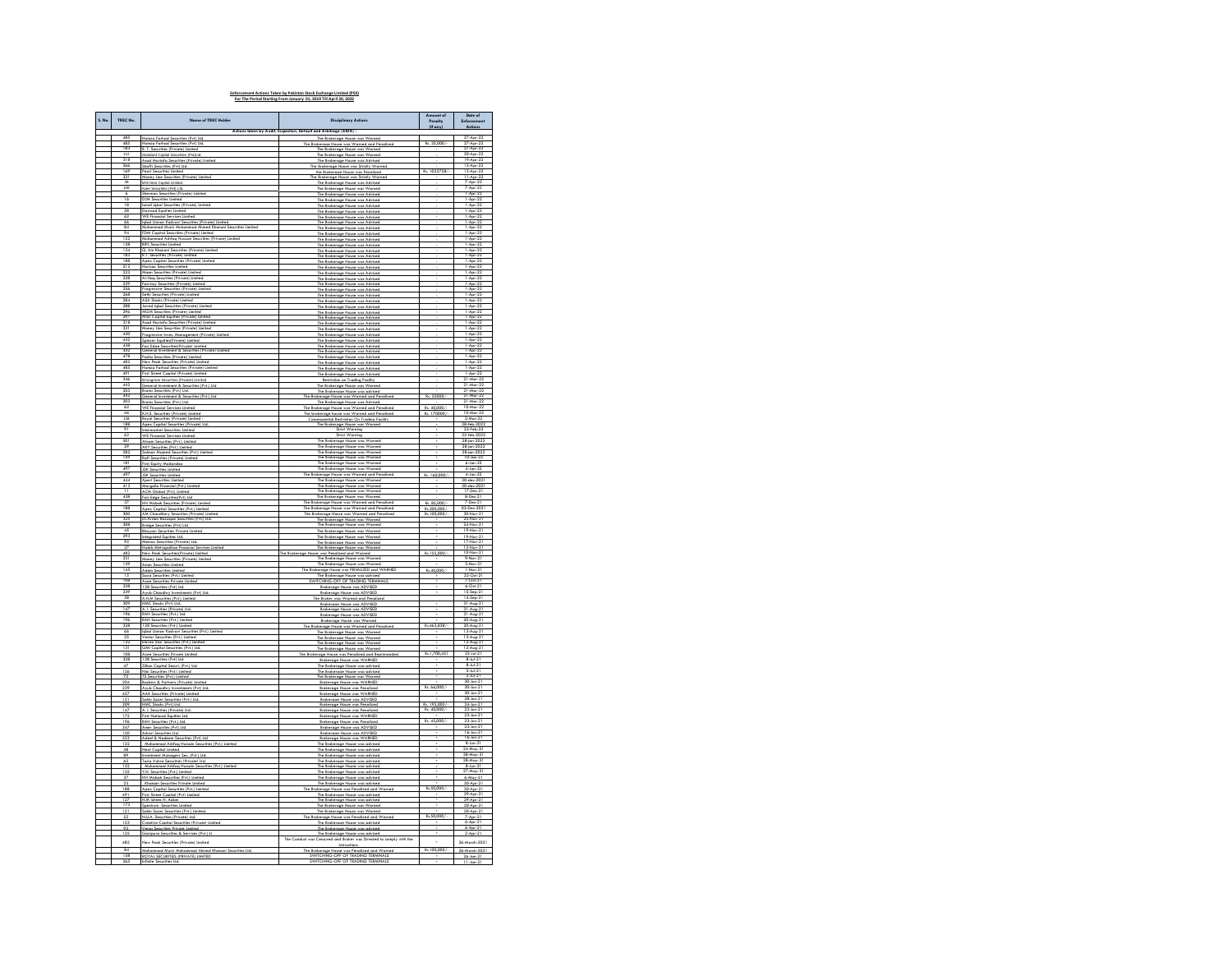| Actions taken by Audit, Inspection, Default and Arbitrage (AIDA) :<br>27-Apr-22<br>485<br>ad Securities (Pvt) Ltd<br>The Brokera<br>$ADE - 2$<br>Rs. 25.000/<br>Hamza Farhad Securities (Pvt) Ltd.<br>The Brokerage House was Warned and Penalized<br>183<br>R. T. Securities (Private) Limited<br>The Renkerning House was Womed<br>27-Apr-22<br>Standard Capital Securities (Pvt)Ltd<br>20-Apr-22<br>112<br>The Brokerage House was Warned<br>318<br>266<br>sad Mustafa Securities (Private) Limited<br>Nuffi Securities (Private) Limited<br>19-Apr-22<br>13-Apr-22<br>The Brokerage House was Advised<br>Shaffi Securities (Pvt) Ltd<br>The Brokerage House was Strictly Warner<br>169<br>Pearl Securities Limited<br>the Brokerage House was Penalized<br>Rs. 1032758/-<br>13-Apr-22<br>331<br>11-Apr-22<br><b>Tina Securities (Private) Limited</b><br>The Brakerage House was Strictly<br>M/S Next Capital Limited<br>7-Apr-22<br>7-Apr-22<br>48<br>108<br>The Brokerage House was Advised<br>$Ar-2$<br>Azee Securities (Pvt) Ltd.<br>The Brokerage House was Warned<br>man Securities (Private) Limited<br>The Brokerage House was Advised<br>1-Apr-22<br>6<br><b>DJM Securities Limited</b><br>16<br>$\frac{1 - \text{Apr} - 22}{1 - \text{Apr} - 22}$<br>s (Private) Limited<br>The Brokerage House was Advised<br>58<br>62<br>Dawood Equities Limited<br>WE Financial Services Limited<br>1-Apr-22<br>1-Apr-22<br>The Brokerage House was Advised<br>The Brokerage House was Advised<br>66<br>Iqbal Usman Kodvavi Securities (Private) Limited<br>The Brokerage House was Advised<br>1-Apr-22<br>$\frac{84}{94}$<br>Muhammad Munir Muhammad Ahmed Khanani Securities Limited<br>FDM Capital Securities (Private) Limited<br>$\frac{1 - \text{Apr} - 22}{1 - \text{Apr} - 22}$<br>The Brokerage House was Advis<br>The Brokerage House was Advised<br>122<br>ad Ashfaq Husain Securities (Private) Limited<br>The Brokerage House was Advised<br>$1-Apr-2$<br>128<br><b>BIPL Securities Limited</b><br>$1-Apr-22$<br>134<br>Q. Ain Khanani Securities (Private) Limited<br>R.T. Securities (Private) Limited<br>$1-Apr-22$<br>The Brokerage House was Advised<br>183<br>The Brokerage House was Advised<br>$1-Apr-2$<br>Apex Capital Securities (Private) Limited<br>188<br>212<br>The Brokerage House was Advised<br>1-Apr-22<br>1-Apr-22<br>Horizon Securities Limited<br>The Brokerage House was Advised<br>223<br>Maan Securities (Private) Limited<br>$1-Apr-2$<br>228<br><b>M-Haq Securities (Pr</b><br>$1-Apr-2$<br>ivate) Limitec<br>The Brokerage House was Advised<br>229<br>Fairway Securities (Private) Limited<br>The Brokerage House was Advised<br>1-Apr-22<br>256<br>rogressive Secu<br>ities (Private) Limited<br>The Renkerning House was Arbised<br>$1-Apr-2$<br>Sethi Securities (Private) Limited<br>ASA Stocks (Private) Limited<br>268<br>284<br>The Brokerage House was Advised<br>1-Apr-22<br>1-Apr-22<br>The Brokerage House was Advised<br>laved Igbal Securities (Private) Limited<br>-Apr-2<br>The Brokerage House was Advised<br>296<br>MGM Securities (Private) Limited<br>The Brokerage House was Advised<br>1-Apr-22<br>MSD Capital Equities (Private) Limited<br>1-Apr-22<br>The Brokerage House was Advised<br>The Brokerage House was Advised<br>318<br>sal Mustafa Securities (Private) Limited<br>Loney Line Securities (Private) Limited<br>1-Apr-22<br>1-Apr-22<br>331<br>The Brokerage House was Advised<br>420<br>Progressive Inves. Management (Private) Limited<br>The Brokerage House was Advised<br>1-Apr-22<br>432<br>The Brokerage House was Adv<br>$1-Apr-2$<br>438<br>1-Apr-22<br>Fair Edae Securities/Private) Limited<br>General Investment & Securities (Private) Lis<br>The Brokerage House was Advised<br>The Brokerage House was Advised<br>478<br>Pasha Securities (Private) Limited<br>The Brokerage House was Advised<br>$1-Apr-22$<br>482<br>New Peak Securities (Private) Limited<br>The Brokerage House was Advised<br>1-Apr-22<br>485<br>85 (Pr<br>The Brokerage House was Advised<br>$^{1.4}$<br>First Street Capital (Private) Limited<br>$-Apr-22$<br>The Brokerage House was Advised<br>346<br>Strongman Securities (Private) Limited<br>Restriction on Trading Facility<br>21-Mar-22<br>447<br>General Investment & Securities (Pvt.) Ltd.<br>The Brokerage House was Warned<br>21-Mar-22<br>203<br>442<br>-Mar-22<br>-Mar-22<br>Brains Securities (Pvt.) Ltd.<br>The Brokerage House was advised<br>General Investment & Securities (Pvt.) Ltd.<br>Rs. 25000<br>The Brokerage House was Warned and Pen<br>203<br>Brains Securities (Pvt.) Ltd.<br>The Brokerage House was Advised<br>21-Mar-22<br>62<br><b>Finanzial Services Limited</b><br>The Brokeraae House was Warned and Penalized<br>The brokerage house was Warned and Penalized<br>ø.<br>40,000<br>10-Mar-22<br>10-Mar-22<br>K.H.S. Securities (Private) Limited<br>Rs. 170000/<br>200<br>158<br>Royal Securities (Private) Limited<br>Consequential Restriction On Trading Facility<br>28-feb-2022<br>188<br>Apex Capital Securities (Private) Ltd.<br>The Brokerage House was Warned<br>91<br>narket Securities Limited<br>Strict Warning<br>23-Feb-22<br>Strict Warning<br>The Brokerage House was Warned<br>22-feb-2022<br>28-jan-2023<br>$\frac{1}{501}$<br>AKY Securities (Pvt.) Limited<br>The Brokerage House was Warned<br>The Brokerage House was Warned<br>28-jan-2022<br>28-jan-2022<br>$\frac{29}{282}$<br>Salman Maised Securities (Pvt.) Limited<br>The Brokerage House was Warned<br>The Brokerage House was Warned<br>10-Jan-22<br>159<br>181<br>Rafi Securities (Private) Limited<br>First Equity M<br>$6$ -Jan- $22$<br><b>JSK Securities Limited</b><br>he Brokerage House was Wan<br>$4-3$ an $-22$<br>497<br>The Brokerage House was Warned and Penalized<br>The Brokerage House was Warned<br>Rs. 160,000/-<br><b>ISK Securities Limited</b><br>4-Jan-22<br>444<br><b>Xpert Securities Limited</b><br>Margalla Financial (Pvt.) Limited<br>30-dec-2021<br>413<br>The Brokerage House was Warned<br>The Brokerage House was Warned<br>30<br>$-202$<br>17-Dec-21<br><b>ACM Global (Pvt.) Limited</b><br>$rac{11}{438}$<br>Fair Edge Securities(Pvt) Ltd.<br>The Brokerage House was Warned<br>8-Dec-21<br>The Rokerage House was Warned and Penalized<br>The Rrokerage House was Warned and Penalized<br>The Rrokerage House was Warned and Penalized<br>R. 85,000<br>7-Dec-21<br>37<br><b>HH Misboh Securities (Private) Limited</b><br>Apex Capital Securities (Pvt.) Limited<br>03-Dec-2021<br>188<br>Rs.300,000<br>$Nov-2$<br>AM Chaudhary Securities (Private) Limited<br>Rs.100,000/<br>325<br>Dr.Arslan Razaque Securities (Pvt.) Ltd.<br>The Brokerage House was Warned<br>25-Nov-21<br>308<br>Bridge Securities (Pvt) Ltd<br>The Brokerage House was Warned<br>24-Nov-21<br>19-Nov-21<br>45<br>293<br>Shayani Securities Private Limited<br>Shayani Securities Private Limited<br>The Brokerage House was Warned<br>19-Nov-21<br>17-Nov-21<br>The Brokerage House was Warned<br>92<br>Memon Securities (Private) Ltd.<br>The Brokerage House was Warned<br>Habib Metropolitan Financial Services Limited<br>12-Nov-21<br>$\overline{27}$<br>The Brokerage House was Wa<br>482<br>331<br>139<br>New Peak Securities(Private) Limited<br>Rs.155,000/<br>10-Nov-21<br>9-Nov-21<br>2-Nov-21<br>The Brokerage House<br>was Penalized and Warned<br>The Brokerage House was Wa<br>Money Line Securities (Private) Limited<br>Asian Securities Limited<br>skerage Hou<br>Yov-<br>145<br><b>Adom Securities Limited</b><br>The Brokerage House was PENALIZED and WARNED<br>Rs.40,000/<br>1-Nov-21<br>The Brokerage House<br>22-Oct-21<br>$\overline{15}$<br>rities (Pvt.) Limited<br>was advised<br>$\overline{108}$<br>SWITCHING-OFF OF TRADING TERMINALS<br>Azee Securities Private Limited<br>328<br>6-0d-21<br>15-Sep-21<br>128 Securities (Pvt) Ltd<br>Brokerage House was ADVISED<br>ments (Pvt) Ltd.<br>Brokerage House was ADVISED<br>Avub Chaudhry Invest<br>38<br>A.H.M Securities (Pvt.) Limited<br>The Broker was Warned and Penalized<br>14-Sep-21<br>309<br>147<br>31-Aug-2<br>31-Aug-2<br>HMC Stocks (Pvt) Ltd.<br>A. I. Securities (Private) Ltd<br>Brokerage House was ADVISED<br>RAH Securities (Pvt.) Ltd<br>196<br>Brokerage House was ADVISED<br>$Aug-2$<br>196<br>RAH Securities (Pvt.) Limited<br>20-Aug-2<br>328<br>128 Securities (Pvt.) Limited<br>The Brokerage House was Warned and Penalized<br>Rs.463,838/-<br>20-Aug-21<br>$13-Avq-2$<br>gbal Usman Kodvavi Securities (I<br>The Brokerage House was Warned<br>Vector Securities (Pvt.) Limited<br>$\frac{25}{132}$<br>The Brokerage House was Warned<br>13-Aug-21<br>12-Aug-21<br>12-Aug-21<br>23-Jul-21<br>ven Star Securities (Pvt.) Limited<br>The Brokerage House was Warned<br>GMI Capital Securities (Pvt.) Ltd<br>131<br>W<br>108<br>Rs.1,700,451<br>vate Limited<br>The Brokerage House was Penalized and Reprimanded<br>Azee Securities Pri<br>328<br>128 Securities (Pvt) Ltd.<br>Brokerage House was WARNED<br>$8-14-21$<br><b>Zilion Conital Securi (Pvt ) Itd.</b><br>The Renkerning House was advised<br>47<br>$8-Jul-2$<br>5-Jul-21<br>2-Jul-21<br>30-Jun-2<br>126<br>Nini Securities (Pvt.) Limited<br>Brokerage House was advised<br>72<br>S Securities (Pvt.) Limited<br>The Brokerage House was Warne<br>204<br>Backers & Partners (Private) Limited<br>Brokerage House was WARNED<br>239<br>Avub Chaudhry Investments (Pvt) Ltd.<br>Brokerage House was Penalized<br>Rs. 66,000/-<br>30-Jun-21<br>$\frac{457}{121}$<br>AND CHOOSETT STERNHIFT<br>30-Jun-21<br>Brokerage House was WARNED<br>Brokerage House was ADVISED<br>28. li<br>Rs. 195,000<br>309<br>HMC Stocks (Pvt) Ltd.<br><b>Brokerage House was Penalized</b><br>24-Jun-21<br>147<br>A. I. Securities (Private) Ltd.<br><b>Brokerage House was Penalized</b><br>Rs. 40,000/<br>23-Jun-21<br>$23$ -Jun- $2$<br>First Netfinsed Feuillies Ltd<br><b>Renkarnna Hrusa was WARNED</b><br>Rs. 45,000/-<br>23-Jun-21<br>23-Jun-21<br>196<br>RAH Securities (Pvt.) Ltd<br>Brokerage House was Pena<br>347<br>Amer Securities (Pvt) Ltd.<br>Brokerage House was ADVISED<br>150<br>Askari Securities Ltd.<br>Brokerage House was ADVISED<br>16-Jun-21<br>323<br>Adeel & Nadeem Securities (Pvt) Ltd.<br>Brokerage House was WARNED<br>16-Jun-21<br>$\overline{122}$<br>d Ashfoo Hur<br>(Pvt.) Limit<br>The Br<br>8-Jun-21<br>24-May-2<br>48<br>Next Capital Limited<br>The Brokerage House was advised<br>89<br>Investment Managers Sec. (Pvt.) Ltd.<br>The Brokerage House was advised<br>28-May-2<br>Taria Vohra Securities (Private) Ltd.<br>The Brokerage House was advised<br>28-May-2<br>k.<br>8-Jun-21<br>122<br>135<br>Muhammad Ashfaq Hussain Securities (Pvt.) Limited<br>(H. Securities (Pvt.) Limited<br>The Brokerage House was advise<br>The Brokerage House was advised<br>37<br>HH Misboh Securities (Pvt.) Limited<br>The Brokerage House was advised<br>$6-May-21$<br>Khanani Securities Private Limited<br>The Brokerage House was advised<br>$30-Aor-21$<br>23<br>188<br>491<br>Rs.50,000/<br><b>Apex Cooltal Securities (Pvt.) Limited</b><br>Apex Cooltal Securities (Pvt.) Limited<br>The Rock<br>keraae House was Pendized and Wy<br>The Brokerage House was advised<br>30-Apr-21<br>29-Apr-21<br>H.M. Idrees H. Adom<br>The Brokerage House was advised<br>$\frac{127}{173}$<br>29-Apr-21<br>Spectrum Securities Limited<br>The Brokerage House was Warned<br>20-Apr-21<br>ialim Sozer Securities (Pvt.) Limited<br>The Brokerage House was Warned<br>121<br>Rs.50,000/-<br>The Brokers<br>7-Apr-21<br>N.U.A. Securities (Private) Ltd.<br>e House was Penalized and Wa<br>$\frac{52}{153}$<br>Creative Capital Securities (Private) Limited<br>The Brokerage House was advised<br>$6-Apr-21$<br>93<br>Venus Securities Private Limited<br>The Brokerage House was advised<br>$6 -$ Apr $-21$<br>urities & Services (Pvt.) L<br>$2-Apr-2$<br>Brokeraae House was advised<br>.red and Broker was Directed to comply with the<br>The Conduct was Cen<br>482<br>New Peak Securities (Private) Limited<br>ä,<br>26-March-2021<br>instructions.<br>$\frac{84}{158}$<br>Mohammad Munir Mohammad Ahmed Khanani Securities Ltd.<br>Rs.100,000/-<br>26-March-2021 | S. No | TREC No. | Name of TREC Hol                   | Disciplinary Actions                                                               | ut of<br>Penalty<br>(If any) | Date of<br>Enforcem<br>Artinna |
|-------------------------------------------------------------------------------------------------------------------------------------------------------------------------------------------------------------------------------------------------------------------------------------------------------------------------------------------------------------------------------------------------------------------------------------------------------------------------------------------------------------------------------------------------------------------------------------------------------------------------------------------------------------------------------------------------------------------------------------------------------------------------------------------------------------------------------------------------------------------------------------------------------------------------------------------------------------------------------------------------------------------------------------------------------------------------------------------------------------------------------------------------------------------------------------------------------------------------------------------------------------------------------------------------------------------------------------------------------------------------------------------------------------------------------------------------------------------------------------------------------------------------------------------------------------------------------------------------------------------------------------------------------------------------------------------------------------------------------------------------------------------------------------------------------------------------------------------------------------------------------------------------------------------------------------------------------------------------------------------------------------------------------------------------------------------------------------------------------------------------------------------------------------------------------------------------------------------------------------------------------------------------------------------------------------------------------------------------------------------------------------------------------------------------------------------------------------------------------------------------------------------------------------------------------------------------------------------------------------------------------------------------------------------------------------------------------------------------------------------------------------------------------------------------------------------------------------------------------------------------------------------------------------------------------------------------------------------------------------------------------------------------------------------------------------------------------------------------------------------------------------------------------------------------------------------------------------------------------------------------------------------------------------------------------------------------------------------------------------------------------------------------------------------------------------------------------------------------------------------------------------------------------------------------------------------------------------------------------------------------------------------------------------------------------------------------------------------------------------------------------------------------------------------------------------------------------------------------------------------------------------------------------------------------------------------------------------------------------------------------------------------------------------------------------------------------------------------------------------------------------------------------------------------------------------------------------------------------------------------------------------------------------------------------------------------------------------------------------------------------------------------------------------------------------------------------------------------------------------------------------------------------------------------------------------------------------------------------------------------------------------------------------------------------------------------------------------------------------------------------------------------------------------------------------------------------------------------------------------------------------------------------------------------------------------------------------------------------------------------------------------------------------------------------------------------------------------------------------------------------------------------------------------------------------------------------------------------------------------------------------------------------------------------------------------------------------------------------------------------------------------------------------------------------------------------------------------------------------------------------------------------------------------------------------------------------------------------------------------------------------------------------------------------------------------------------------------------------------------------------------------------------------------------------------------------------------------------------------------------------------------------------------------------------------------------------------------------------------------------------------------------------------------------------------------------------------------------------------------------------------------------------------------------------------------------------------------------------------------------------------------------------------------------------------------------------------------------------------------------------------------------------------------------------------------------------------------------------------------------------------------------------------------------------------------------------------------------------------------------------------------------------------------------------------------------------------------------------------------------------------------------------------------------------------------------------------------------------------------------------------------------------------------------------------------------------------------------------------------------------------------------------------------------------------------------------------------------------------------------------------------------------------------------------------------------------------------------------------------------------------------------------------------------------------------------------------------------------------------------------------------------------------------------------------------------------------------------------------------------------------------------------------------------------------------------------------------------------------------------------------------------------------------------------------------------------------------------------------------------------------------------------------------------------------------------------------------------------------------------------------------------------------------------------------------------------------------------------------------------------------------------------------------------------------------------------------------------------------------------------------------------------------------------------------------------------------------------------------------------------------------------------------------------------------------------------------------------------------------------------------------------------------------------------------------------------------------------------------------------------------------------------------------------------------------------------------------------------------------------------------------------------------------------------------------------------------------------------------------------------------------------------------------------------------------------------------------------------------------------------------------------------------------------------------------------------------------------------------------------------------------------------------------------------------------------------------------------------------------------------------------------------------------------------------------------------------------------------------------------------------------------------------------------------------------------------------------------------------------------------------------------------------------------------------------------------------------------------------------------------------------------------------------------------------------------------------------------------------------------------------------------------------------------------------------------------------------------------------------------------------------------------------------------------------------------------------------------------------------------------------------------------------------------------------------------------------------------------------------------------------------------------------------------------------------------------------------------------------------------------------------------------------------------------------------------------------------------------------------------------------------------------------------------------------------------------------------------------------------------------------------------------------------------------------------------------------------------------------------------------------------------------------------------------------------------------------------------------------------------------------------------------------------------------------------------------------------------------------------------------------------------------------------------------------------------------------------------------------------------------------------------------------------------------------------------------------------------------------------------------------------------------------------------------------------------------------------------------------------------------------------------------------------------------------------------------------------------------------------------------------------------------------------------------------------------------------------------------------------------------------------------------------------------------------------------------------------------------------------------------------------------------------------------------------------------------------------------------------------------------------------------------------------------------------------------------------------------------------------------------------------------------------------------------------------------------------------------------------------------------------------------------------------------------------------------------------------------------------------------------------------------------------------------------------------------------------------------------------------------------------------------------------------------------------------------------------------------------------------------------------------------------------------------------------|-------|----------|------------------------------------|------------------------------------------------------------------------------------|------------------------------|--------------------------------|
|                                                                                                                                                                                                                                                                                                                                                                                                                                                                                                                                                                                                                                                                                                                                                                                                                                                                                                                                                                                                                                                                                                                                                                                                                                                                                                                                                                                                                                                                                                                                                                                                                                                                                                                                                                                                                                                                                                                                                                                                                                                                                                                                                                                                                                                                                                                                                                                                                                                                                                                                                                                                                                                                                                                                                                                                                                                                                                                                                                                                                                                                                                                                                                                                                                                                                                                                                                                                                                                                                                                                                                                                                                                                                                                                                                                                                                                                                                                                                                                                                                                                                                                                                                                                                                                                                                                                                                                                                                                                                                                                                                                                                                                                                                                                                                                                                                                                                                                                                                                                                                                                                                                                                                                                                                                                                                                                                                                                                                                                                                                                                                                                                                                                                                                                                                                                                                                                                                                                                                                                                                                                                                                                                                                                                                                                                                                                                                                                                                                                                                                                                                                                                                                                                                                                                                                                                                                                                                                                                                                                                                                                                                                                                                                                                                                                                                                                                                                                                                                                                                                                                                                                                                                                                                                                                                                                                                                                                                                                                                                                                                                                                                                                                                                                                                                                                                                                                                                                                                                                                                                                                                                                                                                                                                                                                                                                                                                                                                                                                                                                                                                                                                                                                                                                                                                                                                                                                                                                                                                                                                                                                                                                                                                                                                                                                                                                                                                                                                                                                                                                                                                                                                                                                                                                                                                                                                                                                                                                                                                                                                                                                                                                                                                                                                                                                                                                                                                                                                                                                                                                                                                                                                                                                                                                                                                                                                                                                                                                                                                                                                                                                                                                                                                                                                                                                                                                                                                                                                                                                                                                                                                                                                                                                                                                                                                                                                       |       |          |                                    |                                                                                    |                              |                                |
|                                                                                                                                                                                                                                                                                                                                                                                                                                                                                                                                                                                                                                                                                                                                                                                                                                                                                                                                                                                                                                                                                                                                                                                                                                                                                                                                                                                                                                                                                                                                                                                                                                                                                                                                                                                                                                                                                                                                                                                                                                                                                                                                                                                                                                                                                                                                                                                                                                                                                                                                                                                                                                                                                                                                                                                                                                                                                                                                                                                                                                                                                                                                                                                                                                                                                                                                                                                                                                                                                                                                                                                                                                                                                                                                                                                                                                                                                                                                                                                                                                                                                                                                                                                                                                                                                                                                                                                                                                                                                                                                                                                                                                                                                                                                                                                                                                                                                                                                                                                                                                                                                                                                                                                                                                                                                                                                                                                                                                                                                                                                                                                                                                                                                                                                                                                                                                                                                                                                                                                                                                                                                                                                                                                                                                                                                                                                                                                                                                                                                                                                                                                                                                                                                                                                                                                                                                                                                                                                                                                                                                                                                                                                                                                                                                                                                                                                                                                                                                                                                                                                                                                                                                                                                                                                                                                                                                                                                                                                                                                                                                                                                                                                                                                                                                                                                                                                                                                                                                                                                                                                                                                                                                                                                                                                                                                                                                                                                                                                                                                                                                                                                                                                                                                                                                                                                                                                                                                                                                                                                                                                                                                                                                                                                                                                                                                                                                                                                                                                                                                                                                                                                                                                                                                                                                                                                                                                                                                                                                                                                                                                                                                                                                                                                                                                                                                                                                                                                                                                                                                                                                                                                                                                                                                                                                                                                                                                                                                                                                                                                                                                                                                                                                                                                                                                                                                                                                                                                                                                                                                                                                                                                                                                                                                                                                                                                                       |       |          |                                    |                                                                                    |                              |                                |
|                                                                                                                                                                                                                                                                                                                                                                                                                                                                                                                                                                                                                                                                                                                                                                                                                                                                                                                                                                                                                                                                                                                                                                                                                                                                                                                                                                                                                                                                                                                                                                                                                                                                                                                                                                                                                                                                                                                                                                                                                                                                                                                                                                                                                                                                                                                                                                                                                                                                                                                                                                                                                                                                                                                                                                                                                                                                                                                                                                                                                                                                                                                                                                                                                                                                                                                                                                                                                                                                                                                                                                                                                                                                                                                                                                                                                                                                                                                                                                                                                                                                                                                                                                                                                                                                                                                                                                                                                                                                                                                                                                                                                                                                                                                                                                                                                                                                                                                                                                                                                                                                                                                                                                                                                                                                                                                                                                                                                                                                                                                                                                                                                                                                                                                                                                                                                                                                                                                                                                                                                                                                                                                                                                                                                                                                                                                                                                                                                                                                                                                                                                                                                                                                                                                                                                                                                                                                                                                                                                                                                                                                                                                                                                                                                                                                                                                                                                                                                                                                                                                                                                                                                                                                                                                                                                                                                                                                                                                                                                                                                                                                                                                                                                                                                                                                                                                                                                                                                                                                                                                                                                                                                                                                                                                                                                                                                                                                                                                                                                                                                                                                                                                                                                                                                                                                                                                                                                                                                                                                                                                                                                                                                                                                                                                                                                                                                                                                                                                                                                                                                                                                                                                                                                                                                                                                                                                                                                                                                                                                                                                                                                                                                                                                                                                                                                                                                                                                                                                                                                                                                                                                                                                                                                                                                                                                                                                                                                                                                                                                                                                                                                                                                                                                                                                                                                                                                                                                                                                                                                                                                                                                                                                                                                                                                                                                                                       |       |          |                                    |                                                                                    |                              |                                |
|                                                                                                                                                                                                                                                                                                                                                                                                                                                                                                                                                                                                                                                                                                                                                                                                                                                                                                                                                                                                                                                                                                                                                                                                                                                                                                                                                                                                                                                                                                                                                                                                                                                                                                                                                                                                                                                                                                                                                                                                                                                                                                                                                                                                                                                                                                                                                                                                                                                                                                                                                                                                                                                                                                                                                                                                                                                                                                                                                                                                                                                                                                                                                                                                                                                                                                                                                                                                                                                                                                                                                                                                                                                                                                                                                                                                                                                                                                                                                                                                                                                                                                                                                                                                                                                                                                                                                                                                                                                                                                                                                                                                                                                                                                                                                                                                                                                                                                                                                                                                                                                                                                                                                                                                                                                                                                                                                                                                                                                                                                                                                                                                                                                                                                                                                                                                                                                                                                                                                                                                                                                                                                                                                                                                                                                                                                                                                                                                                                                                                                                                                                                                                                                                                                                                                                                                                                                                                                                                                                                                                                                                                                                                                                                                                                                                                                                                                                                                                                                                                                                                                                                                                                                                                                                                                                                                                                                                                                                                                                                                                                                                                                                                                                                                                                                                                                                                                                                                                                                                                                                                                                                                                                                                                                                                                                                                                                                                                                                                                                                                                                                                                                                                                                                                                                                                                                                                                                                                                                                                                                                                                                                                                                                                                                                                                                                                                                                                                                                                                                                                                                                                                                                                                                                                                                                                                                                                                                                                                                                                                                                                                                                                                                                                                                                                                                                                                                                                                                                                                                                                                                                                                                                                                                                                                                                                                                                                                                                                                                                                                                                                                                                                                                                                                                                                                                                                                                                                                                                                                                                                                                                                                                                                                                                                                                                                                                       |       |          |                                    |                                                                                    |                              |                                |
|                                                                                                                                                                                                                                                                                                                                                                                                                                                                                                                                                                                                                                                                                                                                                                                                                                                                                                                                                                                                                                                                                                                                                                                                                                                                                                                                                                                                                                                                                                                                                                                                                                                                                                                                                                                                                                                                                                                                                                                                                                                                                                                                                                                                                                                                                                                                                                                                                                                                                                                                                                                                                                                                                                                                                                                                                                                                                                                                                                                                                                                                                                                                                                                                                                                                                                                                                                                                                                                                                                                                                                                                                                                                                                                                                                                                                                                                                                                                                                                                                                                                                                                                                                                                                                                                                                                                                                                                                                                                                                                                                                                                                                                                                                                                                                                                                                                                                                                                                                                                                                                                                                                                                                                                                                                                                                                                                                                                                                                                                                                                                                                                                                                                                                                                                                                                                                                                                                                                                                                                                                                                                                                                                                                                                                                                                                                                                                                                                                                                                                                                                                                                                                                                                                                                                                                                                                                                                                                                                                                                                                                                                                                                                                                                                                                                                                                                                                                                                                                                                                                                                                                                                                                                                                                                                                                                                                                                                                                                                                                                                                                                                                                                                                                                                                                                                                                                                                                                                                                                                                                                                                                                                                                                                                                                                                                                                                                                                                                                                                                                                                                                                                                                                                                                                                                                                                                                                                                                                                                                                                                                                                                                                                                                                                                                                                                                                                                                                                                                                                                                                                                                                                                                                                                                                                                                                                                                                                                                                                                                                                                                                                                                                                                                                                                                                                                                                                                                                                                                                                                                                                                                                                                                                                                                                                                                                                                                                                                                                                                                                                                                                                                                                                                                                                                                                                                                                                                                                                                                                                                                                                                                                                                                                                                                                                                                                                       |       |          |                                    |                                                                                    |                              |                                |
|                                                                                                                                                                                                                                                                                                                                                                                                                                                                                                                                                                                                                                                                                                                                                                                                                                                                                                                                                                                                                                                                                                                                                                                                                                                                                                                                                                                                                                                                                                                                                                                                                                                                                                                                                                                                                                                                                                                                                                                                                                                                                                                                                                                                                                                                                                                                                                                                                                                                                                                                                                                                                                                                                                                                                                                                                                                                                                                                                                                                                                                                                                                                                                                                                                                                                                                                                                                                                                                                                                                                                                                                                                                                                                                                                                                                                                                                                                                                                                                                                                                                                                                                                                                                                                                                                                                                                                                                                                                                                                                                                                                                                                                                                                                                                                                                                                                                                                                                                                                                                                                                                                                                                                                                                                                                                                                                                                                                                                                                                                                                                                                                                                                                                                                                                                                                                                                                                                                                                                                                                                                                                                                                                                                                                                                                                                                                                                                                                                                                                                                                                                                                                                                                                                                                                                                                                                                                                                                                                                                                                                                                                                                                                                                                                                                                                                                                                                                                                                                                                                                                                                                                                                                                                                                                                                                                                                                                                                                                                                                                                                                                                                                                                                                                                                                                                                                                                                                                                                                                                                                                                                                                                                                                                                                                                                                                                                                                                                                                                                                                                                                                                                                                                                                                                                                                                                                                                                                                                                                                                                                                                                                                                                                                                                                                                                                                                                                                                                                                                                                                                                                                                                                                                                                                                                                                                                                                                                                                                                                                                                                                                                                                                                                                                                                                                                                                                                                                                                                                                                                                                                                                                                                                                                                                                                                                                                                                                                                                                                                                                                                                                                                                                                                                                                                                                                                                                                                                                                                                                                                                                                                                                                                                                                                                                                                                                                       |       |          |                                    |                                                                                    |                              |                                |
|                                                                                                                                                                                                                                                                                                                                                                                                                                                                                                                                                                                                                                                                                                                                                                                                                                                                                                                                                                                                                                                                                                                                                                                                                                                                                                                                                                                                                                                                                                                                                                                                                                                                                                                                                                                                                                                                                                                                                                                                                                                                                                                                                                                                                                                                                                                                                                                                                                                                                                                                                                                                                                                                                                                                                                                                                                                                                                                                                                                                                                                                                                                                                                                                                                                                                                                                                                                                                                                                                                                                                                                                                                                                                                                                                                                                                                                                                                                                                                                                                                                                                                                                                                                                                                                                                                                                                                                                                                                                                                                                                                                                                                                                                                                                                                                                                                                                                                                                                                                                                                                                                                                                                                                                                                                                                                                                                                                                                                                                                                                                                                                                                                                                                                                                                                                                                                                                                                                                                                                                                                                                                                                                                                                                                                                                                                                                                                                                                                                                                                                                                                                                                                                                                                                                                                                                                                                                                                                                                                                                                                                                                                                                                                                                                                                                                                                                                                                                                                                                                                                                                                                                                                                                                                                                                                                                                                                                                                                                                                                                                                                                                                                                                                                                                                                                                                                                                                                                                                                                                                                                                                                                                                                                                                                                                                                                                                                                                                                                                                                                                                                                                                                                                                                                                                                                                                                                                                                                                                                                                                                                                                                                                                                                                                                                                                                                                                                                                                                                                                                                                                                                                                                                                                                                                                                                                                                                                                                                                                                                                                                                                                                                                                                                                                                                                                                                                                                                                                                                                                                                                                                                                                                                                                                                                                                                                                                                                                                                                                                                                                                                                                                                                                                                                                                                                                                                                                                                                                                                                                                                                                                                                                                                                                                                                                                                                                       |       |          |                                    |                                                                                    |                              |                                |
|                                                                                                                                                                                                                                                                                                                                                                                                                                                                                                                                                                                                                                                                                                                                                                                                                                                                                                                                                                                                                                                                                                                                                                                                                                                                                                                                                                                                                                                                                                                                                                                                                                                                                                                                                                                                                                                                                                                                                                                                                                                                                                                                                                                                                                                                                                                                                                                                                                                                                                                                                                                                                                                                                                                                                                                                                                                                                                                                                                                                                                                                                                                                                                                                                                                                                                                                                                                                                                                                                                                                                                                                                                                                                                                                                                                                                                                                                                                                                                                                                                                                                                                                                                                                                                                                                                                                                                                                                                                                                                                                                                                                                                                                                                                                                                                                                                                                                                                                                                                                                                                                                                                                                                                                                                                                                                                                                                                                                                                                                                                                                                                                                                                                                                                                                                                                                                                                                                                                                                                                                                                                                                                                                                                                                                                                                                                                                                                                                                                                                                                                                                                                                                                                                                                                                                                                                                                                                                                                                                                                                                                                                                                                                                                                                                                                                                                                                                                                                                                                                                                                                                                                                                                                                                                                                                                                                                                                                                                                                                                                                                                                                                                                                                                                                                                                                                                                                                                                                                                                                                                                                                                                                                                                                                                                                                                                                                                                                                                                                                                                                                                                                                                                                                                                                                                                                                                                                                                                                                                                                                                                                                                                                                                                                                                                                                                                                                                                                                                                                                                                                                                                                                                                                                                                                                                                                                                                                                                                                                                                                                                                                                                                                                                                                                                                                                                                                                                                                                                                                                                                                                                                                                                                                                                                                                                                                                                                                                                                                                                                                                                                                                                                                                                                                                                                                                                                                                                                                                                                                                                                                                                                                                                                                                                                                                                                                                       |       |          |                                    |                                                                                    |                              |                                |
|                                                                                                                                                                                                                                                                                                                                                                                                                                                                                                                                                                                                                                                                                                                                                                                                                                                                                                                                                                                                                                                                                                                                                                                                                                                                                                                                                                                                                                                                                                                                                                                                                                                                                                                                                                                                                                                                                                                                                                                                                                                                                                                                                                                                                                                                                                                                                                                                                                                                                                                                                                                                                                                                                                                                                                                                                                                                                                                                                                                                                                                                                                                                                                                                                                                                                                                                                                                                                                                                                                                                                                                                                                                                                                                                                                                                                                                                                                                                                                                                                                                                                                                                                                                                                                                                                                                                                                                                                                                                                                                                                                                                                                                                                                                                                                                                                                                                                                                                                                                                                                                                                                                                                                                                                                                                                                                                                                                                                                                                                                                                                                                                                                                                                                                                                                                                                                                                                                                                                                                                                                                                                                                                                                                                                                                                                                                                                                                                                                                                                                                                                                                                                                                                                                                                                                                                                                                                                                                                                                                                                                                                                                                                                                                                                                                                                                                                                                                                                                                                                                                                                                                                                                                                                                                                                                                                                                                                                                                                                                                                                                                                                                                                                                                                                                                                                                                                                                                                                                                                                                                                                                                                                                                                                                                                                                                                                                                                                                                                                                                                                                                                                                                                                                                                                                                                                                                                                                                                                                                                                                                                                                                                                                                                                                                                                                                                                                                                                                                                                                                                                                                                                                                                                                                                                                                                                                                                                                                                                                                                                                                                                                                                                                                                                                                                                                                                                                                                                                                                                                                                                                                                                                                                                                                                                                                                                                                                                                                                                                                                                                                                                                                                                                                                                                                                                                                                                                                                                                                                                                                                                                                                                                                                                                                                                                                                                                       |       |          |                                    |                                                                                    |                              |                                |
|                                                                                                                                                                                                                                                                                                                                                                                                                                                                                                                                                                                                                                                                                                                                                                                                                                                                                                                                                                                                                                                                                                                                                                                                                                                                                                                                                                                                                                                                                                                                                                                                                                                                                                                                                                                                                                                                                                                                                                                                                                                                                                                                                                                                                                                                                                                                                                                                                                                                                                                                                                                                                                                                                                                                                                                                                                                                                                                                                                                                                                                                                                                                                                                                                                                                                                                                                                                                                                                                                                                                                                                                                                                                                                                                                                                                                                                                                                                                                                                                                                                                                                                                                                                                                                                                                                                                                                                                                                                                                                                                                                                                                                                                                                                                                                                                                                                                                                                                                                                                                                                                                                                                                                                                                                                                                                                                                                                                                                                                                                                                                                                                                                                                                                                                                                                                                                                                                                                                                                                                                                                                                                                                                                                                                                                                                                                                                                                                                                                                                                                                                                                                                                                                                                                                                                                                                                                                                                                                                                                                                                                                                                                                                                                                                                                                                                                                                                                                                                                                                                                                                                                                                                                                                                                                                                                                                                                                                                                                                                                                                                                                                                                                                                                                                                                                                                                                                                                                                                                                                                                                                                                                                                                                                                                                                                                                                                                                                                                                                                                                                                                                                                                                                                                                                                                                                                                                                                                                                                                                                                                                                                                                                                                                                                                                                                                                                                                                                                                                                                                                                                                                                                                                                                                                                                                                                                                                                                                                                                                                                                                                                                                                                                                                                                                                                                                                                                                                                                                                                                                                                                                                                                                                                                                                                                                                                                                                                                                                                                                                                                                                                                                                                                                                                                                                                                                                                                                                                                                                                                                                                                                                                                                                                                                                                                                                                                       |       |          |                                    |                                                                                    |                              |                                |
|                                                                                                                                                                                                                                                                                                                                                                                                                                                                                                                                                                                                                                                                                                                                                                                                                                                                                                                                                                                                                                                                                                                                                                                                                                                                                                                                                                                                                                                                                                                                                                                                                                                                                                                                                                                                                                                                                                                                                                                                                                                                                                                                                                                                                                                                                                                                                                                                                                                                                                                                                                                                                                                                                                                                                                                                                                                                                                                                                                                                                                                                                                                                                                                                                                                                                                                                                                                                                                                                                                                                                                                                                                                                                                                                                                                                                                                                                                                                                                                                                                                                                                                                                                                                                                                                                                                                                                                                                                                                                                                                                                                                                                                                                                                                                                                                                                                                                                                                                                                                                                                                                                                                                                                                                                                                                                                                                                                                                                                                                                                                                                                                                                                                                                                                                                                                                                                                                                                                                                                                                                                                                                                                                                                                                                                                                                                                                                                                                                                                                                                                                                                                                                                                                                                                                                                                                                                                                                                                                                                                                                                                                                                                                                                                                                                                                                                                                                                                                                                                                                                                                                                                                                                                                                                                                                                                                                                                                                                                                                                                                                                                                                                                                                                                                                                                                                                                                                                                                                                                                                                                                                                                                                                                                                                                                                                                                                                                                                                                                                                                                                                                                                                                                                                                                                                                                                                                                                                                                                                                                                                                                                                                                                                                                                                                                                                                                                                                                                                                                                                                                                                                                                                                                                                                                                                                                                                                                                                                                                                                                                                                                                                                                                                                                                                                                                                                                                                                                                                                                                                                                                                                                                                                                                                                                                                                                                                                                                                                                                                                                                                                                                                                                                                                                                                                                                                                                                                                                                                                                                                                                                                                                                                                                                                                                                                                                                       |       |          |                                    |                                                                                    |                              |                                |
|                                                                                                                                                                                                                                                                                                                                                                                                                                                                                                                                                                                                                                                                                                                                                                                                                                                                                                                                                                                                                                                                                                                                                                                                                                                                                                                                                                                                                                                                                                                                                                                                                                                                                                                                                                                                                                                                                                                                                                                                                                                                                                                                                                                                                                                                                                                                                                                                                                                                                                                                                                                                                                                                                                                                                                                                                                                                                                                                                                                                                                                                                                                                                                                                                                                                                                                                                                                                                                                                                                                                                                                                                                                                                                                                                                                                                                                                                                                                                                                                                                                                                                                                                                                                                                                                                                                                                                                                                                                                                                                                                                                                                                                                                                                                                                                                                                                                                                                                                                                                                                                                                                                                                                                                                                                                                                                                                                                                                                                                                                                                                                                                                                                                                                                                                                                                                                                                                                                                                                                                                                                                                                                                                                                                                                                                                                                                                                                                                                                                                                                                                                                                                                                                                                                                                                                                                                                                                                                                                                                                                                                                                                                                                                                                                                                                                                                                                                                                                                                                                                                                                                                                                                                                                                                                                                                                                                                                                                                                                                                                                                                                                                                                                                                                                                                                                                                                                                                                                                                                                                                                                                                                                                                                                                                                                                                                                                                                                                                                                                                                                                                                                                                                                                                                                                                                                                                                                                                                                                                                                                                                                                                                                                                                                                                                                                                                                                                                                                                                                                                                                                                                                                                                                                                                                                                                                                                                                                                                                                                                                                                                                                                                                                                                                                                                                                                                                                                                                                                                                                                                                                                                                                                                                                                                                                                                                                                                                                                                                                                                                                                                                                                                                                                                                                                                                                                                                                                                                                                                                                                                                                                                                                                                                                                                                                                                                                       |       |          |                                    |                                                                                    |                              |                                |
|                                                                                                                                                                                                                                                                                                                                                                                                                                                                                                                                                                                                                                                                                                                                                                                                                                                                                                                                                                                                                                                                                                                                                                                                                                                                                                                                                                                                                                                                                                                                                                                                                                                                                                                                                                                                                                                                                                                                                                                                                                                                                                                                                                                                                                                                                                                                                                                                                                                                                                                                                                                                                                                                                                                                                                                                                                                                                                                                                                                                                                                                                                                                                                                                                                                                                                                                                                                                                                                                                                                                                                                                                                                                                                                                                                                                                                                                                                                                                                                                                                                                                                                                                                                                                                                                                                                                                                                                                                                                                                                                                                                                                                                                                                                                                                                                                                                                                                                                                                                                                                                                                                                                                                                                                                                                                                                                                                                                                                                                                                                                                                                                                                                                                                                                                                                                                                                                                                                                                                                                                                                                                                                                                                                                                                                                                                                                                                                                                                                                                                                                                                                                                                                                                                                                                                                                                                                                                                                                                                                                                                                                                                                                                                                                                                                                                                                                                                                                                                                                                                                                                                                                                                                                                                                                                                                                                                                                                                                                                                                                                                                                                                                                                                                                                                                                                                                                                                                                                                                                                                                                                                                                                                                                                                                                                                                                                                                                                                                                                                                                                                                                                                                                                                                                                                                                                                                                                                                                                                                                                                                                                                                                                                                                                                                                                                                                                                                                                                                                                                                                                                                                                                                                                                                                                                                                                                                                                                                                                                                                                                                                                                                                                                                                                                                                                                                                                                                                                                                                                                                                                                                                                                                                                                                                                                                                                                                                                                                                                                                                                                                                                                                                                                                                                                                                                                                                                                                                                                                                                                                                                                                                                                                                                                                                                                                                                                       |       |          |                                    |                                                                                    |                              |                                |
|                                                                                                                                                                                                                                                                                                                                                                                                                                                                                                                                                                                                                                                                                                                                                                                                                                                                                                                                                                                                                                                                                                                                                                                                                                                                                                                                                                                                                                                                                                                                                                                                                                                                                                                                                                                                                                                                                                                                                                                                                                                                                                                                                                                                                                                                                                                                                                                                                                                                                                                                                                                                                                                                                                                                                                                                                                                                                                                                                                                                                                                                                                                                                                                                                                                                                                                                                                                                                                                                                                                                                                                                                                                                                                                                                                                                                                                                                                                                                                                                                                                                                                                                                                                                                                                                                                                                                                                                                                                                                                                                                                                                                                                                                                                                                                                                                                                                                                                                                                                                                                                                                                                                                                                                                                                                                                                                                                                                                                                                                                                                                                                                                                                                                                                                                                                                                                                                                                                                                                                                                                                                                                                                                                                                                                                                                                                                                                                                                                                                                                                                                                                                                                                                                                                                                                                                                                                                                                                                                                                                                                                                                                                                                                                                                                                                                                                                                                                                                                                                                                                                                                                                                                                                                                                                                                                                                                                                                                                                                                                                                                                                                                                                                                                                                                                                                                                                                                                                                                                                                                                                                                                                                                                                                                                                                                                                                                                                                                                                                                                                                                                                                                                                                                                                                                                                                                                                                                                                                                                                                                                                                                                                                                                                                                                                                                                                                                                                                                                                                                                                                                                                                                                                                                                                                                                                                                                                                                                                                                                                                                                                                                                                                                                                                                                                                                                                                                                                                                                                                                                                                                                                                                                                                                                                                                                                                                                                                                                                                                                                                                                                                                                                                                                                                                                                                                                                                                                                                                                                                                                                                                                                                                                                                                                                                                                                                                       |       |          |                                    |                                                                                    |                              |                                |
|                                                                                                                                                                                                                                                                                                                                                                                                                                                                                                                                                                                                                                                                                                                                                                                                                                                                                                                                                                                                                                                                                                                                                                                                                                                                                                                                                                                                                                                                                                                                                                                                                                                                                                                                                                                                                                                                                                                                                                                                                                                                                                                                                                                                                                                                                                                                                                                                                                                                                                                                                                                                                                                                                                                                                                                                                                                                                                                                                                                                                                                                                                                                                                                                                                                                                                                                                                                                                                                                                                                                                                                                                                                                                                                                                                                                                                                                                                                                                                                                                                                                                                                                                                                                                                                                                                                                                                                                                                                                                                                                                                                                                                                                                                                                                                                                                                                                                                                                                                                                                                                                                                                                                                                                                                                                                                                                                                                                                                                                                                                                                                                                                                                                                                                                                                                                                                                                                                                                                                                                                                                                                                                                                                                                                                                                                                                                                                                                                                                                                                                                                                                                                                                                                                                                                                                                                                                                                                                                                                                                                                                                                                                                                                                                                                                                                                                                                                                                                                                                                                                                                                                                                                                                                                                                                                                                                                                                                                                                                                                                                                                                                                                                                                                                                                                                                                                                                                                                                                                                                                                                                                                                                                                                                                                                                                                                                                                                                                                                                                                                                                                                                                                                                                                                                                                                                                                                                                                                                                                                                                                                                                                                                                                                                                                                                                                                                                                                                                                                                                                                                                                                                                                                                                                                                                                                                                                                                                                                                                                                                                                                                                                                                                                                                                                                                                                                                                                                                                                                                                                                                                                                                                                                                                                                                                                                                                                                                                                                                                                                                                                                                                                                                                                                                                                                                                                                                                                                                                                                                                                                                                                                                                                                                                                                                                                                                                       |       |          |                                    |                                                                                    |                              |                                |
|                                                                                                                                                                                                                                                                                                                                                                                                                                                                                                                                                                                                                                                                                                                                                                                                                                                                                                                                                                                                                                                                                                                                                                                                                                                                                                                                                                                                                                                                                                                                                                                                                                                                                                                                                                                                                                                                                                                                                                                                                                                                                                                                                                                                                                                                                                                                                                                                                                                                                                                                                                                                                                                                                                                                                                                                                                                                                                                                                                                                                                                                                                                                                                                                                                                                                                                                                                                                                                                                                                                                                                                                                                                                                                                                                                                                                                                                                                                                                                                                                                                                                                                                                                                                                                                                                                                                                                                                                                                                                                                                                                                                                                                                                                                                                                                                                                                                                                                                                                                                                                                                                                                                                                                                                                                                                                                                                                                                                                                                                                                                                                                                                                                                                                                                                                                                                                                                                                                                                                                                                                                                                                                                                                                                                                                                                                                                                                                                                                                                                                                                                                                                                                                                                                                                                                                                                                                                                                                                                                                                                                                                                                                                                                                                                                                                                                                                                                                                                                                                                                                                                                                                                                                                                                                                                                                                                                                                                                                                                                                                                                                                                                                                                                                                                                                                                                                                                                                                                                                                                                                                                                                                                                                                                                                                                                                                                                                                                                                                                                                                                                                                                                                                                                                                                                                                                                                                                                                                                                                                                                                                                                                                                                                                                                                                                                                                                                                                                                                                                                                                                                                                                                                                                                                                                                                                                                                                                                                                                                                                                                                                                                                                                                                                                                                                                                                                                                                                                                                                                                                                                                                                                                                                                                                                                                                                                                                                                                                                                                                                                                                                                                                                                                                                                                                                                                                                                                                                                                                                                                                                                                                                                                                                                                                                                                                                                                       |       |          |                                    |                                                                                    |                              |                                |
|                                                                                                                                                                                                                                                                                                                                                                                                                                                                                                                                                                                                                                                                                                                                                                                                                                                                                                                                                                                                                                                                                                                                                                                                                                                                                                                                                                                                                                                                                                                                                                                                                                                                                                                                                                                                                                                                                                                                                                                                                                                                                                                                                                                                                                                                                                                                                                                                                                                                                                                                                                                                                                                                                                                                                                                                                                                                                                                                                                                                                                                                                                                                                                                                                                                                                                                                                                                                                                                                                                                                                                                                                                                                                                                                                                                                                                                                                                                                                                                                                                                                                                                                                                                                                                                                                                                                                                                                                                                                                                                                                                                                                                                                                                                                                                                                                                                                                                                                                                                                                                                                                                                                                                                                                                                                                                                                                                                                                                                                                                                                                                                                                                                                                                                                                                                                                                                                                                                                                                                                                                                                                                                                                                                                                                                                                                                                                                                                                                                                                                                                                                                                                                                                                                                                                                                                                                                                                                                                                                                                                                                                                                                                                                                                                                                                                                                                                                                                                                                                                                                                                                                                                                                                                                                                                                                                                                                                                                                                                                                                                                                                                                                                                                                                                                                                                                                                                                                                                                                                                                                                                                                                                                                                                                                                                                                                                                                                                                                                                                                                                                                                                                                                                                                                                                                                                                                                                                                                                                                                                                                                                                                                                                                                                                                                                                                                                                                                                                                                                                                                                                                                                                                                                                                                                                                                                                                                                                                                                                                                                                                                                                                                                                                                                                                                                                                                                                                                                                                                                                                                                                                                                                                                                                                                                                                                                                                                                                                                                                                                                                                                                                                                                                                                                                                                                                                                                                                                                                                                                                                                                                                                                                                                                                                                                                                                                                       |       |          |                                    |                                                                                    |                              |                                |
|                                                                                                                                                                                                                                                                                                                                                                                                                                                                                                                                                                                                                                                                                                                                                                                                                                                                                                                                                                                                                                                                                                                                                                                                                                                                                                                                                                                                                                                                                                                                                                                                                                                                                                                                                                                                                                                                                                                                                                                                                                                                                                                                                                                                                                                                                                                                                                                                                                                                                                                                                                                                                                                                                                                                                                                                                                                                                                                                                                                                                                                                                                                                                                                                                                                                                                                                                                                                                                                                                                                                                                                                                                                                                                                                                                                                                                                                                                                                                                                                                                                                                                                                                                                                                                                                                                                                                                                                                                                                                                                                                                                                                                                                                                                                                                                                                                                                                                                                                                                                                                                                                                                                                                                                                                                                                                                                                                                                                                                                                                                                                                                                                                                                                                                                                                                                                                                                                                                                                                                                                                                                                                                                                                                                                                                                                                                                                                                                                                                                                                                                                                                                                                                                                                                                                                                                                                                                                                                                                                                                                                                                                                                                                                                                                                                                                                                                                                                                                                                                                                                                                                                                                                                                                                                                                                                                                                                                                                                                                                                                                                                                                                                                                                                                                                                                                                                                                                                                                                                                                                                                                                                                                                                                                                                                                                                                                                                                                                                                                                                                                                                                                                                                                                                                                                                                                                                                                                                                                                                                                                                                                                                                                                                                                                                                                                                                                                                                                                                                                                                                                                                                                                                                                                                                                                                                                                                                                                                                                                                                                                                                                                                                                                                                                                                                                                                                                                                                                                                                                                                                                                                                                                                                                                                                                                                                                                                                                                                                                                                                                                                                                                                                                                                                                                                                                                                                                                                                                                                                                                                                                                                                                                                                                                                                                                                                                                       |       |          |                                    |                                                                                    |                              |                                |
|                                                                                                                                                                                                                                                                                                                                                                                                                                                                                                                                                                                                                                                                                                                                                                                                                                                                                                                                                                                                                                                                                                                                                                                                                                                                                                                                                                                                                                                                                                                                                                                                                                                                                                                                                                                                                                                                                                                                                                                                                                                                                                                                                                                                                                                                                                                                                                                                                                                                                                                                                                                                                                                                                                                                                                                                                                                                                                                                                                                                                                                                                                                                                                                                                                                                                                                                                                                                                                                                                                                                                                                                                                                                                                                                                                                                                                                                                                                                                                                                                                                                                                                                                                                                                                                                                                                                                                                                                                                                                                                                                                                                                                                                                                                                                                                                                                                                                                                                                                                                                                                                                                                                                                                                                                                                                                                                                                                                                                                                                                                                                                                                                                                                                                                                                                                                                                                                                                                                                                                                                                                                                                                                                                                                                                                                                                                                                                                                                                                                                                                                                                                                                                                                                                                                                                                                                                                                                                                                                                                                                                                                                                                                                                                                                                                                                                                                                                                                                                                                                                                                                                                                                                                                                                                                                                                                                                                                                                                                                                                                                                                                                                                                                                                                                                                                                                                                                                                                                                                                                                                                                                                                                                                                                                                                                                                                                                                                                                                                                                                                                                                                                                                                                                                                                                                                                                                                                                                                                                                                                                                                                                                                                                                                                                                                                                                                                                                                                                                                                                                                                                                                                                                                                                                                                                                                                                                                                                                                                                                                                                                                                                                                                                                                                                                                                                                                                                                                                                                                                                                                                                                                                                                                                                                                                                                                                                                                                                                                                                                                                                                                                                                                                                                                                                                                                                                                                                                                                                                                                                                                                                                                                                                                                                                                                                                                                                       |       |          |                                    |                                                                                    |                              |                                |
|                                                                                                                                                                                                                                                                                                                                                                                                                                                                                                                                                                                                                                                                                                                                                                                                                                                                                                                                                                                                                                                                                                                                                                                                                                                                                                                                                                                                                                                                                                                                                                                                                                                                                                                                                                                                                                                                                                                                                                                                                                                                                                                                                                                                                                                                                                                                                                                                                                                                                                                                                                                                                                                                                                                                                                                                                                                                                                                                                                                                                                                                                                                                                                                                                                                                                                                                                                                                                                                                                                                                                                                                                                                                                                                                                                                                                                                                                                                                                                                                                                                                                                                                                                                                                                                                                                                                                                                                                                                                                                                                                                                                                                                                                                                                                                                                                                                                                                                                                                                                                                                                                                                                                                                                                                                                                                                                                                                                                                                                                                                                                                                                                                                                                                                                                                                                                                                                                                                                                                                                                                                                                                                                                                                                                                                                                                                                                                                                                                                                                                                                                                                                                                                                                                                                                                                                                                                                                                                                                                                                                                                                                                                                                                                                                                                                                                                                                                                                                                                                                                                                                                                                                                                                                                                                                                                                                                                                                                                                                                                                                                                                                                                                                                                                                                                                                                                                                                                                                                                                                                                                                                                                                                                                                                                                                                                                                                                                                                                                                                                                                                                                                                                                                                                                                                                                                                                                                                                                                                                                                                                                                                                                                                                                                                                                                                                                                                                                                                                                                                                                                                                                                                                                                                                                                                                                                                                                                                                                                                                                                                                                                                                                                                                                                                                                                                                                                                                                                                                                                                                                                                                                                                                                                                                                                                                                                                                                                                                                                                                                                                                                                                                                                                                                                                                                                                                                                                                                                                                                                                                                                                                                                                                                                                                                                                                                                                       |       |          |                                    |                                                                                    |                              |                                |
|                                                                                                                                                                                                                                                                                                                                                                                                                                                                                                                                                                                                                                                                                                                                                                                                                                                                                                                                                                                                                                                                                                                                                                                                                                                                                                                                                                                                                                                                                                                                                                                                                                                                                                                                                                                                                                                                                                                                                                                                                                                                                                                                                                                                                                                                                                                                                                                                                                                                                                                                                                                                                                                                                                                                                                                                                                                                                                                                                                                                                                                                                                                                                                                                                                                                                                                                                                                                                                                                                                                                                                                                                                                                                                                                                                                                                                                                                                                                                                                                                                                                                                                                                                                                                                                                                                                                                                                                                                                                                                                                                                                                                                                                                                                                                                                                                                                                                                                                                                                                                                                                                                                                                                                                                                                                                                                                                                                                                                                                                                                                                                                                                                                                                                                                                                                                                                                                                                                                                                                                                                                                                                                                                                                                                                                                                                                                                                                                                                                                                                                                                                                                                                                                                                                                                                                                                                                                                                                                                                                                                                                                                                                                                                                                                                                                                                                                                                                                                                                                                                                                                                                                                                                                                                                                                                                                                                                                                                                                                                                                                                                                                                                                                                                                                                                                                                                                                                                                                                                                                                                                                                                                                                                                                                                                                                                                                                                                                                                                                                                                                                                                                                                                                                                                                                                                                                                                                                                                                                                                                                                                                                                                                                                                                                                                                                                                                                                                                                                                                                                                                                                                                                                                                                                                                                                                                                                                                                                                                                                                                                                                                                                                                                                                                                                                                                                                                                                                                                                                                                                                                                                                                                                                                                                                                                                                                                                                                                                                                                                                                                                                                                                                                                                                                                                                                                                                                                                                                                                                                                                                                                                                                                                                                                                                                                                                                                       |       |          |                                    |                                                                                    |                              |                                |
|                                                                                                                                                                                                                                                                                                                                                                                                                                                                                                                                                                                                                                                                                                                                                                                                                                                                                                                                                                                                                                                                                                                                                                                                                                                                                                                                                                                                                                                                                                                                                                                                                                                                                                                                                                                                                                                                                                                                                                                                                                                                                                                                                                                                                                                                                                                                                                                                                                                                                                                                                                                                                                                                                                                                                                                                                                                                                                                                                                                                                                                                                                                                                                                                                                                                                                                                                                                                                                                                                                                                                                                                                                                                                                                                                                                                                                                                                                                                                                                                                                                                                                                                                                                                                                                                                                                                                                                                                                                                                                                                                                                                                                                                                                                                                                                                                                                                                                                                                                                                                                                                                                                                                                                                                                                                                                                                                                                                                                                                                                                                                                                                                                                                                                                                                                                                                                                                                                                                                                                                                                                                                                                                                                                                                                                                                                                                                                                                                                                                                                                                                                                                                                                                                                                                                                                                                                                                                                                                                                                                                                                                                                                                                                                                                                                                                                                                                                                                                                                                                                                                                                                                                                                                                                                                                                                                                                                                                                                                                                                                                                                                                                                                                                                                                                                                                                                                                                                                                                                                                                                                                                                                                                                                                                                                                                                                                                                                                                                                                                                                                                                                                                                                                                                                                                                                                                                                                                                                                                                                                                                                                                                                                                                                                                                                                                                                                                                                                                                                                                                                                                                                                                                                                                                                                                                                                                                                                                                                                                                                                                                                                                                                                                                                                                                                                                                                                                                                                                                                                                                                                                                                                                                                                                                                                                                                                                                                                                                                                                                                                                                                                                                                                                                                                                                                                                                                                                                                                                                                                                                                                                                                                                                                                                                                                                                                                                       |       |          |                                    |                                                                                    |                              |                                |
|                                                                                                                                                                                                                                                                                                                                                                                                                                                                                                                                                                                                                                                                                                                                                                                                                                                                                                                                                                                                                                                                                                                                                                                                                                                                                                                                                                                                                                                                                                                                                                                                                                                                                                                                                                                                                                                                                                                                                                                                                                                                                                                                                                                                                                                                                                                                                                                                                                                                                                                                                                                                                                                                                                                                                                                                                                                                                                                                                                                                                                                                                                                                                                                                                                                                                                                                                                                                                                                                                                                                                                                                                                                                                                                                                                                                                                                                                                                                                                                                                                                                                                                                                                                                                                                                                                                                                                                                                                                                                                                                                                                                                                                                                                                                                                                                                                                                                                                                                                                                                                                                                                                                                                                                                                                                                                                                                                                                                                                                                                                                                                                                                                                                                                                                                                                                                                                                                                                                                                                                                                                                                                                                                                                                                                                                                                                                                                                                                                                                                                                                                                                                                                                                                                                                                                                                                                                                                                                                                                                                                                                                                                                                                                                                                                                                                                                                                                                                                                                                                                                                                                                                                                                                                                                                                                                                                                                                                                                                                                                                                                                                                                                                                                                                                                                                                                                                                                                                                                                                                                                                                                                                                                                                                                                                                                                                                                                                                                                                                                                                                                                                                                                                                                                                                                                                                                                                                                                                                                                                                                                                                                                                                                                                                                                                                                                                                                                                                                                                                                                                                                                                                                                                                                                                                                                                                                                                                                                                                                                                                                                                                                                                                                                                                                                                                                                                                                                                                                                                                                                                                                                                                                                                                                                                                                                                                                                                                                                                                                                                                                                                                                                                                                                                                                                                                                                                                                                                                                                                                                                                                                                                                                                                                                                                                                                                                                       |       |          |                                    |                                                                                    |                              |                                |
|                                                                                                                                                                                                                                                                                                                                                                                                                                                                                                                                                                                                                                                                                                                                                                                                                                                                                                                                                                                                                                                                                                                                                                                                                                                                                                                                                                                                                                                                                                                                                                                                                                                                                                                                                                                                                                                                                                                                                                                                                                                                                                                                                                                                                                                                                                                                                                                                                                                                                                                                                                                                                                                                                                                                                                                                                                                                                                                                                                                                                                                                                                                                                                                                                                                                                                                                                                                                                                                                                                                                                                                                                                                                                                                                                                                                                                                                                                                                                                                                                                                                                                                                                                                                                                                                                                                                                                                                                                                                                                                                                                                                                                                                                                                                                                                                                                                                                                                                                                                                                                                                                                                                                                                                                                                                                                                                                                                                                                                                                                                                                                                                                                                                                                                                                                                                                                                                                                                                                                                                                                                                                                                                                                                                                                                                                                                                                                                                                                                                                                                                                                                                                                                                                                                                                                                                                                                                                                                                                                                                                                                                                                                                                                                                                                                                                                                                                                                                                                                                                                                                                                                                                                                                                                                                                                                                                                                                                                                                                                                                                                                                                                                                                                                                                                                                                                                                                                                                                                                                                                                                                                                                                                                                                                                                                                                                                                                                                                                                                                                                                                                                                                                                                                                                                                                                                                                                                                                                                                                                                                                                                                                                                                                                                                                                                                                                                                                                                                                                                                                                                                                                                                                                                                                                                                                                                                                                                                                                                                                                                                                                                                                                                                                                                                                                                                                                                                                                                                                                                                                                                                                                                                                                                                                                                                                                                                                                                                                                                                                                                                                                                                                                                                                                                                                                                                                                                                                                                                                                                                                                                                                                                                                                                                                                                                                                                                       |       |          |                                    |                                                                                    |                              |                                |
|                                                                                                                                                                                                                                                                                                                                                                                                                                                                                                                                                                                                                                                                                                                                                                                                                                                                                                                                                                                                                                                                                                                                                                                                                                                                                                                                                                                                                                                                                                                                                                                                                                                                                                                                                                                                                                                                                                                                                                                                                                                                                                                                                                                                                                                                                                                                                                                                                                                                                                                                                                                                                                                                                                                                                                                                                                                                                                                                                                                                                                                                                                                                                                                                                                                                                                                                                                                                                                                                                                                                                                                                                                                                                                                                                                                                                                                                                                                                                                                                                                                                                                                                                                                                                                                                                                                                                                                                                                                                                                                                                                                                                                                                                                                                                                                                                                                                                                                                                                                                                                                                                                                                                                                                                                                                                                                                                                                                                                                                                                                                                                                                                                                                                                                                                                                                                                                                                                                                                                                                                                                                                                                                                                                                                                                                                                                                                                                                                                                                                                                                                                                                                                                                                                                                                                                                                                                                                                                                                                                                                                                                                                                                                                                                                                                                                                                                                                                                                                                                                                                                                                                                                                                                                                                                                                                                                                                                                                                                                                                                                                                                                                                                                                                                                                                                                                                                                                                                                                                                                                                                                                                                                                                                                                                                                                                                                                                                                                                                                                                                                                                                                                                                                                                                                                                                                                                                                                                                                                                                                                                                                                                                                                                                                                                                                                                                                                                                                                                                                                                                                                                                                                                                                                                                                                                                                                                                                                                                                                                                                                                                                                                                                                                                                                                                                                                                                                                                                                                                                                                                                                                                                                                                                                                                                                                                                                                                                                                                                                                                                                                                                                                                                                                                                                                                                                                                                                                                                                                                                                                                                                                                                                                                                                                                                                                                                                       |       |          |                                    |                                                                                    |                              |                                |
|                                                                                                                                                                                                                                                                                                                                                                                                                                                                                                                                                                                                                                                                                                                                                                                                                                                                                                                                                                                                                                                                                                                                                                                                                                                                                                                                                                                                                                                                                                                                                                                                                                                                                                                                                                                                                                                                                                                                                                                                                                                                                                                                                                                                                                                                                                                                                                                                                                                                                                                                                                                                                                                                                                                                                                                                                                                                                                                                                                                                                                                                                                                                                                                                                                                                                                                                                                                                                                                                                                                                                                                                                                                                                                                                                                                                                                                                                                                                                                                                                                                                                                                                                                                                                                                                                                                                                                                                                                                                                                                                                                                                                                                                                                                                                                                                                                                                                                                                                                                                                                                                                                                                                                                                                                                                                                                                                                                                                                                                                                                                                                                                                                                                                                                                                                                                                                                                                                                                                                                                                                                                                                                                                                                                                                                                                                                                                                                                                                                                                                                                                                                                                                                                                                                                                                                                                                                                                                                                                                                                                                                                                                                                                                                                                                                                                                                                                                                                                                                                                                                                                                                                                                                                                                                                                                                                                                                                                                                                                                                                                                                                                                                                                                                                                                                                                                                                                                                                                                                                                                                                                                                                                                                                                                                                                                                                                                                                                                                                                                                                                                                                                                                                                                                                                                                                                                                                                                                                                                                                                                                                                                                                                                                                                                                                                                                                                                                                                                                                                                                                                                                                                                                                                                                                                                                                                                                                                                                                                                                                                                                                                                                                                                                                                                                                                                                                                                                                                                                                                                                                                                                                                                                                                                                                                                                                                                                                                                                                                                                                                                                                                                                                                                                                                                                                                                                                                                                                                                                                                                                                                                                                                                                                                                                                                                                                                                       |       |          |                                    |                                                                                    |                              |                                |
|                                                                                                                                                                                                                                                                                                                                                                                                                                                                                                                                                                                                                                                                                                                                                                                                                                                                                                                                                                                                                                                                                                                                                                                                                                                                                                                                                                                                                                                                                                                                                                                                                                                                                                                                                                                                                                                                                                                                                                                                                                                                                                                                                                                                                                                                                                                                                                                                                                                                                                                                                                                                                                                                                                                                                                                                                                                                                                                                                                                                                                                                                                                                                                                                                                                                                                                                                                                                                                                                                                                                                                                                                                                                                                                                                                                                                                                                                                                                                                                                                                                                                                                                                                                                                                                                                                                                                                                                                                                                                                                                                                                                                                                                                                                                                                                                                                                                                                                                                                                                                                                                                                                                                                                                                                                                                                                                                                                                                                                                                                                                                                                                                                                                                                                                                                                                                                                                                                                                                                                                                                                                                                                                                                                                                                                                                                                                                                                                                                                                                                                                                                                                                                                                                                                                                                                                                                                                                                                                                                                                                                                                                                                                                                                                                                                                                                                                                                                                                                                                                                                                                                                                                                                                                                                                                                                                                                                                                                                                                                                                                                                                                                                                                                                                                                                                                                                                                                                                                                                                                                                                                                                                                                                                                                                                                                                                                                                                                                                                                                                                                                                                                                                                                                                                                                                                                                                                                                                                                                                                                                                                                                                                                                                                                                                                                                                                                                                                                                                                                                                                                                                                                                                                                                                                                                                                                                                                                                                                                                                                                                                                                                                                                                                                                                                                                                                                                                                                                                                                                                                                                                                                                                                                                                                                                                                                                                                                                                                                                                                                                                                                                                                                                                                                                                                                                                                                                                                                                                                                                                                                                                                                                                                                                                                                                                                                                                       |       |          |                                    |                                                                                    |                              |                                |
|                                                                                                                                                                                                                                                                                                                                                                                                                                                                                                                                                                                                                                                                                                                                                                                                                                                                                                                                                                                                                                                                                                                                                                                                                                                                                                                                                                                                                                                                                                                                                                                                                                                                                                                                                                                                                                                                                                                                                                                                                                                                                                                                                                                                                                                                                                                                                                                                                                                                                                                                                                                                                                                                                                                                                                                                                                                                                                                                                                                                                                                                                                                                                                                                                                                                                                                                                                                                                                                                                                                                                                                                                                                                                                                                                                                                                                                                                                                                                                                                                                                                                                                                                                                                                                                                                                                                                                                                                                                                                                                                                                                                                                                                                                                                                                                                                                                                                                                                                                                                                                                                                                                                                                                                                                                                                                                                                                                                                                                                                                                                                                                                                                                                                                                                                                                                                                                                                                                                                                                                                                                                                                                                                                                                                                                                                                                                                                                                                                                                                                                                                                                                                                                                                                                                                                                                                                                                                                                                                                                                                                                                                                                                                                                                                                                                                                                                                                                                                                                                                                                                                                                                                                                                                                                                                                                                                                                                                                                                                                                                                                                                                                                                                                                                                                                                                                                                                                                                                                                                                                                                                                                                                                                                                                                                                                                                                                                                                                                                                                                                                                                                                                                                                                                                                                                                                                                                                                                                                                                                                                                                                                                                                                                                                                                                                                                                                                                                                                                                                                                                                                                                                                                                                                                                                                                                                                                                                                                                                                                                                                                                                                                                                                                                                                                                                                                                                                                                                                                                                                                                                                                                                                                                                                                                                                                                                                                                                                                                                                                                                                                                                                                                                                                                                                                                                                                                                                                                                                                                                                                                                                                                                                                                                                                                                                                                                                       |       |          |                                    |                                                                                    |                              |                                |
|                                                                                                                                                                                                                                                                                                                                                                                                                                                                                                                                                                                                                                                                                                                                                                                                                                                                                                                                                                                                                                                                                                                                                                                                                                                                                                                                                                                                                                                                                                                                                                                                                                                                                                                                                                                                                                                                                                                                                                                                                                                                                                                                                                                                                                                                                                                                                                                                                                                                                                                                                                                                                                                                                                                                                                                                                                                                                                                                                                                                                                                                                                                                                                                                                                                                                                                                                                                                                                                                                                                                                                                                                                                                                                                                                                                                                                                                                                                                                                                                                                                                                                                                                                                                                                                                                                                                                                                                                                                                                                                                                                                                                                                                                                                                                                                                                                                                                                                                                                                                                                                                                                                                                                                                                                                                                                                                                                                                                                                                                                                                                                                                                                                                                                                                                                                                                                                                                                                                                                                                                                                                                                                                                                                                                                                                                                                                                                                                                                                                                                                                                                                                                                                                                                                                                                                                                                                                                                                                                                                                                                                                                                                                                                                                                                                                                                                                                                                                                                                                                                                                                                                                                                                                                                                                                                                                                                                                                                                                                                                                                                                                                                                                                                                                                                                                                                                                                                                                                                                                                                                                                                                                                                                                                                                                                                                                                                                                                                                                                                                                                                                                                                                                                                                                                                                                                                                                                                                                                                                                                                                                                                                                                                                                                                                                                                                                                                                                                                                                                                                                                                                                                                                                                                                                                                                                                                                                                                                                                                                                                                                                                                                                                                                                                                                                                                                                                                                                                                                                                                                                                                                                                                                                                                                                                                                                                                                                                                                                                                                                                                                                                                                                                                                                                                                                                                                                                                                                                                                                                                                                                                                                                                                                                                                                                                                                                                       |       |          |                                    |                                                                                    |                              |                                |
|                                                                                                                                                                                                                                                                                                                                                                                                                                                                                                                                                                                                                                                                                                                                                                                                                                                                                                                                                                                                                                                                                                                                                                                                                                                                                                                                                                                                                                                                                                                                                                                                                                                                                                                                                                                                                                                                                                                                                                                                                                                                                                                                                                                                                                                                                                                                                                                                                                                                                                                                                                                                                                                                                                                                                                                                                                                                                                                                                                                                                                                                                                                                                                                                                                                                                                                                                                                                                                                                                                                                                                                                                                                                                                                                                                                                                                                                                                                                                                                                                                                                                                                                                                                                                                                                                                                                                                                                                                                                                                                                                                                                                                                                                                                                                                                                                                                                                                                                                                                                                                                                                                                                                                                                                                                                                                                                                                                                                                                                                                                                                                                                                                                                                                                                                                                                                                                                                                                                                                                                                                                                                                                                                                                                                                                                                                                                                                                                                                                                                                                                                                                                                                                                                                                                                                                                                                                                                                                                                                                                                                                                                                                                                                                                                                                                                                                                                                                                                                                                                                                                                                                                                                                                                                                                                                                                                                                                                                                                                                                                                                                                                                                                                                                                                                                                                                                                                                                                                                                                                                                                                                                                                                                                                                                                                                                                                                                                                                                                                                                                                                                                                                                                                                                                                                                                                                                                                                                                                                                                                                                                                                                                                                                                                                                                                                                                                                                                                                                                                                                                                                                                                                                                                                                                                                                                                                                                                                                                                                                                                                                                                                                                                                                                                                                                                                                                                                                                                                                                                                                                                                                                                                                                                                                                                                                                                                                                                                                                                                                                                                                                                                                                                                                                                                                                                                                                                                                                                                                                                                                                                                                                                                                                                                                                                                                                                                       |       |          |                                    |                                                                                    |                              |                                |
|                                                                                                                                                                                                                                                                                                                                                                                                                                                                                                                                                                                                                                                                                                                                                                                                                                                                                                                                                                                                                                                                                                                                                                                                                                                                                                                                                                                                                                                                                                                                                                                                                                                                                                                                                                                                                                                                                                                                                                                                                                                                                                                                                                                                                                                                                                                                                                                                                                                                                                                                                                                                                                                                                                                                                                                                                                                                                                                                                                                                                                                                                                                                                                                                                                                                                                                                                                                                                                                                                                                                                                                                                                                                                                                                                                                                                                                                                                                                                                                                                                                                                                                                                                                                                                                                                                                                                                                                                                                                                                                                                                                                                                                                                                                                                                                                                                                                                                                                                                                                                                                                                                                                                                                                                                                                                                                                                                                                                                                                                                                                                                                                                                                                                                                                                                                                                                                                                                                                                                                                                                                                                                                                                                                                                                                                                                                                                                                                                                                                                                                                                                                                                                                                                                                                                                                                                                                                                                                                                                                                                                                                                                                                                                                                                                                                                                                                                                                                                                                                                                                                                                                                                                                                                                                                                                                                                                                                                                                                                                                                                                                                                                                                                                                                                                                                                                                                                                                                                                                                                                                                                                                                                                                                                                                                                                                                                                                                                                                                                                                                                                                                                                                                                                                                                                                                                                                                                                                                                                                                                                                                                                                                                                                                                                                                                                                                                                                                                                                                                                                                                                                                                                                                                                                                                                                                                                                                                                                                                                                                                                                                                                                                                                                                                                                                                                                                                                                                                                                                                                                                                                                                                                                                                                                                                                                                                                                                                                                                                                                                                                                                                                                                                                                                                                                                                                                                                                                                                                                                                                                                                                                                                                                                                                                                                                                                                                       |       |          |                                    |                                                                                    |                              |                                |
|                                                                                                                                                                                                                                                                                                                                                                                                                                                                                                                                                                                                                                                                                                                                                                                                                                                                                                                                                                                                                                                                                                                                                                                                                                                                                                                                                                                                                                                                                                                                                                                                                                                                                                                                                                                                                                                                                                                                                                                                                                                                                                                                                                                                                                                                                                                                                                                                                                                                                                                                                                                                                                                                                                                                                                                                                                                                                                                                                                                                                                                                                                                                                                                                                                                                                                                                                                                                                                                                                                                                                                                                                                                                                                                                                                                                                                                                                                                                                                                                                                                                                                                                                                                                                                                                                                                                                                                                                                                                                                                                                                                                                                                                                                                                                                                                                                                                                                                                                                                                                                                                                                                                                                                                                                                                                                                                                                                                                                                                                                                                                                                                                                                                                                                                                                                                                                                                                                                                                                                                                                                                                                                                                                                                                                                                                                                                                                                                                                                                                                                                                                                                                                                                                                                                                                                                                                                                                                                                                                                                                                                                                                                                                                                                                                                                                                                                                                                                                                                                                                                                                                                                                                                                                                                                                                                                                                                                                                                                                                                                                                                                                                                                                                                                                                                                                                                                                                                                                                                                                                                                                                                                                                                                                                                                                                                                                                                                                                                                                                                                                                                                                                                                                                                                                                                                                                                                                                                                                                                                                                                                                                                                                                                                                                                                                                                                                                                                                                                                                                                                                                                                                                                                                                                                                                                                                                                                                                                                                                                                                                                                                                                                                                                                                                                                                                                                                                                                                                                                                                                                                                                                                                                                                                                                                                                                                                                                                                                                                                                                                                                                                                                                                                                                                                                                                                                                                                                                                                                                                                                                                                                                                                                                                                                                                                                                                                       |       |          |                                    |                                                                                    |                              |                                |
|                                                                                                                                                                                                                                                                                                                                                                                                                                                                                                                                                                                                                                                                                                                                                                                                                                                                                                                                                                                                                                                                                                                                                                                                                                                                                                                                                                                                                                                                                                                                                                                                                                                                                                                                                                                                                                                                                                                                                                                                                                                                                                                                                                                                                                                                                                                                                                                                                                                                                                                                                                                                                                                                                                                                                                                                                                                                                                                                                                                                                                                                                                                                                                                                                                                                                                                                                                                                                                                                                                                                                                                                                                                                                                                                                                                                                                                                                                                                                                                                                                                                                                                                                                                                                                                                                                                                                                                                                                                                                                                                                                                                                                                                                                                                                                                                                                                                                                                                                                                                                                                                                                                                                                                                                                                                                                                                                                                                                                                                                                                                                                                                                                                                                                                                                                                                                                                                                                                                                                                                                                                                                                                                                                                                                                                                                                                                                                                                                                                                                                                                                                                                                                                                                                                                                                                                                                                                                                                                                                                                                                                                                                                                                                                                                                                                                                                                                                                                                                                                                                                                                                                                                                                                                                                                                                                                                                                                                                                                                                                                                                                                                                                                                                                                                                                                                                                                                                                                                                                                                                                                                                                                                                                                                                                                                                                                                                                                                                                                                                                                                                                                                                                                                                                                                                                                                                                                                                                                                                                                                                                                                                                                                                                                                                                                                                                                                                                                                                                                                                                                                                                                                                                                                                                                                                                                                                                                                                                                                                                                                                                                                                                                                                                                                                                                                                                                                                                                                                                                                                                                                                                                                                                                                                                                                                                                                                                                                                                                                                                                                                                                                                                                                                                                                                                                                                                                                                                                                                                                                                                                                                                                                                                                                                                                                                                                                                       |       |          |                                    |                                                                                    |                              |                                |
|                                                                                                                                                                                                                                                                                                                                                                                                                                                                                                                                                                                                                                                                                                                                                                                                                                                                                                                                                                                                                                                                                                                                                                                                                                                                                                                                                                                                                                                                                                                                                                                                                                                                                                                                                                                                                                                                                                                                                                                                                                                                                                                                                                                                                                                                                                                                                                                                                                                                                                                                                                                                                                                                                                                                                                                                                                                                                                                                                                                                                                                                                                                                                                                                                                                                                                                                                                                                                                                                                                                                                                                                                                                                                                                                                                                                                                                                                                                                                                                                                                                                                                                                                                                                                                                                                                                                                                                                                                                                                                                                                                                                                                                                                                                                                                                                                                                                                                                                                                                                                                                                                                                                                                                                                                                                                                                                                                                                                                                                                                                                                                                                                                                                                                                                                                                                                                                                                                                                                                                                                                                                                                                                                                                                                                                                                                                                                                                                                                                                                                                                                                                                                                                                                                                                                                                                                                                                                                                                                                                                                                                                                                                                                                                                                                                                                                                                                                                                                                                                                                                                                                                                                                                                                                                                                                                                                                                                                                                                                                                                                                                                                                                                                                                                                                                                                                                                                                                                                                                                                                                                                                                                                                                                                                                                                                                                                                                                                                                                                                                                                                                                                                                                                                                                                                                                                                                                                                                                                                                                                                                                                                                                                                                                                                                                                                                                                                                                                                                                                                                                                                                                                                                                                                                                                                                                                                                                                                                                                                                                                                                                                                                                                                                                                                                                                                                                                                                                                                                                                                                                                                                                                                                                                                                                                                                                                                                                                                                                                                                                                                                                                                                                                                                                                                                                                                                                                                                                                                                                                                                                                                                                                                                                                                                                                                                                                                       |       |          |                                    |                                                                                    |                              |                                |
|                                                                                                                                                                                                                                                                                                                                                                                                                                                                                                                                                                                                                                                                                                                                                                                                                                                                                                                                                                                                                                                                                                                                                                                                                                                                                                                                                                                                                                                                                                                                                                                                                                                                                                                                                                                                                                                                                                                                                                                                                                                                                                                                                                                                                                                                                                                                                                                                                                                                                                                                                                                                                                                                                                                                                                                                                                                                                                                                                                                                                                                                                                                                                                                                                                                                                                                                                                                                                                                                                                                                                                                                                                                                                                                                                                                                                                                                                                                                                                                                                                                                                                                                                                                                                                                                                                                                                                                                                                                                                                                                                                                                                                                                                                                                                                                                                                                                                                                                                                                                                                                                                                                                                                                                                                                                                                                                                                                                                                                                                                                                                                                                                                                                                                                                                                                                                                                                                                                                                                                                                                                                                                                                                                                                                                                                                                                                                                                                                                                                                                                                                                                                                                                                                                                                                                                                                                                                                                                                                                                                                                                                                                                                                                                                                                                                                                                                                                                                                                                                                                                                                                                                                                                                                                                                                                                                                                                                                                                                                                                                                                                                                                                                                                                                                                                                                                                                                                                                                                                                                                                                                                                                                                                                                                                                                                                                                                                                                                                                                                                                                                                                                                                                                                                                                                                                                                                                                                                                                                                                                                                                                                                                                                                                                                                                                                                                                                                                                                                                                                                                                                                                                                                                                                                                                                                                                                                                                                                                                                                                                                                                                                                                                                                                                                                                                                                                                                                                                                                                                                                                                                                                                                                                                                                                                                                                                                                                                                                                                                                                                                                                                                                                                                                                                                                                                                                                                                                                                                                                                                                                                                                                                                                                                                                                                                                                                                       |       |          |                                    |                                                                                    |                              |                                |
|                                                                                                                                                                                                                                                                                                                                                                                                                                                                                                                                                                                                                                                                                                                                                                                                                                                                                                                                                                                                                                                                                                                                                                                                                                                                                                                                                                                                                                                                                                                                                                                                                                                                                                                                                                                                                                                                                                                                                                                                                                                                                                                                                                                                                                                                                                                                                                                                                                                                                                                                                                                                                                                                                                                                                                                                                                                                                                                                                                                                                                                                                                                                                                                                                                                                                                                                                                                                                                                                                                                                                                                                                                                                                                                                                                                                                                                                                                                                                                                                                                                                                                                                                                                                                                                                                                                                                                                                                                                                                                                                                                                                                                                                                                                                                                                                                                                                                                                                                                                                                                                                                                                                                                                                                                                                                                                                                                                                                                                                                                                                                                                                                                                                                                                                                                                                                                                                                                                                                                                                                                                                                                                                                                                                                                                                                                                                                                                                                                                                                                                                                                                                                                                                                                                                                                                                                                                                                                                                                                                                                                                                                                                                                                                                                                                                                                                                                                                                                                                                                                                                                                                                                                                                                                                                                                                                                                                                                                                                                                                                                                                                                                                                                                                                                                                                                                                                                                                                                                                                                                                                                                                                                                                                                                                                                                                                                                                                                                                                                                                                                                                                                                                                                                                                                                                                                                                                                                                                                                                                                                                                                                                                                                                                                                                                                                                                                                                                                                                                                                                                                                                                                                                                                                                                                                                                                                                                                                                                                                                                                                                                                                                                                                                                                                                                                                                                                                                                                                                                                                                                                                                                                                                                                                                                                                                                                                                                                                                                                                                                                                                                                                                                                                                                                                                                                                                                                                                                                                                                                                                                                                                                                                                                                                                                                                                                                                       |       |          |                                    |                                                                                    |                              |                                |
|                                                                                                                                                                                                                                                                                                                                                                                                                                                                                                                                                                                                                                                                                                                                                                                                                                                                                                                                                                                                                                                                                                                                                                                                                                                                                                                                                                                                                                                                                                                                                                                                                                                                                                                                                                                                                                                                                                                                                                                                                                                                                                                                                                                                                                                                                                                                                                                                                                                                                                                                                                                                                                                                                                                                                                                                                                                                                                                                                                                                                                                                                                                                                                                                                                                                                                                                                                                                                                                                                                                                                                                                                                                                                                                                                                                                                                                                                                                                                                                                                                                                                                                                                                                                                                                                                                                                                                                                                                                                                                                                                                                                                                                                                                                                                                                                                                                                                                                                                                                                                                                                                                                                                                                                                                                                                                                                                                                                                                                                                                                                                                                                                                                                                                                                                                                                                                                                                                                                                                                                                                                                                                                                                                                                                                                                                                                                                                                                                                                                                                                                                                                                                                                                                                                                                                                                                                                                                                                                                                                                                                                                                                                                                                                                                                                                                                                                                                                                                                                                                                                                                                                                                                                                                                                                                                                                                                                                                                                                                                                                                                                                                                                                                                                                                                                                                                                                                                                                                                                                                                                                                                                                                                                                                                                                                                                                                                                                                                                                                                                                                                                                                                                                                                                                                                                                                                                                                                                                                                                                                                                                                                                                                                                                                                                                                                                                                                                                                                                                                                                                                                                                                                                                                                                                                                                                                                                                                                                                                                                                                                                                                                                                                                                                                                                                                                                                                                                                                                                                                                                                                                                                                                                                                                                                                                                                                                                                                                                                                                                                                                                                                                                                                                                                                                                                                                                                                                                                                                                                                                                                                                                                                                                                                                                                                                                                                                       |       |          |                                    |                                                                                    |                              |                                |
|                                                                                                                                                                                                                                                                                                                                                                                                                                                                                                                                                                                                                                                                                                                                                                                                                                                                                                                                                                                                                                                                                                                                                                                                                                                                                                                                                                                                                                                                                                                                                                                                                                                                                                                                                                                                                                                                                                                                                                                                                                                                                                                                                                                                                                                                                                                                                                                                                                                                                                                                                                                                                                                                                                                                                                                                                                                                                                                                                                                                                                                                                                                                                                                                                                                                                                                                                                                                                                                                                                                                                                                                                                                                                                                                                                                                                                                                                                                                                                                                                                                                                                                                                                                                                                                                                                                                                                                                                                                                                                                                                                                                                                                                                                                                                                                                                                                                                                                                                                                                                                                                                                                                                                                                                                                                                                                                                                                                                                                                                                                                                                                                                                                                                                                                                                                                                                                                                                                                                                                                                                                                                                                                                                                                                                                                                                                                                                                                                                                                                                                                                                                                                                                                                                                                                                                                                                                                                                                                                                                                                                                                                                                                                                                                                                                                                                                                                                                                                                                                                                                                                                                                                                                                                                                                                                                                                                                                                                                                                                                                                                                                                                                                                                                                                                                                                                                                                                                                                                                                                                                                                                                                                                                                                                                                                                                                                                                                                                                                                                                                                                                                                                                                                                                                                                                                                                                                                                                                                                                                                                                                                                                                                                                                                                                                                                                                                                                                                                                                                                                                                                                                                                                                                                                                                                                                                                                                                                                                                                                                                                                                                                                                                                                                                                                                                                                                                                                                                                                                                                                                                                                                                                                                                                                                                                                                                                                                                                                                                                                                                                                                                                                                                                                                                                                                                                                                                                                                                                                                                                                                                                                                                                                                                                                                                                                                                                       |       |          |                                    |                                                                                    |                              |                                |
|                                                                                                                                                                                                                                                                                                                                                                                                                                                                                                                                                                                                                                                                                                                                                                                                                                                                                                                                                                                                                                                                                                                                                                                                                                                                                                                                                                                                                                                                                                                                                                                                                                                                                                                                                                                                                                                                                                                                                                                                                                                                                                                                                                                                                                                                                                                                                                                                                                                                                                                                                                                                                                                                                                                                                                                                                                                                                                                                                                                                                                                                                                                                                                                                                                                                                                                                                                                                                                                                                                                                                                                                                                                                                                                                                                                                                                                                                                                                                                                                                                                                                                                                                                                                                                                                                                                                                                                                                                                                                                                                                                                                                                                                                                                                                                                                                                                                                                                                                                                                                                                                                                                                                                                                                                                                                                                                                                                                                                                                                                                                                                                                                                                                                                                                                                                                                                                                                                                                                                                                                                                                                                                                                                                                                                                                                                                                                                                                                                                                                                                                                                                                                                                                                                                                                                                                                                                                                                                                                                                                                                                                                                                                                                                                                                                                                                                                                                                                                                                                                                                                                                                                                                                                                                                                                                                                                                                                                                                                                                                                                                                                                                                                                                                                                                                                                                                                                                                                                                                                                                                                                                                                                                                                                                                                                                                                                                                                                                                                                                                                                                                                                                                                                                                                                                                                                                                                                                                                                                                                                                                                                                                                                                                                                                                                                                                                                                                                                                                                                                                                                                                                                                                                                                                                                                                                                                                                                                                                                                                                                                                                                                                                                                                                                                                                                                                                                                                                                                                                                                                                                                                                                                                                                                                                                                                                                                                                                                                                                                                                                                                                                                                                                                                                                                                                                                                                                                                                                                                                                                                                                                                                                                                                                                                                                                                                                                       |       |          |                                    |                                                                                    |                              |                                |
|                                                                                                                                                                                                                                                                                                                                                                                                                                                                                                                                                                                                                                                                                                                                                                                                                                                                                                                                                                                                                                                                                                                                                                                                                                                                                                                                                                                                                                                                                                                                                                                                                                                                                                                                                                                                                                                                                                                                                                                                                                                                                                                                                                                                                                                                                                                                                                                                                                                                                                                                                                                                                                                                                                                                                                                                                                                                                                                                                                                                                                                                                                                                                                                                                                                                                                                                                                                                                                                                                                                                                                                                                                                                                                                                                                                                                                                                                                                                                                                                                                                                                                                                                                                                                                                                                                                                                                                                                                                                                                                                                                                                                                                                                                                                                                                                                                                                                                                                                                                                                                                                                                                                                                                                                                                                                                                                                                                                                                                                                                                                                                                                                                                                                                                                                                                                                                                                                                                                                                                                                                                                                                                                                                                                                                                                                                                                                                                                                                                                                                                                                                                                                                                                                                                                                                                                                                                                                                                                                                                                                                                                                                                                                                                                                                                                                                                                                                                                                                                                                                                                                                                                                                                                                                                                                                                                                                                                                                                                                                                                                                                                                                                                                                                                                                                                                                                                                                                                                                                                                                                                                                                                                                                                                                                                                                                                                                                                                                                                                                                                                                                                                                                                                                                                                                                                                                                                                                                                                                                                                                                                                                                                                                                                                                                                                                                                                                                                                                                                                                                                                                                                                                                                                                                                                                                                                                                                                                                                                                                                                                                                                                                                                                                                                                                                                                                                                                                                                                                                                                                                                                                                                                                                                                                                                                                                                                                                                                                                                                                                                                                                                                                                                                                                                                                                                                                                                                                                                                                                                                                                                                                                                                                                                                                                                                                                                                       |       |          |                                    |                                                                                    |                              |                                |
|                                                                                                                                                                                                                                                                                                                                                                                                                                                                                                                                                                                                                                                                                                                                                                                                                                                                                                                                                                                                                                                                                                                                                                                                                                                                                                                                                                                                                                                                                                                                                                                                                                                                                                                                                                                                                                                                                                                                                                                                                                                                                                                                                                                                                                                                                                                                                                                                                                                                                                                                                                                                                                                                                                                                                                                                                                                                                                                                                                                                                                                                                                                                                                                                                                                                                                                                                                                                                                                                                                                                                                                                                                                                                                                                                                                                                                                                                                                                                                                                                                                                                                                                                                                                                                                                                                                                                                                                                                                                                                                                                                                                                                                                                                                                                                                                                                                                                                                                                                                                                                                                                                                                                                                                                                                                                                                                                                                                                                                                                                                                                                                                                                                                                                                                                                                                                                                                                                                                                                                                                                                                                                                                                                                                                                                                                                                                                                                                                                                                                                                                                                                                                                                                                                                                                                                                                                                                                                                                                                                                                                                                                                                                                                                                                                                                                                                                                                                                                                                                                                                                                                                                                                                                                                                                                                                                                                                                                                                                                                                                                                                                                                                                                                                                                                                                                                                                                                                                                                                                                                                                                                                                                                                                                                                                                                                                                                                                                                                                                                                                                                                                                                                                                                                                                                                                                                                                                                                                                                                                                                                                                                                                                                                                                                                                                                                                                                                                                                                                                                                                                                                                                                                                                                                                                                                                                                                                                                                                                                                                                                                                                                                                                                                                                                                                                                                                                                                                                                                                                                                                                                                                                                                                                                                                                                                                                                                                                                                                                                                                                                                                                                                                                                                                                                                                                                                                                                                                                                                                                                                                                                                                                                                                                                                                                                                                                                       |       |          |                                    |                                                                                    |                              |                                |
|                                                                                                                                                                                                                                                                                                                                                                                                                                                                                                                                                                                                                                                                                                                                                                                                                                                                                                                                                                                                                                                                                                                                                                                                                                                                                                                                                                                                                                                                                                                                                                                                                                                                                                                                                                                                                                                                                                                                                                                                                                                                                                                                                                                                                                                                                                                                                                                                                                                                                                                                                                                                                                                                                                                                                                                                                                                                                                                                                                                                                                                                                                                                                                                                                                                                                                                                                                                                                                                                                                                                                                                                                                                                                                                                                                                                                                                                                                                                                                                                                                                                                                                                                                                                                                                                                                                                                                                                                                                                                                                                                                                                                                                                                                                                                                                                                                                                                                                                                                                                                                                                                                                                                                                                                                                                                                                                                                                                                                                                                                                                                                                                                                                                                                                                                                                                                                                                                                                                                                                                                                                                                                                                                                                                                                                                                                                                                                                                                                                                                                                                                                                                                                                                                                                                                                                                                                                                                                                                                                                                                                                                                                                                                                                                                                                                                                                                                                                                                                                                                                                                                                                                                                                                                                                                                                                                                                                                                                                                                                                                                                                                                                                                                                                                                                                                                                                                                                                                                                                                                                                                                                                                                                                                                                                                                                                                                                                                                                                                                                                                                                                                                                                                                                                                                                                                                                                                                                                                                                                                                                                                                                                                                                                                                                                                                                                                                                                                                                                                                                                                                                                                                                                                                                                                                                                                                                                                                                                                                                                                                                                                                                                                                                                                                                                                                                                                                                                                                                                                                                                                                                                                                                                                                                                                                                                                                                                                                                                                                                                                                                                                                                                                                                                                                                                                                                                                                                                                                                                                                                                                                                                                                                                                                                                                                                                                                                       |       |          |                                    |                                                                                    |                              |                                |
|                                                                                                                                                                                                                                                                                                                                                                                                                                                                                                                                                                                                                                                                                                                                                                                                                                                                                                                                                                                                                                                                                                                                                                                                                                                                                                                                                                                                                                                                                                                                                                                                                                                                                                                                                                                                                                                                                                                                                                                                                                                                                                                                                                                                                                                                                                                                                                                                                                                                                                                                                                                                                                                                                                                                                                                                                                                                                                                                                                                                                                                                                                                                                                                                                                                                                                                                                                                                                                                                                                                                                                                                                                                                                                                                                                                                                                                                                                                                                                                                                                                                                                                                                                                                                                                                                                                                                                                                                                                                                                                                                                                                                                                                                                                                                                                                                                                                                                                                                                                                                                                                                                                                                                                                                                                                                                                                                                                                                                                                                                                                                                                                                                                                                                                                                                                                                                                                                                                                                                                                                                                                                                                                                                                                                                                                                                                                                                                                                                                                                                                                                                                                                                                                                                                                                                                                                                                                                                                                                                                                                                                                                                                                                                                                                                                                                                                                                                                                                                                                                                                                                                                                                                                                                                                                                                                                                                                                                                                                                                                                                                                                                                                                                                                                                                                                                                                                                                                                                                                                                                                                                                                                                                                                                                                                                                                                                                                                                                                                                                                                                                                                                                                                                                                                                                                                                                                                                                                                                                                                                                                                                                                                                                                                                                                                                                                                                                                                                                                                                                                                                                                                                                                                                                                                                                                                                                                                                                                                                                                                                                                                                                                                                                                                                                                                                                                                                                                                                                                                                                                                                                                                                                                                                                                                                                                                                                                                                                                                                                                                                                                                                                                                                                                                                                                                                                                                                                                                                                                                                                                                                                                                                                                                                                                                                                                                                                       |       |          |                                    |                                                                                    |                              |                                |
|                                                                                                                                                                                                                                                                                                                                                                                                                                                                                                                                                                                                                                                                                                                                                                                                                                                                                                                                                                                                                                                                                                                                                                                                                                                                                                                                                                                                                                                                                                                                                                                                                                                                                                                                                                                                                                                                                                                                                                                                                                                                                                                                                                                                                                                                                                                                                                                                                                                                                                                                                                                                                                                                                                                                                                                                                                                                                                                                                                                                                                                                                                                                                                                                                                                                                                                                                                                                                                                                                                                                                                                                                                                                                                                                                                                                                                                                                                                                                                                                                                                                                                                                                                                                                                                                                                                                                                                                                                                                                                                                                                                                                                                                                                                                                                                                                                                                                                                                                                                                                                                                                                                                                                                                                                                                                                                                                                                                                                                                                                                                                                                                                                                                                                                                                                                                                                                                                                                                                                                                                                                                                                                                                                                                                                                                                                                                                                                                                                                                                                                                                                                                                                                                                                                                                                                                                                                                                                                                                                                                                                                                                                                                                                                                                                                                                                                                                                                                                                                                                                                                                                                                                                                                                                                                                                                                                                                                                                                                                                                                                                                                                                                                                                                                                                                                                                                                                                                                                                                                                                                                                                                                                                                                                                                                                                                                                                                                                                                                                                                                                                                                                                                                                                                                                                                                                                                                                                                                                                                                                                                                                                                                                                                                                                                                                                                                                                                                                                                                                                                                                                                                                                                                                                                                                                                                                                                                                                                                                                                                                                                                                                                                                                                                                                                                                                                                                                                                                                                                                                                                                                                                                                                                                                                                                                                                                                                                                                                                                                                                                                                                                                                                                                                                                                                                                                                                                                                                                                                                                                                                                                                                                                                                                                                                                                                                                                       |       |          |                                    |                                                                                    |                              |                                |
|                                                                                                                                                                                                                                                                                                                                                                                                                                                                                                                                                                                                                                                                                                                                                                                                                                                                                                                                                                                                                                                                                                                                                                                                                                                                                                                                                                                                                                                                                                                                                                                                                                                                                                                                                                                                                                                                                                                                                                                                                                                                                                                                                                                                                                                                                                                                                                                                                                                                                                                                                                                                                                                                                                                                                                                                                                                                                                                                                                                                                                                                                                                                                                                                                                                                                                                                                                                                                                                                                                                                                                                                                                                                                                                                                                                                                                                                                                                                                                                                                                                                                                                                                                                                                                                                                                                                                                                                                                                                                                                                                                                                                                                                                                                                                                                                                                                                                                                                                                                                                                                                                                                                                                                                                                                                                                                                                                                                                                                                                                                                                                                                                                                                                                                                                                                                                                                                                                                                                                                                                                                                                                                                                                                                                                                                                                                                                                                                                                                                                                                                                                                                                                                                                                                                                                                                                                                                                                                                                                                                                                                                                                                                                                                                                                                                                                                                                                                                                                                                                                                                                                                                                                                                                                                                                                                                                                                                                                                                                                                                                                                                                                                                                                                                                                                                                                                                                                                                                                                                                                                                                                                                                                                                                                                                                                                                                                                                                                                                                                                                                                                                                                                                                                                                                                                                                                                                                                                                                                                                                                                                                                                                                                                                                                                                                                                                                                                                                                                                                                                                                                                                                                                                                                                                                                                                                                                                                                                                                                                                                                                                                                                                                                                                                                                                                                                                                                                                                                                                                                                                                                                                                                                                                                                                                                                                                                                                                                                                                                                                                                                                                                                                                                                                                                                                                                                                                                                                                                                                                                                                                                                                                                                                                                                                                                                                                                       |       |          |                                    |                                                                                    |                              |                                |
|                                                                                                                                                                                                                                                                                                                                                                                                                                                                                                                                                                                                                                                                                                                                                                                                                                                                                                                                                                                                                                                                                                                                                                                                                                                                                                                                                                                                                                                                                                                                                                                                                                                                                                                                                                                                                                                                                                                                                                                                                                                                                                                                                                                                                                                                                                                                                                                                                                                                                                                                                                                                                                                                                                                                                                                                                                                                                                                                                                                                                                                                                                                                                                                                                                                                                                                                                                                                                                                                                                                                                                                                                                                                                                                                                                                                                                                                                                                                                                                                                                                                                                                                                                                                                                                                                                                                                                                                                                                                                                                                                                                                                                                                                                                                                                                                                                                                                                                                                                                                                                                                                                                                                                                                                                                                                                                                                                                                                                                                                                                                                                                                                                                                                                                                                                                                                                                                                                                                                                                                                                                                                                                                                                                                                                                                                                                                                                                                                                                                                                                                                                                                                                                                                                                                                                                                                                                                                                                                                                                                                                                                                                                                                                                                                                                                                                                                                                                                                                                                                                                                                                                                                                                                                                                                                                                                                                                                                                                                                                                                                                                                                                                                                                                                                                                                                                                                                                                                                                                                                                                                                                                                                                                                                                                                                                                                                                                                                                                                                                                                                                                                                                                                                                                                                                                                                                                                                                                                                                                                                                                                                                                                                                                                                                                                                                                                                                                                                                                                                                                                                                                                                                                                                                                                                                                                                                                                                                                                                                                                                                                                                                                                                                                                                                                                                                                                                                                                                                                                                                                                                                                                                                                                                                                                                                                                                                                                                                                                                                                                                                                                                                                                                                                                                                                                                                                                                                                                                                                                                                                                                                                                                                                                                                                                                                                                                                       |       |          |                                    |                                                                                    |                              |                                |
|                                                                                                                                                                                                                                                                                                                                                                                                                                                                                                                                                                                                                                                                                                                                                                                                                                                                                                                                                                                                                                                                                                                                                                                                                                                                                                                                                                                                                                                                                                                                                                                                                                                                                                                                                                                                                                                                                                                                                                                                                                                                                                                                                                                                                                                                                                                                                                                                                                                                                                                                                                                                                                                                                                                                                                                                                                                                                                                                                                                                                                                                                                                                                                                                                                                                                                                                                                                                                                                                                                                                                                                                                                                                                                                                                                                                                                                                                                                                                                                                                                                                                                                                                                                                                                                                                                                                                                                                                                                                                                                                                                                                                                                                                                                                                                                                                                                                                                                                                                                                                                                                                                                                                                                                                                                                                                                                                                                                                                                                                                                                                                                                                                                                                                                                                                                                                                                                                                                                                                                                                                                                                                                                                                                                                                                                                                                                                                                                                                                                                                                                                                                                                                                                                                                                                                                                                                                                                                                                                                                                                                                                                                                                                                                                                                                                                                                                                                                                                                                                                                                                                                                                                                                                                                                                                                                                                                                                                                                                                                                                                                                                                                                                                                                                                                                                                                                                                                                                                                                                                                                                                                                                                                                                                                                                                                                                                                                                                                                                                                                                                                                                                                                                                                                                                                                                                                                                                                                                                                                                                                                                                                                                                                                                                                                                                                                                                                                                                                                                                                                                                                                                                                                                                                                                                                                                                                                                                                                                                                                                                                                                                                                                                                                                                                                                                                                                                                                                                                                                                                                                                                                                                                                                                                                                                                                                                                                                                                                                                                                                                                                                                                                                                                                                                                                                                                                                                                                                                                                                                                                                                                                                                                                                                                                                                                                                                                       |       |          |                                    |                                                                                    |                              |                                |
|                                                                                                                                                                                                                                                                                                                                                                                                                                                                                                                                                                                                                                                                                                                                                                                                                                                                                                                                                                                                                                                                                                                                                                                                                                                                                                                                                                                                                                                                                                                                                                                                                                                                                                                                                                                                                                                                                                                                                                                                                                                                                                                                                                                                                                                                                                                                                                                                                                                                                                                                                                                                                                                                                                                                                                                                                                                                                                                                                                                                                                                                                                                                                                                                                                                                                                                                                                                                                                                                                                                                                                                                                                                                                                                                                                                                                                                                                                                                                                                                                                                                                                                                                                                                                                                                                                                                                                                                                                                                                                                                                                                                                                                                                                                                                                                                                                                                                                                                                                                                                                                                                                                                                                                                                                                                                                                                                                                                                                                                                                                                                                                                                                                                                                                                                                                                                                                                                                                                                                                                                                                                                                                                                                                                                                                                                                                                                                                                                                                                                                                                                                                                                                                                                                                                                                                                                                                                                                                                                                                                                                                                                                                                                                                                                                                                                                                                                                                                                                                                                                                                                                                                                                                                                                                                                                                                                                                                                                                                                                                                                                                                                                                                                                                                                                                                                                                                                                                                                                                                                                                                                                                                                                                                                                                                                                                                                                                                                                                                                                                                                                                                                                                                                                                                                                                                                                                                                                                                                                                                                                                                                                                                                                                                                                                                                                                                                                                                                                                                                                                                                                                                                                                                                                                                                                                                                                                                                                                                                                                                                                                                                                                                                                                                                                                                                                                                                                                                                                                                                                                                                                                                                                                                                                                                                                                                                                                                                                                                                                                                                                                                                                                                                                                                                                                                                                                                                                                                                                                                                                                                                                                                                                                                                                                                                                                                                                       |       |          |                                    |                                                                                    |                              |                                |
|                                                                                                                                                                                                                                                                                                                                                                                                                                                                                                                                                                                                                                                                                                                                                                                                                                                                                                                                                                                                                                                                                                                                                                                                                                                                                                                                                                                                                                                                                                                                                                                                                                                                                                                                                                                                                                                                                                                                                                                                                                                                                                                                                                                                                                                                                                                                                                                                                                                                                                                                                                                                                                                                                                                                                                                                                                                                                                                                                                                                                                                                                                                                                                                                                                                                                                                                                                                                                                                                                                                                                                                                                                                                                                                                                                                                                                                                                                                                                                                                                                                                                                                                                                                                                                                                                                                                                                                                                                                                                                                                                                                                                                                                                                                                                                                                                                                                                                                                                                                                                                                                                                                                                                                                                                                                                                                                                                                                                                                                                                                                                                                                                                                                                                                                                                                                                                                                                                                                                                                                                                                                                                                                                                                                                                                                                                                                                                                                                                                                                                                                                                                                                                                                                                                                                                                                                                                                                                                                                                                                                                                                                                                                                                                                                                                                                                                                                                                                                                                                                                                                                                                                                                                                                                                                                                                                                                                                                                                                                                                                                                                                                                                                                                                                                                                                                                                                                                                                                                                                                                                                                                                                                                                                                                                                                                                                                                                                                                                                                                                                                                                                                                                                                                                                                                                                                                                                                                                                                                                                                                                                                                                                                                                                                                                                                                                                                                                                                                                                                                                                                                                                                                                                                                                                                                                                                                                                                                                                                                                                                                                                                                                                                                                                                                                                                                                                                                                                                                                                                                                                                                                                                                                                                                                                                                                                                                                                                                                                                                                                                                                                                                                                                                                                                                                                                                                                                                                                                                                                                                                                                                                                                                                                                                                                                                                                                                       |       |          |                                    |                                                                                    |                              |                                |
|                                                                                                                                                                                                                                                                                                                                                                                                                                                                                                                                                                                                                                                                                                                                                                                                                                                                                                                                                                                                                                                                                                                                                                                                                                                                                                                                                                                                                                                                                                                                                                                                                                                                                                                                                                                                                                                                                                                                                                                                                                                                                                                                                                                                                                                                                                                                                                                                                                                                                                                                                                                                                                                                                                                                                                                                                                                                                                                                                                                                                                                                                                                                                                                                                                                                                                                                                                                                                                                                                                                                                                                                                                                                                                                                                                                                                                                                                                                                                                                                                                                                                                                                                                                                                                                                                                                                                                                                                                                                                                                                                                                                                                                                                                                                                                                                                                                                                                                                                                                                                                                                                                                                                                                                                                                                                                                                                                                                                                                                                                                                                                                                                                                                                                                                                                                                                                                                                                                                                                                                                                                                                                                                                                                                                                                                                                                                                                                                                                                                                                                                                                                                                                                                                                                                                                                                                                                                                                                                                                                                                                                                                                                                                                                                                                                                                                                                                                                                                                                                                                                                                                                                                                                                                                                                                                                                                                                                                                                                                                                                                                                                                                                                                                                                                                                                                                                                                                                                                                                                                                                                                                                                                                                                                                                                                                                                                                                                                                                                                                                                                                                                                                                                                                                                                                                                                                                                                                                                                                                                                                                                                                                                                                                                                                                                                                                                                                                                                                                                                                                                                                                                                                                                                                                                                                                                                                                                                                                                                                                                                                                                                                                                                                                                                                                                                                                                                                                                                                                                                                                                                                                                                                                                                                                                                                                                                                                                                                                                                                                                                                                                                                                                                                                                                                                                                                                                                                                                                                                                                                                                                                                                                                                                                                                                                                                                                                       |       |          |                                    |                                                                                    |                              |                                |
|                                                                                                                                                                                                                                                                                                                                                                                                                                                                                                                                                                                                                                                                                                                                                                                                                                                                                                                                                                                                                                                                                                                                                                                                                                                                                                                                                                                                                                                                                                                                                                                                                                                                                                                                                                                                                                                                                                                                                                                                                                                                                                                                                                                                                                                                                                                                                                                                                                                                                                                                                                                                                                                                                                                                                                                                                                                                                                                                                                                                                                                                                                                                                                                                                                                                                                                                                                                                                                                                                                                                                                                                                                                                                                                                                                                                                                                                                                                                                                                                                                                                                                                                                                                                                                                                                                                                                                                                                                                                                                                                                                                                                                                                                                                                                                                                                                                                                                                                                                                                                                                                                                                                                                                                                                                                                                                                                                                                                                                                                                                                                                                                                                                                                                                                                                                                                                                                                                                                                                                                                                                                                                                                                                                                                                                                                                                                                                                                                                                                                                                                                                                                                                                                                                                                                                                                                                                                                                                                                                                                                                                                                                                                                                                                                                                                                                                                                                                                                                                                                                                                                                                                                                                                                                                                                                                                                                                                                                                                                                                                                                                                                                                                                                                                                                                                                                                                                                                                                                                                                                                                                                                                                                                                                                                                                                                                                                                                                                                                                                                                                                                                                                                                                                                                                                                                                                                                                                                                                                                                                                                                                                                                                                                                                                                                                                                                                                                                                                                                                                                                                                                                                                                                                                                                                                                                                                                                                                                                                                                                                                                                                                                                                                                                                                                                                                                                                                                                                                                                                                                                                                                                                                                                                                                                                                                                                                                                                                                                                                                                                                                                                                                                                                                                                                                                                                                                                                                                                                                                                                                                                                                                                                                                                                                                                                                                                                       |       |          |                                    |                                                                                    |                              |                                |
|                                                                                                                                                                                                                                                                                                                                                                                                                                                                                                                                                                                                                                                                                                                                                                                                                                                                                                                                                                                                                                                                                                                                                                                                                                                                                                                                                                                                                                                                                                                                                                                                                                                                                                                                                                                                                                                                                                                                                                                                                                                                                                                                                                                                                                                                                                                                                                                                                                                                                                                                                                                                                                                                                                                                                                                                                                                                                                                                                                                                                                                                                                                                                                                                                                                                                                                                                                                                                                                                                                                                                                                                                                                                                                                                                                                                                                                                                                                                                                                                                                                                                                                                                                                                                                                                                                                                                                                                                                                                                                                                                                                                                                                                                                                                                                                                                                                                                                                                                                                                                                                                                                                                                                                                                                                                                                                                                                                                                                                                                                                                                                                                                                                                                                                                                                                                                                                                                                                                                                                                                                                                                                                                                                                                                                                                                                                                                                                                                                                                                                                                                                                                                                                                                                                                                                                                                                                                                                                                                                                                                                                                                                                                                                                                                                                                                                                                                                                                                                                                                                                                                                                                                                                                                                                                                                                                                                                                                                                                                                                                                                                                                                                                                                                                                                                                                                                                                                                                                                                                                                                                                                                                                                                                                                                                                                                                                                                                                                                                                                                                                                                                                                                                                                                                                                                                                                                                                                                                                                                                                                                                                                                                                                                                                                                                                                                                                                                                                                                                                                                                                                                                                                                                                                                                                                                                                                                                                                                                                                                                                                                                                                                                                                                                                                                                                                                                                                                                                                                                                                                                                                                                                                                                                                                                                                                                                                                                                                                                                                                                                                                                                                                                                                                                                                                                                                                                                                                                                                                                                                                                                                                                                                                                                                                                                                                                                                       |       |          |                                    |                                                                                    |                              |                                |
|                                                                                                                                                                                                                                                                                                                                                                                                                                                                                                                                                                                                                                                                                                                                                                                                                                                                                                                                                                                                                                                                                                                                                                                                                                                                                                                                                                                                                                                                                                                                                                                                                                                                                                                                                                                                                                                                                                                                                                                                                                                                                                                                                                                                                                                                                                                                                                                                                                                                                                                                                                                                                                                                                                                                                                                                                                                                                                                                                                                                                                                                                                                                                                                                                                                                                                                                                                                                                                                                                                                                                                                                                                                                                                                                                                                                                                                                                                                                                                                                                                                                                                                                                                                                                                                                                                                                                                                                                                                                                                                                                                                                                                                                                                                                                                                                                                                                                                                                                                                                                                                                                                                                                                                                                                                                                                                                                                                                                                                                                                                                                                                                                                                                                                                                                                                                                                                                                                                                                                                                                                                                                                                                                                                                                                                                                                                                                                                                                                                                                                                                                                                                                                                                                                                                                                                                                                                                                                                                                                                                                                                                                                                                                                                                                                                                                                                                                                                                                                                                                                                                                                                                                                                                                                                                                                                                                                                                                                                                                                                                                                                                                                                                                                                                                                                                                                                                                                                                                                                                                                                                                                                                                                                                                                                                                                                                                                                                                                                                                                                                                                                                                                                                                                                                                                                                                                                                                                                                                                                                                                                                                                                                                                                                                                                                                                                                                                                                                                                                                                                                                                                                                                                                                                                                                                                                                                                                                                                                                                                                                                                                                                                                                                                                                                                                                                                                                                                                                                                                                                                                                                                                                                                                                                                                                                                                                                                                                                                                                                                                                                                                                                                                                                                                                                                                                                                                                                                                                                                                                                                                                                                                                                                                                                                                                                                                                                       |       |          |                                    |                                                                                    |                              |                                |
|                                                                                                                                                                                                                                                                                                                                                                                                                                                                                                                                                                                                                                                                                                                                                                                                                                                                                                                                                                                                                                                                                                                                                                                                                                                                                                                                                                                                                                                                                                                                                                                                                                                                                                                                                                                                                                                                                                                                                                                                                                                                                                                                                                                                                                                                                                                                                                                                                                                                                                                                                                                                                                                                                                                                                                                                                                                                                                                                                                                                                                                                                                                                                                                                                                                                                                                                                                                                                                                                                                                                                                                                                                                                                                                                                                                                                                                                                                                                                                                                                                                                                                                                                                                                                                                                                                                                                                                                                                                                                                                                                                                                                                                                                                                                                                                                                                                                                                                                                                                                                                                                                                                                                                                                                                                                                                                                                                                                                                                                                                                                                                                                                                                                                                                                                                                                                                                                                                                                                                                                                                                                                                                                                                                                                                                                                                                                                                                                                                                                                                                                                                                                                                                                                                                                                                                                                                                                                                                                                                                                                                                                                                                                                                                                                                                                                                                                                                                                                                                                                                                                                                                                                                                                                                                                                                                                                                                                                                                                                                                                                                                                                                                                                                                                                                                                                                                                                                                                                                                                                                                                                                                                                                                                                                                                                                                                                                                                                                                                                                                                                                                                                                                                                                                                                                                                                                                                                                                                                                                                                                                                                                                                                                                                                                                                                                                                                                                                                                                                                                                                                                                                                                                                                                                                                                                                                                                                                                                                                                                                                                                                                                                                                                                                                                                                                                                                                                                                                                                                                                                                                                                                                                                                                                                                                                                                                                                                                                                                                                                                                                                                                                                                                                                                                                                                                                                                                                                                                                                                                                                                                                                                                                                                                                                                                                                                                                       |       |          |                                    |                                                                                    |                              |                                |
|                                                                                                                                                                                                                                                                                                                                                                                                                                                                                                                                                                                                                                                                                                                                                                                                                                                                                                                                                                                                                                                                                                                                                                                                                                                                                                                                                                                                                                                                                                                                                                                                                                                                                                                                                                                                                                                                                                                                                                                                                                                                                                                                                                                                                                                                                                                                                                                                                                                                                                                                                                                                                                                                                                                                                                                                                                                                                                                                                                                                                                                                                                                                                                                                                                                                                                                                                                                                                                                                                                                                                                                                                                                                                                                                                                                                                                                                                                                                                                                                                                                                                                                                                                                                                                                                                                                                                                                                                                                                                                                                                                                                                                                                                                                                                                                                                                                                                                                                                                                                                                                                                                                                                                                                                                                                                                                                                                                                                                                                                                                                                                                                                                                                                                                                                                                                                                                                                                                                                                                                                                                                                                                                                                                                                                                                                                                                                                                                                                                                                                                                                                                                                                                                                                                                                                                                                                                                                                                                                                                                                                                                                                                                                                                                                                                                                                                                                                                                                                                                                                                                                                                                                                                                                                                                                                                                                                                                                                                                                                                                                                                                                                                                                                                                                                                                                                                                                                                                                                                                                                                                                                                                                                                                                                                                                                                                                                                                                                                                                                                                                                                                                                                                                                                                                                                                                                                                                                                                                                                                                                                                                                                                                                                                                                                                                                                                                                                                                                                                                                                                                                                                                                                                                                                                                                                                                                                                                                                                                                                                                                                                                                                                                                                                                                                                                                                                                                                                                                                                                                                                                                                                                                                                                                                                                                                                                                                                                                                                                                                                                                                                                                                                                                                                                                                                                                                                                                                                                                                                                                                                                                                                                                                                                                                                                                                                                                       |       |          |                                    |                                                                                    |                              |                                |
|                                                                                                                                                                                                                                                                                                                                                                                                                                                                                                                                                                                                                                                                                                                                                                                                                                                                                                                                                                                                                                                                                                                                                                                                                                                                                                                                                                                                                                                                                                                                                                                                                                                                                                                                                                                                                                                                                                                                                                                                                                                                                                                                                                                                                                                                                                                                                                                                                                                                                                                                                                                                                                                                                                                                                                                                                                                                                                                                                                                                                                                                                                                                                                                                                                                                                                                                                                                                                                                                                                                                                                                                                                                                                                                                                                                                                                                                                                                                                                                                                                                                                                                                                                                                                                                                                                                                                                                                                                                                                                                                                                                                                                                                                                                                                                                                                                                                                                                                                                                                                                                                                                                                                                                                                                                                                                                                                                                                                                                                                                                                                                                                                                                                                                                                                                                                                                                                                                                                                                                                                                                                                                                                                                                                                                                                                                                                                                                                                                                                                                                                                                                                                                                                                                                                                                                                                                                                                                                                                                                                                                                                                                                                                                                                                                                                                                                                                                                                                                                                                                                                                                                                                                                                                                                                                                                                                                                                                                                                                                                                                                                                                                                                                                                                                                                                                                                                                                                                                                                                                                                                                                                                                                                                                                                                                                                                                                                                                                                                                                                                                                                                                                                                                                                                                                                                                                                                                                                                                                                                                                                                                                                                                                                                                                                                                                                                                                                                                                                                                                                                                                                                                                                                                                                                                                                                                                                                                                                                                                                                                                                                                                                                                                                                                                                                                                                                                                                                                                                                                                                                                                                                                                                                                                                                                                                                                                                                                                                                                                                                                                                                                                                                                                                                                                                                                                                                                                                                                                                                                                                                                                                                                                                                                                                                                                                                                                       |       |          |                                    |                                                                                    |                              |                                |
|                                                                                                                                                                                                                                                                                                                                                                                                                                                                                                                                                                                                                                                                                                                                                                                                                                                                                                                                                                                                                                                                                                                                                                                                                                                                                                                                                                                                                                                                                                                                                                                                                                                                                                                                                                                                                                                                                                                                                                                                                                                                                                                                                                                                                                                                                                                                                                                                                                                                                                                                                                                                                                                                                                                                                                                                                                                                                                                                                                                                                                                                                                                                                                                                                                                                                                                                                                                                                                                                                                                                                                                                                                                                                                                                                                                                                                                                                                                                                                                                                                                                                                                                                                                                                                                                                                                                                                                                                                                                                                                                                                                                                                                                                                                                                                                                                                                                                                                                                                                                                                                                                                                                                                                                                                                                                                                                                                                                                                                                                                                                                                                                                                                                                                                                                                                                                                                                                                                                                                                                                                                                                                                                                                                                                                                                                                                                                                                                                                                                                                                                                                                                                                                                                                                                                                                                                                                                                                                                                                                                                                                                                                                                                                                                                                                                                                                                                                                                                                                                                                                                                                                                                                                                                                                                                                                                                                                                                                                                                                                                                                                                                                                                                                                                                                                                                                                                                                                                                                                                                                                                                                                                                                                                                                                                                                                                                                                                                                                                                                                                                                                                                                                                                                                                                                                                                                                                                                                                                                                                                                                                                                                                                                                                                                                                                                                                                                                                                                                                                                                                                                                                                                                                                                                                                                                                                                                                                                                                                                                                                                                                                                                                                                                                                                                                                                                                                                                                                                                                                                                                                                                                                                                                                                                                                                                                                                                                                                                                                                                                                                                                                                                                                                                                                                                                                                                                                                                                                                                                                                                                                                                                                                                                                                                                                                                                                                       |       |          |                                    |                                                                                    |                              |                                |
|                                                                                                                                                                                                                                                                                                                                                                                                                                                                                                                                                                                                                                                                                                                                                                                                                                                                                                                                                                                                                                                                                                                                                                                                                                                                                                                                                                                                                                                                                                                                                                                                                                                                                                                                                                                                                                                                                                                                                                                                                                                                                                                                                                                                                                                                                                                                                                                                                                                                                                                                                                                                                                                                                                                                                                                                                                                                                                                                                                                                                                                                                                                                                                                                                                                                                                                                                                                                                                                                                                                                                                                                                                                                                                                                                                                                                                                                                                                                                                                                                                                                                                                                                                                                                                                                                                                                                                                                                                                                                                                                                                                                                                                                                                                                                                                                                                                                                                                                                                                                                                                                                                                                                                                                                                                                                                                                                                                                                                                                                                                                                                                                                                                                                                                                                                                                                                                                                                                                                                                                                                                                                                                                                                                                                                                                                                                                                                                                                                                                                                                                                                                                                                                                                                                                                                                                                                                                                                                                                                                                                                                                                                                                                                                                                                                                                                                                                                                                                                                                                                                                                                                                                                                                                                                                                                                                                                                                                                                                                                                                                                                                                                                                                                                                                                                                                                                                                                                                                                                                                                                                                                                                                                                                                                                                                                                                                                                                                                                                                                                                                                                                                                                                                                                                                                                                                                                                                                                                                                                                                                                                                                                                                                                                                                                                                                                                                                                                                                                                                                                                                                                                                                                                                                                                                                                                                                                                                                                                                                                                                                                                                                                                                                                                                                                                                                                                                                                                                                                                                                                                                                                                                                                                                                                                                                                                                                                                                                                                                                                                                                                                                                                                                                                                                                                                                                                                                                                                                                                                                                                                                                                                                                                                                                                                                                                                                                       |       |          |                                    |                                                                                    |                              |                                |
|                                                                                                                                                                                                                                                                                                                                                                                                                                                                                                                                                                                                                                                                                                                                                                                                                                                                                                                                                                                                                                                                                                                                                                                                                                                                                                                                                                                                                                                                                                                                                                                                                                                                                                                                                                                                                                                                                                                                                                                                                                                                                                                                                                                                                                                                                                                                                                                                                                                                                                                                                                                                                                                                                                                                                                                                                                                                                                                                                                                                                                                                                                                                                                                                                                                                                                                                                                                                                                                                                                                                                                                                                                                                                                                                                                                                                                                                                                                                                                                                                                                                                                                                                                                                                                                                                                                                                                                                                                                                                                                                                                                                                                                                                                                                                                                                                                                                                                                                                                                                                                                                                                                                                                                                                                                                                                                                                                                                                                                                                                                                                                                                                                                                                                                                                                                                                                                                                                                                                                                                                                                                                                                                                                                                                                                                                                                                                                                                                                                                                                                                                                                                                                                                                                                                                                                                                                                                                                                                                                                                                                                                                                                                                                                                                                                                                                                                                                                                                                                                                                                                                                                                                                                                                                                                                                                                                                                                                                                                                                                                                                                                                                                                                                                                                                                                                                                                                                                                                                                                                                                                                                                                                                                                                                                                                                                                                                                                                                                                                                                                                                                                                                                                                                                                                                                                                                                                                                                                                                                                                                                                                                                                                                                                                                                                                                                                                                                                                                                                                                                                                                                                                                                                                                                                                                                                                                                                                                                                                                                                                                                                                                                                                                                                                                                                                                                                                                                                                                                                                                                                                                                                                                                                                                                                                                                                                                                                                                                                                                                                                                                                                                                                                                                                                                                                                                                                                                                                                                                                                                                                                                                                                                                                                                                                                                                                                                       |       |          |                                    |                                                                                    |                              |                                |
|                                                                                                                                                                                                                                                                                                                                                                                                                                                                                                                                                                                                                                                                                                                                                                                                                                                                                                                                                                                                                                                                                                                                                                                                                                                                                                                                                                                                                                                                                                                                                                                                                                                                                                                                                                                                                                                                                                                                                                                                                                                                                                                                                                                                                                                                                                                                                                                                                                                                                                                                                                                                                                                                                                                                                                                                                                                                                                                                                                                                                                                                                                                                                                                                                                                                                                                                                                                                                                                                                                                                                                                                                                                                                                                                                                                                                                                                                                                                                                                                                                                                                                                                                                                                                                                                                                                                                                                                                                                                                                                                                                                                                                                                                                                                                                                                                                                                                                                                                                                                                                                                                                                                                                                                                                                                                                                                                                                                                                                                                                                                                                                                                                                                                                                                                                                                                                                                                                                                                                                                                                                                                                                                                                                                                                                                                                                                                                                                                                                                                                                                                                                                                                                                                                                                                                                                                                                                                                                                                                                                                                                                                                                                                                                                                                                                                                                                                                                                                                                                                                                                                                                                                                                                                                                                                                                                                                                                                                                                                                                                                                                                                                                                                                                                                                                                                                                                                                                                                                                                                                                                                                                                                                                                                                                                                                                                                                                                                                                                                                                                                                                                                                                                                                                                                                                                                                                                                                                                                                                                                                                                                                                                                                                                                                                                                                                                                                                                                                                                                                                                                                                                                                                                                                                                                                                                                                                                                                                                                                                                                                                                                                                                                                                                                                                                                                                                                                                                                                                                                                                                                                                                                                                                                                                                                                                                                                                                                                                                                                                                                                                                                                                                                                                                                                                                                                                                                                                                                                                                                                                                                                                                                                                                                                                                                                                                                                       |       |          |                                    |                                                                                    |                              |                                |
|                                                                                                                                                                                                                                                                                                                                                                                                                                                                                                                                                                                                                                                                                                                                                                                                                                                                                                                                                                                                                                                                                                                                                                                                                                                                                                                                                                                                                                                                                                                                                                                                                                                                                                                                                                                                                                                                                                                                                                                                                                                                                                                                                                                                                                                                                                                                                                                                                                                                                                                                                                                                                                                                                                                                                                                                                                                                                                                                                                                                                                                                                                                                                                                                                                                                                                                                                                                                                                                                                                                                                                                                                                                                                                                                                                                                                                                                                                                                                                                                                                                                                                                                                                                                                                                                                                                                                                                                                                                                                                                                                                                                                                                                                                                                                                                                                                                                                                                                                                                                                                                                                                                                                                                                                                                                                                                                                                                                                                                                                                                                                                                                                                                                                                                                                                                                                                                                                                                                                                                                                                                                                                                                                                                                                                                                                                                                                                                                                                                                                                                                                                                                                                                                                                                                                                                                                                                                                                                                                                                                                                                                                                                                                                                                                                                                                                                                                                                                                                                                                                                                                                                                                                                                                                                                                                                                                                                                                                                                                                                                                                                                                                                                                                                                                                                                                                                                                                                                                                                                                                                                                                                                                                                                                                                                                                                                                                                                                                                                                                                                                                                                                                                                                                                                                                                                                                                                                                                                                                                                                                                                                                                                                                                                                                                                                                                                                                                                                                                                                                                                                                                                                                                                                                                                                                                                                                                                                                                                                                                                                                                                                                                                                                                                                                                                                                                                                                                                                                                                                                                                                                                                                                                                                                                                                                                                                                                                                                                                                                                                                                                                                                                                                                                                                                                                                                                                                                                                                                                                                                                                                                                                                                                                                                                                                                                                                                       |       |          |                                    |                                                                                    |                              |                                |
|                                                                                                                                                                                                                                                                                                                                                                                                                                                                                                                                                                                                                                                                                                                                                                                                                                                                                                                                                                                                                                                                                                                                                                                                                                                                                                                                                                                                                                                                                                                                                                                                                                                                                                                                                                                                                                                                                                                                                                                                                                                                                                                                                                                                                                                                                                                                                                                                                                                                                                                                                                                                                                                                                                                                                                                                                                                                                                                                                                                                                                                                                                                                                                                                                                                                                                                                                                                                                                                                                                                                                                                                                                                                                                                                                                                                                                                                                                                                                                                                                                                                                                                                                                                                                                                                                                                                                                                                                                                                                                                                                                                                                                                                                                                                                                                                                                                                                                                                                                                                                                                                                                                                                                                                                                                                                                                                                                                                                                                                                                                                                                                                                                                                                                                                                                                                                                                                                                                                                                                                                                                                                                                                                                                                                                                                                                                                                                                                                                                                                                                                                                                                                                                                                                                                                                                                                                                                                                                                                                                                                                                                                                                                                                                                                                                                                                                                                                                                                                                                                                                                                                                                                                                                                                                                                                                                                                                                                                                                                                                                                                                                                                                                                                                                                                                                                                                                                                                                                                                                                                                                                                                                                                                                                                                                                                                                                                                                                                                                                                                                                                                                                                                                                                                                                                                                                                                                                                                                                                                                                                                                                                                                                                                                                                                                                                                                                                                                                                                                                                                                                                                                                                                                                                                                                                                                                                                                                                                                                                                                                                                                                                                                                                                                                                                                                                                                                                                                                                                                                                                                                                                                                                                                                                                                                                                                                                                                                                                                                                                                                                                                                                                                                                                                                                                                                                                                                                                                                                                                                                                                                                                                                                                                                                                                                                                                                                       |       |          |                                    |                                                                                    |                              |                                |
|                                                                                                                                                                                                                                                                                                                                                                                                                                                                                                                                                                                                                                                                                                                                                                                                                                                                                                                                                                                                                                                                                                                                                                                                                                                                                                                                                                                                                                                                                                                                                                                                                                                                                                                                                                                                                                                                                                                                                                                                                                                                                                                                                                                                                                                                                                                                                                                                                                                                                                                                                                                                                                                                                                                                                                                                                                                                                                                                                                                                                                                                                                                                                                                                                                                                                                                                                                                                                                                                                                                                                                                                                                                                                                                                                                                                                                                                                                                                                                                                                                                                                                                                                                                                                                                                                                                                                                                                                                                                                                                                                                                                                                                                                                                                                                                                                                                                                                                                                                                                                                                                                                                                                                                                                                                                                                                                                                                                                                                                                                                                                                                                                                                                                                                                                                                                                                                                                                                                                                                                                                                                                                                                                                                                                                                                                                                                                                                                                                                                                                                                                                                                                                                                                                                                                                                                                                                                                                                                                                                                                                                                                                                                                                                                                                                                                                                                                                                                                                                                                                                                                                                                                                                                                                                                                                                                                                                                                                                                                                                                                                                                                                                                                                                                                                                                                                                                                                                                                                                                                                                                                                                                                                                                                                                                                                                                                                                                                                                                                                                                                                                                                                                                                                                                                                                                                                                                                                                                                                                                                                                                                                                                                                                                                                                                                                                                                                                                                                                                                                                                                                                                                                                                                                                                                                                                                                                                                                                                                                                                                                                                                                                                                                                                                                                                                                                                                                                                                                                                                                                                                                                                                                                                                                                                                                                                                                                                                                                                                                                                                                                                                                                                                                                                                                                                                                                                                                                                                                                                                                                                                                                                                                                                                                                                                                                                                                       |       |          |                                    |                                                                                    |                              |                                |
|                                                                                                                                                                                                                                                                                                                                                                                                                                                                                                                                                                                                                                                                                                                                                                                                                                                                                                                                                                                                                                                                                                                                                                                                                                                                                                                                                                                                                                                                                                                                                                                                                                                                                                                                                                                                                                                                                                                                                                                                                                                                                                                                                                                                                                                                                                                                                                                                                                                                                                                                                                                                                                                                                                                                                                                                                                                                                                                                                                                                                                                                                                                                                                                                                                                                                                                                                                                                                                                                                                                                                                                                                                                                                                                                                                                                                                                                                                                                                                                                                                                                                                                                                                                                                                                                                                                                                                                                                                                                                                                                                                                                                                                                                                                                                                                                                                                                                                                                                                                                                                                                                                                                                                                                                                                                                                                                                                                                                                                                                                                                                                                                                                                                                                                                                                                                                                                                                                                                                                                                                                                                                                                                                                                                                                                                                                                                                                                                                                                                                                                                                                                                                                                                                                                                                                                                                                                                                                                                                                                                                                                                                                                                                                                                                                                                                                                                                                                                                                                                                                                                                                                                                                                                                                                                                                                                                                                                                                                                                                                                                                                                                                                                                                                                                                                                                                                                                                                                                                                                                                                                                                                                                                                                                                                                                                                                                                                                                                                                                                                                                                                                                                                                                                                                                                                                                                                                                                                                                                                                                                                                                                                                                                                                                                                                                                                                                                                                                                                                                                                                                                                                                                                                                                                                                                                                                                                                                                                                                                                                                                                                                                                                                                                                                                                                                                                                                                                                                                                                                                                                                                                                                                                                                                                                                                                                                                                                                                                                                                                                                                                                                                                                                                                                                                                                                                                                                                                                                                                                                                                                                                                                                                                                                                                                                                                                                                       |       |          |                                    |                                                                                    |                              |                                |
|                                                                                                                                                                                                                                                                                                                                                                                                                                                                                                                                                                                                                                                                                                                                                                                                                                                                                                                                                                                                                                                                                                                                                                                                                                                                                                                                                                                                                                                                                                                                                                                                                                                                                                                                                                                                                                                                                                                                                                                                                                                                                                                                                                                                                                                                                                                                                                                                                                                                                                                                                                                                                                                                                                                                                                                                                                                                                                                                                                                                                                                                                                                                                                                                                                                                                                                                                                                                                                                                                                                                                                                                                                                                                                                                                                                                                                                                                                                                                                                                                                                                                                                                                                                                                                                                                                                                                                                                                                                                                                                                                                                                                                                                                                                                                                                                                                                                                                                                                                                                                                                                                                                                                                                                                                                                                                                                                                                                                                                                                                                                                                                                                                                                                                                                                                                                                                                                                                                                                                                                                                                                                                                                                                                                                                                                                                                                                                                                                                                                                                                                                                                                                                                                                                                                                                                                                                                                                                                                                                                                                                                                                                                                                                                                                                                                                                                                                                                                                                                                                                                                                                                                                                                                                                                                                                                                                                                                                                                                                                                                                                                                                                                                                                                                                                                                                                                                                                                                                                                                                                                                                                                                                                                                                                                                                                                                                                                                                                                                                                                                                                                                                                                                                                                                                                                                                                                                                                                                                                                                                                                                                                                                                                                                                                                                                                                                                                                                                                                                                                                                                                                                                                                                                                                                                                                                                                                                                                                                                                                                                                                                                                                                                                                                                                                                                                                                                                                                                                                                                                                                                                                                                                                                                                                                                                                                                                                                                                                                                                                                                                                                                                                                                                                                                                                                                                                                                                                                                                                                                                                                                                                                                                                                                                                                                                                                                                       |       |          |                                    |                                                                                    |                              |                                |
|                                                                                                                                                                                                                                                                                                                                                                                                                                                                                                                                                                                                                                                                                                                                                                                                                                                                                                                                                                                                                                                                                                                                                                                                                                                                                                                                                                                                                                                                                                                                                                                                                                                                                                                                                                                                                                                                                                                                                                                                                                                                                                                                                                                                                                                                                                                                                                                                                                                                                                                                                                                                                                                                                                                                                                                                                                                                                                                                                                                                                                                                                                                                                                                                                                                                                                                                                                                                                                                                                                                                                                                                                                                                                                                                                                                                                                                                                                                                                                                                                                                                                                                                                                                                                                                                                                                                                                                                                                                                                                                                                                                                                                                                                                                                                                                                                                                                                                                                                                                                                                                                                                                                                                                                                                                                                                                                                                                                                                                                                                                                                                                                                                                                                                                                                                                                                                                                                                                                                                                                                                                                                                                                                                                                                                                                                                                                                                                                                                                                                                                                                                                                                                                                                                                                                                                                                                                                                                                                                                                                                                                                                                                                                                                                                                                                                                                                                                                                                                                                                                                                                                                                                                                                                                                                                                                                                                                                                                                                                                                                                                                                                                                                                                                                                                                                                                                                                                                                                                                                                                                                                                                                                                                                                                                                                                                                                                                                                                                                                                                                                                                                                                                                                                                                                                                                                                                                                                                                                                                                                                                                                                                                                                                                                                                                                                                                                                                                                                                                                                                                                                                                                                                                                                                                                                                                                                                                                                                                                                                                                                                                                                                                                                                                                                                                                                                                                                                                                                                                                                                                                                                                                                                                                                                                                                                                                                                                                                                                                                                                                                                                                                                                                                                                                                                                                                                                                                                                                                                                                                                                                                                                                                                                                                                                                                                                                                       |       |          |                                    |                                                                                    |                              |                                |
|                                                                                                                                                                                                                                                                                                                                                                                                                                                                                                                                                                                                                                                                                                                                                                                                                                                                                                                                                                                                                                                                                                                                                                                                                                                                                                                                                                                                                                                                                                                                                                                                                                                                                                                                                                                                                                                                                                                                                                                                                                                                                                                                                                                                                                                                                                                                                                                                                                                                                                                                                                                                                                                                                                                                                                                                                                                                                                                                                                                                                                                                                                                                                                                                                                                                                                                                                                                                                                                                                                                                                                                                                                                                                                                                                                                                                                                                                                                                                                                                                                                                                                                                                                                                                                                                                                                                                                                                                                                                                                                                                                                                                                                                                                                                                                                                                                                                                                                                                                                                                                                                                                                                                                                                                                                                                                                                                                                                                                                                                                                                                                                                                                                                                                                                                                                                                                                                                                                                                                                                                                                                                                                                                                                                                                                                                                                                                                                                                                                                                                                                                                                                                                                                                                                                                                                                                                                                                                                                                                                                                                                                                                                                                                                                                                                                                                                                                                                                                                                                                                                                                                                                                                                                                                                                                                                                                                                                                                                                                                                                                                                                                                                                                                                                                                                                                                                                                                                                                                                                                                                                                                                                                                                                                                                                                                                                                                                                                                                                                                                                                                                                                                                                                                                                                                                                                                                                                                                                                                                                                                                                                                                                                                                                                                                                                                                                                                                                                                                                                                                                                                                                                                                                                                                                                                                                                                                                                                                                                                                                                                                                                                                                                                                                                                                                                                                                                                                                                                                                                                                                                                                                                                                                                                                                                                                                                                                                                                                                                                                                                                                                                                                                                                                                                                                                                                                                                                                                                                                                                                                                                                                                                                                                                                                                                                                                                                       |       |          |                                    |                                                                                    |                              |                                |
|                                                                                                                                                                                                                                                                                                                                                                                                                                                                                                                                                                                                                                                                                                                                                                                                                                                                                                                                                                                                                                                                                                                                                                                                                                                                                                                                                                                                                                                                                                                                                                                                                                                                                                                                                                                                                                                                                                                                                                                                                                                                                                                                                                                                                                                                                                                                                                                                                                                                                                                                                                                                                                                                                                                                                                                                                                                                                                                                                                                                                                                                                                                                                                                                                                                                                                                                                                                                                                                                                                                                                                                                                                                                                                                                                                                                                                                                                                                                                                                                                                                                                                                                                                                                                                                                                                                                                                                                                                                                                                                                                                                                                                                                                                                                                                                                                                                                                                                                                                                                                                                                                                                                                                                                                                                                                                                                                                                                                                                                                                                                                                                                                                                                                                                                                                                                                                                                                                                                                                                                                                                                                                                                                                                                                                                                                                                                                                                                                                                                                                                                                                                                                                                                                                                                                                                                                                                                                                                                                                                                                                                                                                                                                                                                                                                                                                                                                                                                                                                                                                                                                                                                                                                                                                                                                                                                                                                                                                                                                                                                                                                                                                                                                                                                                                                                                                                                                                                                                                                                                                                                                                                                                                                                                                                                                                                                                                                                                                                                                                                                                                                                                                                                                                                                                                                                                                                                                                                                                                                                                                                                                                                                                                                                                                                                                                                                                                                                                                                                                                                                                                                                                                                                                                                                                                                                                                                                                                                                                                                                                                                                                                                                                                                                                                                                                                                                                                                                                                                                                                                                                                                                                                                                                                                                                                                                                                                                                                                                                                                                                                                                                                                                                                                                                                                                                                                                                                                                                                                                                                                                                                                                                                                                                                                                                                                                                                       |       |          |                                    |                                                                                    |                              |                                |
|                                                                                                                                                                                                                                                                                                                                                                                                                                                                                                                                                                                                                                                                                                                                                                                                                                                                                                                                                                                                                                                                                                                                                                                                                                                                                                                                                                                                                                                                                                                                                                                                                                                                                                                                                                                                                                                                                                                                                                                                                                                                                                                                                                                                                                                                                                                                                                                                                                                                                                                                                                                                                                                                                                                                                                                                                                                                                                                                                                                                                                                                                                                                                                                                                                                                                                                                                                                                                                                                                                                                                                                                                                                                                                                                                                                                                                                                                                                                                                                                                                                                                                                                                                                                                                                                                                                                                                                                                                                                                                                                                                                                                                                                                                                                                                                                                                                                                                                                                                                                                                                                                                                                                                                                                                                                                                                                                                                                                                                                                                                                                                                                                                                                                                                                                                                                                                                                                                                                                                                                                                                                                                                                                                                                                                                                                                                                                                                                                                                                                                                                                                                                                                                                                                                                                                                                                                                                                                                                                                                                                                                                                                                                                                                                                                                                                                                                                                                                                                                                                                                                                                                                                                                                                                                                                                                                                                                                                                                                                                                                                                                                                                                                                                                                                                                                                                                                                                                                                                                                                                                                                                                                                                                                                                                                                                                                                                                                                                                                                                                                                                                                                                                                                                                                                                                                                                                                                                                                                                                                                                                                                                                                                                                                                                                                                                                                                                                                                                                                                                                                                                                                                                                                                                                                                                                                                                                                                                                                                                                                                                                                                                                                                                                                                                                                                                                                                                                                                                                                                                                                                                                                                                                                                                                                                                                                                                                                                                                                                                                                                                                                                                                                                                                                                                                                                                                                                                                                                                                                                                                                                                                                                                                                                                                                                                                                                                       |       |          |                                    |                                                                                    |                              |                                |
|                                                                                                                                                                                                                                                                                                                                                                                                                                                                                                                                                                                                                                                                                                                                                                                                                                                                                                                                                                                                                                                                                                                                                                                                                                                                                                                                                                                                                                                                                                                                                                                                                                                                                                                                                                                                                                                                                                                                                                                                                                                                                                                                                                                                                                                                                                                                                                                                                                                                                                                                                                                                                                                                                                                                                                                                                                                                                                                                                                                                                                                                                                                                                                                                                                                                                                                                                                                                                                                                                                                                                                                                                                                                                                                                                                                                                                                                                                                                                                                                                                                                                                                                                                                                                                                                                                                                                                                                                                                                                                                                                                                                                                                                                                                                                                                                                                                                                                                                                                                                                                                                                                                                                                                                                                                                                                                                                                                                                                                                                                                                                                                                                                                                                                                                                                                                                                                                                                                                                                                                                                                                                                                                                                                                                                                                                                                                                                                                                                                                                                                                                                                                                                                                                                                                                                                                                                                                                                                                                                                                                                                                                                                                                                                                                                                                                                                                                                                                                                                                                                                                                                                                                                                                                                                                                                                                                                                                                                                                                                                                                                                                                                                                                                                                                                                                                                                                                                                                                                                                                                                                                                                                                                                                                                                                                                                                                                                                                                                                                                                                                                                                                                                                                                                                                                                                                                                                                                                                                                                                                                                                                                                                                                                                                                                                                                                                                                                                                                                                                                                                                                                                                                                                                                                                                                                                                                                                                                                                                                                                                                                                                                                                                                                                                                                                                                                                                                                                                                                                                                                                                                                                                                                                                                                                                                                                                                                                                                                                                                                                                                                                                                                                                                                                                                                                                                                                                                                                                                                                                                                                                                                                                                                                                                                                                                                                                                       |       |          |                                    |                                                                                    |                              |                                |
|                                                                                                                                                                                                                                                                                                                                                                                                                                                                                                                                                                                                                                                                                                                                                                                                                                                                                                                                                                                                                                                                                                                                                                                                                                                                                                                                                                                                                                                                                                                                                                                                                                                                                                                                                                                                                                                                                                                                                                                                                                                                                                                                                                                                                                                                                                                                                                                                                                                                                                                                                                                                                                                                                                                                                                                                                                                                                                                                                                                                                                                                                                                                                                                                                                                                                                                                                                                                                                                                                                                                                                                                                                                                                                                                                                                                                                                                                                                                                                                                                                                                                                                                                                                                                                                                                                                                                                                                                                                                                                                                                                                                                                                                                                                                                                                                                                                                                                                                                                                                                                                                                                                                                                                                                                                                                                                                                                                                                                                                                                                                                                                                                                                                                                                                                                                                                                                                                                                                                                                                                                                                                                                                                                                                                                                                                                                                                                                                                                                                                                                                                                                                                                                                                                                                                                                                                                                                                                                                                                                                                                                                                                                                                                                                                                                                                                                                                                                                                                                                                                                                                                                                                                                                                                                                                                                                                                                                                                                                                                                                                                                                                                                                                                                                                                                                                                                                                                                                                                                                                                                                                                                                                                                                                                                                                                                                                                                                                                                                                                                                                                                                                                                                                                                                                                                                                                                                                                                                                                                                                                                                                                                                                                                                                                                                                                                                                                                                                                                                                                                                                                                                                                                                                                                                                                                                                                                                                                                                                                                                                                                                                                                                                                                                                                                                                                                                                                                                                                                                                                                                                                                                                                                                                                                                                                                                                                                                                                                                                                                                                                                                                                                                                                                                                                                                                                                                                                                                                                                                                                                                                                                                                                                                                                                                                                                                                                       |       |          |                                    |                                                                                    |                              |                                |
|                                                                                                                                                                                                                                                                                                                                                                                                                                                                                                                                                                                                                                                                                                                                                                                                                                                                                                                                                                                                                                                                                                                                                                                                                                                                                                                                                                                                                                                                                                                                                                                                                                                                                                                                                                                                                                                                                                                                                                                                                                                                                                                                                                                                                                                                                                                                                                                                                                                                                                                                                                                                                                                                                                                                                                                                                                                                                                                                                                                                                                                                                                                                                                                                                                                                                                                                                                                                                                                                                                                                                                                                                                                                                                                                                                                                                                                                                                                                                                                                                                                                                                                                                                                                                                                                                                                                                                                                                                                                                                                                                                                                                                                                                                                                                                                                                                                                                                                                                                                                                                                                                                                                                                                                                                                                                                                                                                                                                                                                                                                                                                                                                                                                                                                                                                                                                                                                                                                                                                                                                                                                                                                                                                                                                                                                                                                                                                                                                                                                                                                                                                                                                                                                                                                                                                                                                                                                                                                                                                                                                                                                                                                                                                                                                                                                                                                                                                                                                                                                                                                                                                                                                                                                                                                                                                                                                                                                                                                                                                                                                                                                                                                                                                                                                                                                                                                                                                                                                                                                                                                                                                                                                                                                                                                                                                                                                                                                                                                                                                                                                                                                                                                                                                                                                                                                                                                                                                                                                                                                                                                                                                                                                                                                                                                                                                                                                                                                                                                                                                                                                                                                                                                                                                                                                                                                                                                                                                                                                                                                                                                                                                                                                                                                                                                                                                                                                                                                                                                                                                                                                                                                                                                                                                                                                                                                                                                                                                                                                                                                                                                                                                                                                                                                                                                                                                                                                                                                                                                                                                                                                                                                                                                                                                                                                                                                                                       |       |          |                                    |                                                                                    |                              |                                |
|                                                                                                                                                                                                                                                                                                                                                                                                                                                                                                                                                                                                                                                                                                                                                                                                                                                                                                                                                                                                                                                                                                                                                                                                                                                                                                                                                                                                                                                                                                                                                                                                                                                                                                                                                                                                                                                                                                                                                                                                                                                                                                                                                                                                                                                                                                                                                                                                                                                                                                                                                                                                                                                                                                                                                                                                                                                                                                                                                                                                                                                                                                                                                                                                                                                                                                                                                                                                                                                                                                                                                                                                                                                                                                                                                                                                                                                                                                                                                                                                                                                                                                                                                                                                                                                                                                                                                                                                                                                                                                                                                                                                                                                                                                                                                                                                                                                                                                                                                                                                                                                                                                                                                                                                                                                                                                                                                                                                                                                                                                                                                                                                                                                                                                                                                                                                                                                                                                                                                                                                                                                                                                                                                                                                                                                                                                                                                                                                                                                                                                                                                                                                                                                                                                                                                                                                                                                                                                                                                                                                                                                                                                                                                                                                                                                                                                                                                                                                                                                                                                                                                                                                                                                                                                                                                                                                                                                                                                                                                                                                                                                                                                                                                                                                                                                                                                                                                                                                                                                                                                                                                                                                                                                                                                                                                                                                                                                                                                                                                                                                                                                                                                                                                                                                                                                                                                                                                                                                                                                                                                                                                                                                                                                                                                                                                                                                                                                                                                                                                                                                                                                                                                                                                                                                                                                                                                                                                                                                                                                                                                                                                                                                                                                                                                                                                                                                                                                                                                                                                                                                                                                                                                                                                                                                                                                                                                                                                                                                                                                                                                                                                                                                                                                                                                                                                                                                                                                                                                                                                                                                                                                                                                                                                                                                                                                                                                       |       |          |                                    |                                                                                    |                              |                                |
|                                                                                                                                                                                                                                                                                                                                                                                                                                                                                                                                                                                                                                                                                                                                                                                                                                                                                                                                                                                                                                                                                                                                                                                                                                                                                                                                                                                                                                                                                                                                                                                                                                                                                                                                                                                                                                                                                                                                                                                                                                                                                                                                                                                                                                                                                                                                                                                                                                                                                                                                                                                                                                                                                                                                                                                                                                                                                                                                                                                                                                                                                                                                                                                                                                                                                                                                                                                                                                                                                                                                                                                                                                                                                                                                                                                                                                                                                                                                                                                                                                                                                                                                                                                                                                                                                                                                                                                                                                                                                                                                                                                                                                                                                                                                                                                                                                                                                                                                                                                                                                                                                                                                                                                                                                                                                                                                                                                                                                                                                                                                                                                                                                                                                                                                                                                                                                                                                                                                                                                                                                                                                                                                                                                                                                                                                                                                                                                                                                                                                                                                                                                                                                                                                                                                                                                                                                                                                                                                                                                                                                                                                                                                                                                                                                                                                                                                                                                                                                                                                                                                                                                                                                                                                                                                                                                                                                                                                                                                                                                                                                                                                                                                                                                                                                                                                                                                                                                                                                                                                                                                                                                                                                                                                                                                                                                                                                                                                                                                                                                                                                                                                                                                                                                                                                                                                                                                                                                                                                                                                                                                                                                                                                                                                                                                                                                                                                                                                                                                                                                                                                                                                                                                                                                                                                                                                                                                                                                                                                                                                                                                                                                                                                                                                                                                                                                                                                                                                                                                                                                                                                                                                                                                                                                                                                                                                                                                                                                                                                                                                                                                                                                                                                                                                                                                                                                                                                                                                                                                                                                                                                                                                                                                                                                                                                                                                                       |       |          |                                    |                                                                                    |                              |                                |
|                                                                                                                                                                                                                                                                                                                                                                                                                                                                                                                                                                                                                                                                                                                                                                                                                                                                                                                                                                                                                                                                                                                                                                                                                                                                                                                                                                                                                                                                                                                                                                                                                                                                                                                                                                                                                                                                                                                                                                                                                                                                                                                                                                                                                                                                                                                                                                                                                                                                                                                                                                                                                                                                                                                                                                                                                                                                                                                                                                                                                                                                                                                                                                                                                                                                                                                                                                                                                                                                                                                                                                                                                                                                                                                                                                                                                                                                                                                                                                                                                                                                                                                                                                                                                                                                                                                                                                                                                                                                                                                                                                                                                                                                                                                                                                                                                                                                                                                                                                                                                                                                                                                                                                                                                                                                                                                                                                                                                                                                                                                                                                                                                                                                                                                                                                                                                                                                                                                                                                                                                                                                                                                                                                                                                                                                                                                                                                                                                                                                                                                                                                                                                                                                                                                                                                                                                                                                                                                                                                                                                                                                                                                                                                                                                                                                                                                                                                                                                                                                                                                                                                                                                                                                                                                                                                                                                                                                                                                                                                                                                                                                                                                                                                                                                                                                                                                                                                                                                                                                                                                                                                                                                                                                                                                                                                                                                                                                                                                                                                                                                                                                                                                                                                                                                                                                                                                                                                                                                                                                                                                                                                                                                                                                                                                                                                                                                                                                                                                                                                                                                                                                                                                                                                                                                                                                                                                                                                                                                                                                                                                                                                                                                                                                                                                                                                                                                                                                                                                                                                                                                                                                                                                                                                                                                                                                                                                                                                                                                                                                                                                                                                                                                                                                                                                                                                                                                                                                                                                                                                                                                                                                                                                                                                                                                                                                                                       |       |          |                                    |                                                                                    |                              |                                |
|                                                                                                                                                                                                                                                                                                                                                                                                                                                                                                                                                                                                                                                                                                                                                                                                                                                                                                                                                                                                                                                                                                                                                                                                                                                                                                                                                                                                                                                                                                                                                                                                                                                                                                                                                                                                                                                                                                                                                                                                                                                                                                                                                                                                                                                                                                                                                                                                                                                                                                                                                                                                                                                                                                                                                                                                                                                                                                                                                                                                                                                                                                                                                                                                                                                                                                                                                                                                                                                                                                                                                                                                                                                                                                                                                                                                                                                                                                                                                                                                                                                                                                                                                                                                                                                                                                                                                                                                                                                                                                                                                                                                                                                                                                                                                                                                                                                                                                                                                                                                                                                                                                                                                                                                                                                                                                                                                                                                                                                                                                                                                                                                                                                                                                                                                                                                                                                                                                                                                                                                                                                                                                                                                                                                                                                                                                                                                                                                                                                                                                                                                                                                                                                                                                                                                                                                                                                                                                                                                                                                                                                                                                                                                                                                                                                                                                                                                                                                                                                                                                                                                                                                                                                                                                                                                                                                                                                                                                                                                                                                                                                                                                                                                                                                                                                                                                                                                                                                                                                                                                                                                                                                                                                                                                                                                                                                                                                                                                                                                                                                                                                                                                                                                                                                                                                                                                                                                                                                                                                                                                                                                                                                                                                                                                                                                                                                                                                                                                                                                                                                                                                                                                                                                                                                                                                                                                                                                                                                                                                                                                                                                                                                                                                                                                                                                                                                                                                                                                                                                                                                                                                                                                                                                                                                                                                                                                                                                                                                                                                                                                                                                                                                                                                                                                                                                                                                                                                                                                                                                                                                                                                                                                                                                                                                                                                                                                       |       |          |                                    |                                                                                    |                              |                                |
|                                                                                                                                                                                                                                                                                                                                                                                                                                                                                                                                                                                                                                                                                                                                                                                                                                                                                                                                                                                                                                                                                                                                                                                                                                                                                                                                                                                                                                                                                                                                                                                                                                                                                                                                                                                                                                                                                                                                                                                                                                                                                                                                                                                                                                                                                                                                                                                                                                                                                                                                                                                                                                                                                                                                                                                                                                                                                                                                                                                                                                                                                                                                                                                                                                                                                                                                                                                                                                                                                                                                                                                                                                                                                                                                                                                                                                                                                                                                                                                                                                                                                                                                                                                                                                                                                                                                                                                                                                                                                                                                                                                                                                                                                                                                                                                                                                                                                                                                                                                                                                                                                                                                                                                                                                                                                                                                                                                                                                                                                                                                                                                                                                                                                                                                                                                                                                                                                                                                                                                                                                                                                                                                                                                                                                                                                                                                                                                                                                                                                                                                                                                                                                                                                                                                                                                                                                                                                                                                                                                                                                                                                                                                                                                                                                                                                                                                                                                                                                                                                                                                                                                                                                                                                                                                                                                                                                                                                                                                                                                                                                                                                                                                                                                                                                                                                                                                                                                                                                                                                                                                                                                                                                                                                                                                                                                                                                                                                                                                                                                                                                                                                                                                                                                                                                                                                                                                                                                                                                                                                                                                                                                                                                                                                                                                                                                                                                                                                                                                                                                                                                                                                                                                                                                                                                                                                                                                                                                                                                                                                                                                                                                                                                                                                                                                                                                                                                                                                                                                                                                                                                                                                                                                                                                                                                                                                                                                                                                                                                                                                                                                                                                                                                                                                                                                                                                                                                                                                                                                                                                                                                                                                                                                                                                                                                                                                                       |       |          |                                    |                                                                                    |                              |                                |
|                                                                                                                                                                                                                                                                                                                                                                                                                                                                                                                                                                                                                                                                                                                                                                                                                                                                                                                                                                                                                                                                                                                                                                                                                                                                                                                                                                                                                                                                                                                                                                                                                                                                                                                                                                                                                                                                                                                                                                                                                                                                                                                                                                                                                                                                                                                                                                                                                                                                                                                                                                                                                                                                                                                                                                                                                                                                                                                                                                                                                                                                                                                                                                                                                                                                                                                                                                                                                                                                                                                                                                                                                                                                                                                                                                                                                                                                                                                                                                                                                                                                                                                                                                                                                                                                                                                                                                                                                                                                                                                                                                                                                                                                                                                                                                                                                                                                                                                                                                                                                                                                                                                                                                                                                                                                                                                                                                                                                                                                                                                                                                                                                                                                                                                                                                                                                                                                                                                                                                                                                                                                                                                                                                                                                                                                                                                                                                                                                                                                                                                                                                                                                                                                                                                                                                                                                                                                                                                                                                                                                                                                                                                                                                                                                                                                                                                                                                                                                                                                                                                                                                                                                                                                                                                                                                                                                                                                                                                                                                                                                                                                                                                                                                                                                                                                                                                                                                                                                                                                                                                                                                                                                                                                                                                                                                                                                                                                                                                                                                                                                                                                                                                                                                                                                                                                                                                                                                                                                                                                                                                                                                                                                                                                                                                                                                                                                                                                                                                                                                                                                                                                                                                                                                                                                                                                                                                                                                                                                                                                                                                                                                                                                                                                                                                                                                                                                                                                                                                                                                                                                                                                                                                                                                                                                                                                                                                                                                                                                                                                                                                                                                                                                                                                                                                                                                                                                                                                                                                                                                                                                                                                                                                                                                                                                                                                                                       |       |          |                                    |                                                                                    |                              |                                |
| SWITCHING-OFF OF TRADING TERMINALS<br>ies L<br>-- 21                                                                                                                                                                                                                                                                                                                                                                                                                                                                                                                                                                                                                                                                                                                                                                                                                                                                                                                                                                                                                                                                                                                                                                                                                                                                                                                                                                                                                                                                                                                                                                                                                                                                                                                                                                                                                                                                                                                                                                                                                                                                                                                                                                                                                                                                                                                                                                                                                                                                                                                                                                                                                                                                                                                                                                                                                                                                                                                                                                                                                                                                                                                                                                                                                                                                                                                                                                                                                                                                                                                                                                                                                                                                                                                                                                                                                                                                                                                                                                                                                                                                                                                                                                                                                                                                                                                                                                                                                                                                                                                                                                                                                                                                                                                                                                                                                                                                                                                                                                                                                                                                                                                                                                                                                                                                                                                                                                                                                                                                                                                                                                                                                                                                                                                                                                                                                                                                                                                                                                                                                                                                                                                                                                                                                                                                                                                                                                                                                                                                                                                                                                                                                                                                                                                                                                                                                                                                                                                                                                                                                                                                                                                                                                                                                                                                                                                                                                                                                                                                                                                                                                                                                                                                                                                                                                                                                                                                                                                                                                                                                                                                                                                                                                                                                                                                                                                                                                                                                                                                                                                                                                                                                                                                                                                                                                                                                                                                                                                                                                                                                                                                                                                                                                                                                                                                                                                                                                                                                                                                                                                                                                                                                                                                                                                                                                                                                                                                                                                                                                                                                                                                                                                                                                                                                                                                                                                                                                                                                                                                                                                                                                                                                                                                                                                                                                                                                                                                                                                                                                                                                                                                                                                                                                                                                                                                                                                                                                                                                                                                                                                                                                                                                                                                                                                                                                                                                                                                                                                                                                                                                                                                                                                                                                                                                                                  |       |          | ROYAL SECURITIES (PRIVATE) LIMITED | The Brokerage House was Penalized and Warned<br>SWITCHING-OFF OF TRADING TERMINALS |                              | $26$ -Jan-21                   |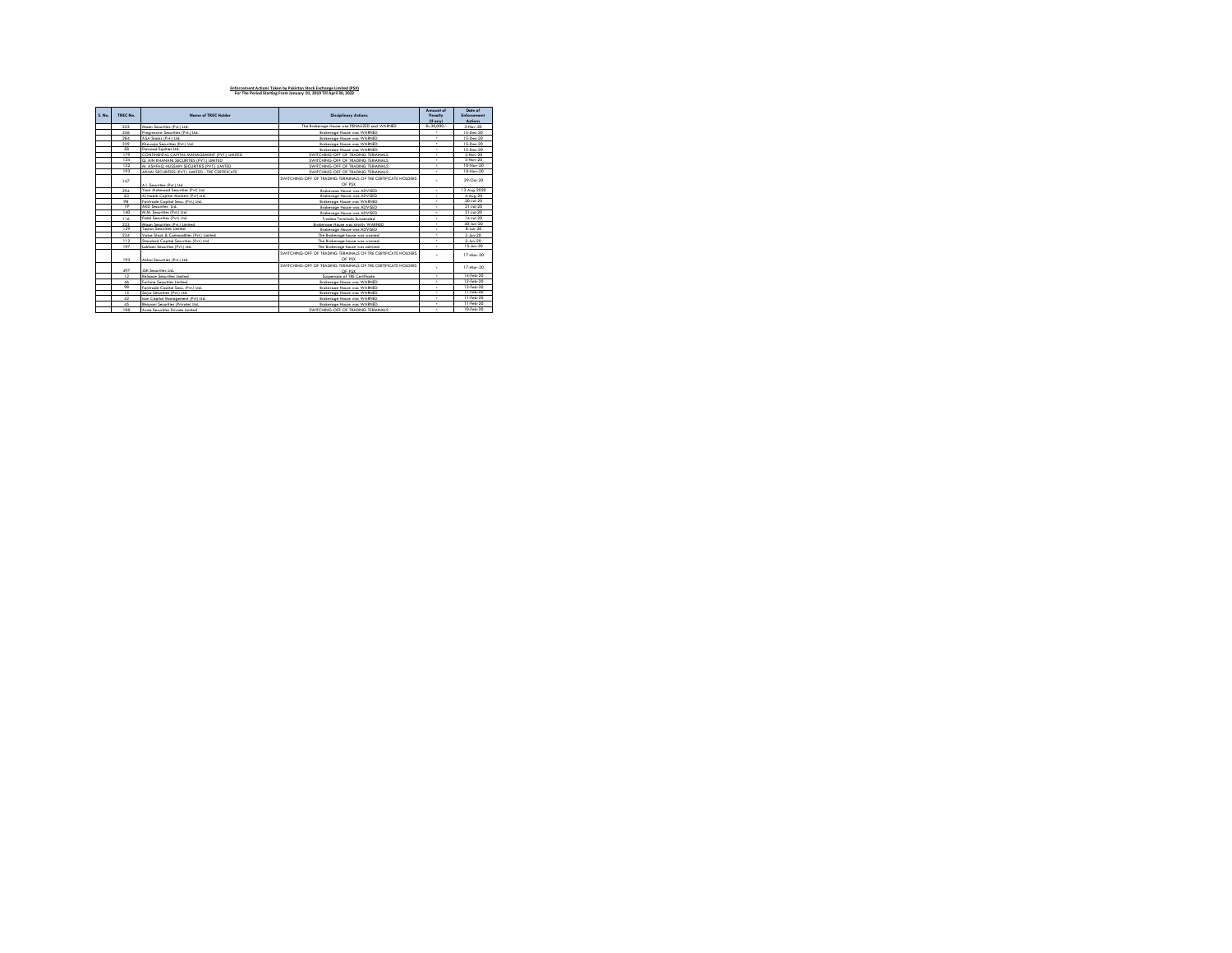| S. No. | TREC No. | Name of TREC Holder                               | <b>Disciplinary Actions</b>                                              | Amount of<br>Penalty<br>$(E \text{ env})$ | Date of<br>Enforcement<br>Artinns |
|--------|----------|---------------------------------------------------|--------------------------------------------------------------------------|-------------------------------------------|-----------------------------------|
|        | 223      | Morro Securities (Pvt ) Ltd.                      | The Brokerage House was PENAUZED and WARNED                              | Rs.30.000/-                               | 3.New.20                          |
|        | 256      | Procressive Securities (Pvt.) Ltd.                | Brokerage House was WARNED                                               |                                           | 15-Dec-20                         |
|        | 284      | ASA Stocks (Pvt ) Ltd.                            | Brokerage House was WARNED                                               | $\overline{\phantom{a}}$                  | 15-Dec-20                         |
|        | 339      | Khawaia Securities (Pvt.) Ltd.                    | Brokerage House was WARNED                                               | ٠                                         | 15-Dec-20                         |
|        | 58       | Dawood Eauities Ltd.                              | <b>Renkernne House was WARNED</b>                                        | ٠                                         | 15.Dec.20                         |
|        | 179      | CONTINENTAL CAPITAL MANAGEMENT (PVT) LIMITED      | SWITCHING, OFF OF TRADING TERMINALS.                                     | ٠                                         | 3.Nev.20                          |
|        | 134      | Q. AIN KHANANI SECURITIES (PVT.) LIMITED          | SWITCHING-OFF OF TRADING TERMINALS                                       |                                           | 3.Nev.20                          |
|        | 122      | M. ASHFAQ HUSSAIN SECURITIES (PVT.) LIMITED       | SWITCHING-OFF OF TRADING TERMINALS                                       | ٠                                         | 10.Nev.20                         |
|        | 193      | AKHAI SECURITIES (PVT.) LIMITED - TRE CERTIFICATE | SWITCHING, OFF OF TRADING TERMINALS.                                     |                                           | 10-Nov-20                         |
|        | 1.47     | 4   Securities (Put )   td                        | SWITCHING OFF OF TRADING TERMINALS OF TRE CERTIFICATE HOLDERS<br>OF PSX  | ÷                                         | 29-Oct-20                         |
|        | 294      | Yesir Mehmood Securities (Put) Ital               | Brokerage House was ADVISED                                              | ٠                                         | 13-Aug-2020                       |
|        | 63       | Al Habib Capital Markets (Pvt) Ltd.               | Brokerage House was ADVISED                                              |                                           | 4-Aug-20                          |
|        | 98       | Feistenda Conital Sacu (Pvt ) Ltd.                | <b>Renkarnna House was WARNED</b>                                        | $\overline{\phantom{a}}$                  | 30-14-20                          |
|        | 19       | AKD Securities Ltd.                               | Brokerage House was ADVISED                                              | ٠                                         | $21 - 14 - 20$                    |
|        | 1.40     | M.M. Securities (Pvt.) Ltd.                       | <b>Renkerman House was ADVISED</b>                                       | ٠                                         | $21 - 14 - 20$                    |
|        | 116      | Patel Securities (Pvt.) Ltd.                      | Trading Terminals Suspended                                              | $\overline{\phantom{a}}$                  | $14 - 14 - 20$                    |
|        | 223      | Moon Securities (Pvt ) Limited                    | Renkarona House was strictly WARNED                                      | $\overline{\phantom{a}}$                  | 30-Jun-20                         |
|        | 129      | Treasus Securities Limited                        | <b>Renkerman House was ADVISED</b>                                       | $\overline{\phantom{a}}$                  | 8.lin.20                          |
|        | 234      | Value Stock & Commodities (Pvt.) Limited          | The Brokerage house was warned                                           | ٠                                         | $2-$ Jun- $20$                    |
|        | 112      | Standard Capital Securities (Pvt.) Ltd.           | The Brokerage house was warned                                           | $\overline{\phantom{a}}$                  | $2-$ Jun- $20$                    |
|        | 197      | Lakhani Securities (Pvt.) Ltd.                    | The Brakerage house was advised                                          | ٠                                         | 15-Jun-20                         |
|        | 193      | Akhai Securities (Pvt.) Ltd.                      | SWITCHING-OFF OF TRADING TERMINALS OF TRE CERTIFICATE HOLDERS<br>OF PSX  | ٠                                         | 17-Mor-20                         |
|        | 497      | JSK Securities Ltd.                               | SWITCHING OFF OF TRADING TERMINALS OF TRE CERTIFICATE HOLDERS.<br>OF BEY | ٠                                         | 17-Mor-20                         |
|        | 12       | <b>Relignce Securities Limited</b>                | Suspension of TRE Certificate                                            | $\overline{\phantom{a}}$                  | 14-Feb-20                         |
|        | 46       | Fortune Securities Limited                        | <b>Renkernne House was WARNED</b>                                        | ٠                                         | 12-Feb-20                         |
|        | 98       | Federanda Constal Securi (Pvt ) Ltd.              | Brokerage House was WARNED                                               | ٠                                         | 12-Feb-20                         |
|        | 15       | Sava Securities (Pvt.) Ltd.                       | Brokerage House was WARNED                                               | ÷                                         | 11-Feb-20                         |
|        | 42       | Iron Comital Monogenera (Pvt) Ital                | Brokerage House was WARNED                                               | $\overline{\phantom{a}}$                  | 11-Feb-20                         |
|        | 45       | Rhmyred Securities (Private) Ltd.                 | <b>Renkernne House was WARNED</b>                                        | ٠                                         | 11-Feb-20                         |
|        | 108      | Aree Securities Private Limited                   | SWITCHING, OFF OF TRADING TERMINALS                                      | ٠                                         | 10-Feb-20                         |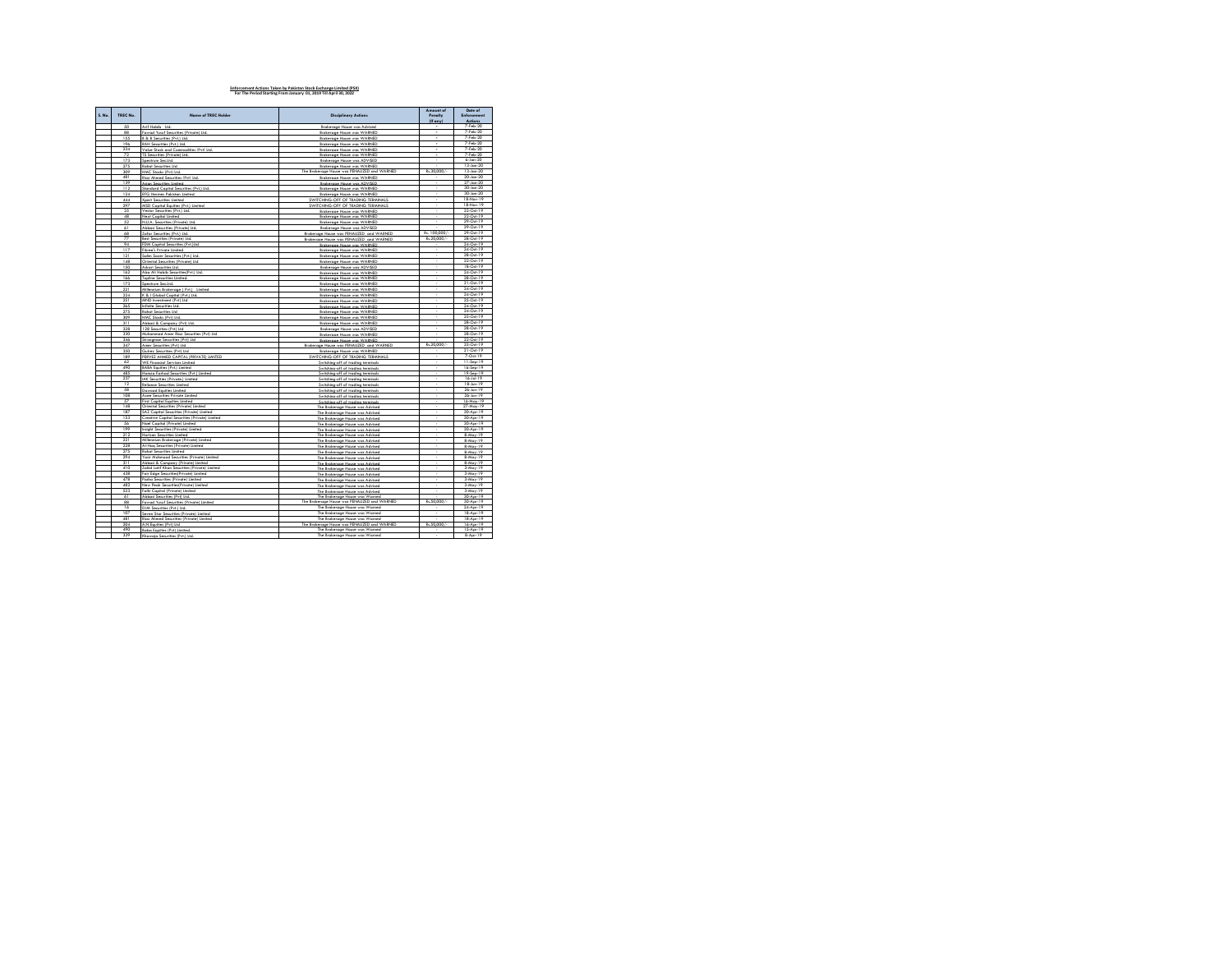| S. No. | TREC No. | <b>Name of TREC Holder</b>                          | <b>Disciplinary Actions</b>                               | Amount of                | Date of                    |
|--------|----------|-----------------------------------------------------|-----------------------------------------------------------|--------------------------|----------------------------|
|        |          |                                                     |                                                           | Pengity                  | Enforcement                |
|        | 50       |                                                     |                                                           | (If anv)                 | <b>Actions</b><br>7-Feb-20 |
|        | 88       | Lrif Hahih<br>Fawad Yusuf Securities (Private) Ltd. | Brokerage House was Advised<br>Brokerage House was WARNED | ÷                        | 7-Feb-20                   |
|        | 166      | 8 & 8 Securities (Pvt.) Ltd                         | Brokerage House was WARNED                                |                          | 7-Feb-20                   |
|        | 196      | RAH Securities (Pvt.) Ltd.                          | Brokerage House was WARNED                                | ٠                        | 7-Feb-20                   |
|        | 234      | Value Stock and Commodities (Pvt) Ltd.              | Brokerage House was WARNED                                | ٠                        | 7-Feb-20                   |
|        | 72       | <b>TS Securities (Private) Ltd.</b>                 | Brokerage House was WARNED                                | $\overline{\phantom{a}}$ | 7-Feb-20                   |
|        | 173      | Spectrum Sec.Ltd.                                   | <b>Brokerage House was ADVISED</b>                        | ÷.                       | $6 - Jan - 20$             |
|        | 275      | Rahat Securities Ltd.                               | Brokerage House was WARNED                                |                          | 13-Jan-20                  |
|        | 309      | HMC Stocks (Pvt) Ltd.                               | The Brokerage House was PENALIZED and WARNED              | Rs.30,000/               | 13-Jan-20                  |
|        | 481      | Riaz Ahmed Securities (Pvt) Ltd.                    | Brokerage House was WARNED                                | $\cdot$                  | 20-Jan-20                  |
|        | 139      | Asian Securities Limited                            | Brokerage House was ADVISED                               | ×                        | 27-Jan-20                  |
|        | 112      | Standard Capital Securities (Pvt.) Ltd.             | <b>Brokerage House was WARNED</b>                         | ×                        | 30-Jan-20                  |
|        | 124      | EFG Hermes Pakistan Limited                         | Brokerage House was WARNED                                | ×                        | 30-Jan-20                  |
|        | 444      | Xpert Securities Limited                            | SWITCHING-OFF OF TRADING TERMINALS                        | ä,                       | 18-Nov-19                  |
|        | 297      | MSD Capital Equities (Pvt.) Limited                 | SWITCHING-OFF OF TRADING TERMINALS                        |                          | 18.Nev.19                  |
|        | 25       | Vector Securities (Pvt.) Ltd.                       | Brokerage House was WARNED                                |                          | 22-Oct-19                  |
|        | 48       | Next Capital Limited                                | <b>Brokerage House was WARNED</b>                         | ÷.                       | 22-Oct-19                  |
|        | 52       | N.U.A. Securities (Private) Ltd.                    | Brokerage House was WARNED                                |                          | 29-Oct-19                  |
|        | 61       | Abbasi Securities (Private) Ltd.                    | Renkernne House was ADVISED                               |                          | 29-Oct-19                  |
|        | 68       | Zafar Securities (Pvt.) Ltd.                        | Brokerage House was PENALIZED and WARNED                  | Rs. 100,000/-            | 29-Oct-19                  |
|        | 77       | Best Securities (Private) Ltd                       | Brokerage House was PENALIZED and WARNED                  | Rs.20.000/-              | 28-Oct-19                  |
|        | 94       | FDM Capital Securities (Pvt.)Ltd                    | Brokerage House was WARNED                                |                          | 24-Oct-19                  |
|        | 117      | Fikree's Private Limited                            | Brokerage House was WARNED                                |                          | 24-Oct-19                  |
|        | 121      | Solim Senar Sacurities (Pvt) Ltd.                   | Brokerage House was WARNED                                | ä,                       | 28-Oct-19                  |
|        | 148      | Oriental Securities (Private) Ltd.                  | Brokerage House was WARNED                                |                          | 22-Oct-19                  |
|        | 150      | Askeri Sacurities Ltd.                              | Brokerage House was ADVISED                               |                          | 18-Oct-19                  |
|        | 162      | Abg Ali Habib Securities(Pvt.) Ltd.                 | Brokerage House was WARNED                                | ×                        | 24-Oct-19                  |
|        | 166      | Topline Securities Limited.                         | <b>Brokerage House was WARNED</b>                         | $\sim$                   | 28-Oct-19                  |
|        | 173      | Spectrum Sec.Ltd.                                   | Brokerage House was WARNED                                | ×                        | 21-Oct-19                  |
|        | 221      | Millennium Brokerage (Pvt.) Limited                 | <b>Brokerage House was WARNED</b>                         | $\cdot$                  | 24-Oct-19                  |
|        | 224      | K & I Global Capital (Pvt.) Ltd.                    | Brokerage House was WARNED                                | ×                        | 24-Oct-19                  |
|        | 251      | MND investment (Pvt) Ltd.                           | <b>Brokerage House was WARNED</b>                         |                          | 25-Oct-19                  |
|        | 265      | Infinite Securities Ltd.                            | Brokerage House was WARNED                                | ä,                       | 24-Oct-19                  |
|        | 275      | Rahat Securities Ltd.                               | Brokerage House was WARNED                                |                          | 24-Oct-19                  |
|        | 309      | HMC Stocks (Pvt) Ltd.                               | <b>Brokerage House was WARNED</b>                         |                          | 25-Oct-19                  |
|        | 311      | Abbasi & Company (Pvt) Ltd.                         | Brokerage House was WARNED                                |                          | 28.0m.19                   |
|        | 328      | 128 Securities (Pvt) Ltd                            | <b>Brokerage House was ADVISED</b>                        |                          | 28-Oct-19                  |
|        | 330      | Muhammad Amer Riaz Securities (Pvt) Ltd             | <b>Brokerage House was WARNED</b>                         |                          | 28-Oct-19                  |
|        | 3.46     | Strongman Securities (Pvt) Ltd.                     | Brokerage House was WARNED                                |                          | 22-Oct-19                  |
|        | 3.47     | Amer Securities (Pyt) Ltd.                          | Brokerage House was PENALIZED and WARNED                  | Rs.20.000/-              | 25-Oct-19                  |
|        | 350      | Guirez Securities (Pvt) Ltd.                        | Brokerage House was WARNED                                |                          | 21-Oct-19                  |
|        | 189      | PERVEZ AHMED CAPITAL (PRIVATE) LIMITED              | SWITCHING-OFF OF TRADING TERMINALS                        |                          | 7-Oct-19                   |
|        | 62       | WE Financial Services Limited                       | Switching-off of trading terminals                        |                          | 11-Sep-19                  |
|        | 490      | <b>BABA Equities (Pvt.) Limited</b>                 | Switching-off of trading terminals                        | τ                        | 16-Sep-19                  |
|        | 485      | Hamza Farhad Securities (Pvt.) Limited              | Switching-off of trading terminals                        | ×.                       | 19-Sep-19                  |
|        | 237      | IAK Securities (Private.) Limited                   | Switching-off of trading terminals                        | ä,                       | $16 - 14 - 19$             |
|        | 12       | Reliance Securities Limited                         | Switching-off of trading terminals                        | ×                        | 18-Jun-19                  |
|        | 58       | Dawood Equities Limited                             | Switching-off of trading terminals                        | ×                        | 26-Jun-19                  |
|        | 108      | Azee Securities Private Limited                     | Switching-off of trading terminals                        | $\sim$                   | 26-lin-19                  |
|        | 57       | First Capital Equities Limited                      | Switching-off of trading terminals                        | ×                        | 16-May-19                  |
|        | 148      | Oriental Securities (Private) Limited               | The Brokerage House was Advised                           | ×                        | 27-May-19                  |
|        | 187      | SAZ Capital Securities (Private) Limited            | The Brokerage House was Advised                           |                          | 30-Apr-19                  |
|        | 153      | Creative Capital Securities (Private) Limited       | The Brokerage House was Advised                           |                          | 30-Apr-19                  |
|        | 56       | Nael Capital (Private) Limited                      | The Brokerage House was Advised                           |                          | 30-Apr-19                  |
|        | 199      | Insight Securities (Private) Limited                | The Brokerage House was Advised                           |                          | 30-Apr-19                  |
|        | 212      | Horizon Securities Limited                          | The Brokerage House was Advised                           |                          | R. Mov. 19                 |
|        | 221      | Millennium Brokerage (Private) Limited              | The Brokerage House was Advised                           |                          | 8-May-19                   |
|        | 228      | Al-Hag Securities (Private) Limited                 | The Brokerage House was Advised                           |                          | 8-May-19                   |
|        | 275      | <b>Rebel Securities Limited</b>                     | The Brokerage House was Advised                           | τ                        | 8-May-19                   |
|        | 294      | Yasir Mahmood Securities (Private) Limited          | The Brokerage House was Advised                           | l,                       | 8-May-19                   |
|        | 311      | Abbasi & Company (Private) Limited                  | The Brokerage House was Advised                           |                          | $8-May-19$                 |
|        | 410      | Zahid Latif Khan Securities (Private) Limited       | The Brokerage House was Advise                            |                          | $3-May-19$                 |
|        | 438      | Fair Edge Securities(Private) Limited               | The Brokerage House was Advised                           |                          | $3-May-19$                 |
|        | 478      | Pasha Securities (Private) Limited                  | The Brokerage House was Advised                           |                          | 3-May-19                   |
|        | 482      | New Peak Searities(Private) Limited                 | The Brokerage House was Advised                           | k,                       | 3-May-19                   |
|        | 523      | Falki Capital (Private) Limited                     | The Brokerage House was Advised                           | ٠                        | 3-May-19                   |
|        | 61       | Abbasi Securities (Pvt) Ltd.                        | The Brokerage House was Warned                            | $\sim$                   | 30-Apr-19                  |
|        | 88       | Fawad Yusuf Securities (Private) Limited            | The Brokerage House was PENALIZED and WARNED              | Rs.50,000/-              | 30-Apr-19                  |
|        | 16       | DJM Securities (Pvt.) Ltd.                          | The Brokerage House was Warned                            |                          | 24-Apr-19                  |
|        | 107      | Seven Star Securities (Private) Limited             | The Brokerage House was Warned                            | $\sim$                   | 18-Apr-19                  |
|        | 481      | Riaz Ahmed Securities (Private) Limited             | The Brokerage House was Warned                            |                          | 18-Apr-19                  |
|        | 204      | A.N Equities (Pvt) Ltd.                             | The Brokerage House was PENALIZED and WARNED              | Rs.50,000/-              | 16-Apr-19                  |
|        | 490      | Baba Equities (Pvt) Limited.                        | The Brokerage House was Warned                            |                          | $15-Aor-19$                |
|        | 339      | Khawaja Securities (Pvt.) Ltd.                      | The Brokerage House was Warned                            |                          | 8-Apr-19                   |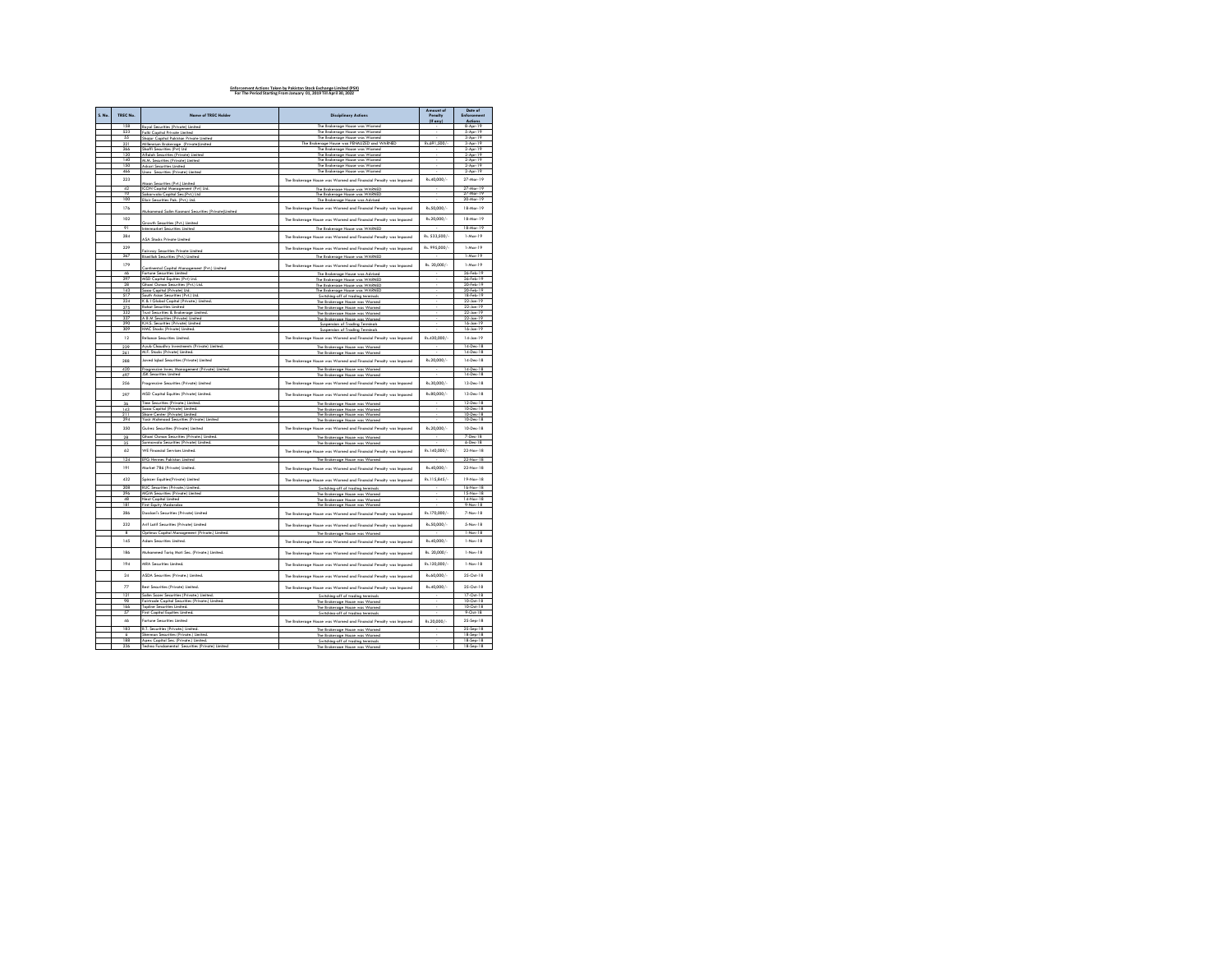| S. No. | TREC No.        | Name of TREC Holder                                                          | <b>Disciplinary Actions</b>                                                                            | Amount of<br>Pengity | Date of<br>Enforcement |
|--------|-----------------|------------------------------------------------------------------------------|--------------------------------------------------------------------------------------------------------|----------------------|------------------------|
|        |                 |                                                                              |                                                                                                        | (If any)             | Actions                |
|        | 1.58            | Royal Securities (Private) Limited                                           | The Brokerage House was Warned                                                                         |                      | 8-Apr-19               |
|        | 523             | Falki Capital Private Limited                                                | The Brokerage House was Warned                                                                         |                      | $5-Apr-19$             |
|        | 55              | Shajar Capital Pakistan Private Limited                                      | The Brokerage House was Warned                                                                         | Pv 691 500/-         | 3-Apr-19               |
|        | 221             | Millennium Brokerage (Private)Limited                                        | The Brokerage House was PENALIZED and WARNED                                                           |                      | 3-Apr-19               |
|        | 266<br>120      | Shaffi Securities (Pvt) Ltd<br>Alfalah Securities (Private) Limited          | The Brokerage House was Warned<br>The Brokerage House was Warned                                       |                      | 2-Apr-19<br>2-Apr-19   |
|        | 140             | M.M. Securities (Private) Limited                                            | The Brokerage House was Warned                                                                         |                      | 2-Apr-19               |
|        | 150             | Askari Securities Limited                                                    | The Brokerage House was Warned                                                                         |                      | $2-Apr-19$             |
|        | 466             | Unex Securities (Private) Limited                                            | The Brokerage House was Warned                                                                         |                      | 2-Apr-19               |
|        | 223             |                                                                              |                                                                                                        | Rs.40,000/-          | 27-Mar-19              |
|        |                 | Aaan Securities (Pvt.) Limited                                               | The Brokerage House was Warned and Financial Penalty was Imposed                                       |                      |                        |
|        | 42              | ICON Capital Management (Pvt) Ltd.                                           | The Brokerage House was WARNED                                                                         |                      | 27-Mar-19              |
|        | $\overline{10}$ | iakarwala Capital Sec.(Pvt.) Ltd.                                            | The Brokerage House was WARNED                                                                         |                      | 27-Mar-19              |
|        | 100             | Elixir Securities Pak, (Pvt.) Ltd.                                           | The Brokerage House was Advised                                                                        |                      | 20-Mar-19              |
|        | 176             | Muhammad Salim Kasmani Securities (Private)Limited                           | The Brokerage House was Warned and Financial Penalty was Imposed                                       | Rs.50.000/-          | 18-Mar-19              |
|        | 102             | Growth Securities (Pvt.) Limited                                             | The Brokerage House was Warned and Financial Penalty was Imposed                                       | Rs.20,000/-          | 18-Mar-19              |
|        | 91              | <b>Intermarket Securities Limited</b>                                        | The Brokerage House was WARNED                                                                         |                      | 18-Mar-19              |
|        | 284             | <b>ASA Stocks Private Limited</b>                                            | The Brokerage House was Warned and Financial Penalty was Imposed                                       | Rs. 533.500/-        | $1-Mar-19$             |
|        | 229             | Fairway Securities Private Limited                                           | The Brokerage House was Warned and Financial Penalty was Imposed                                       | Rs. 995.000/-        | 1-Mar-19               |
|        | 267             | <b>Bismillah Securities (Pvt.) Limited</b>                                   | The Brokerage House was WARNED                                                                         |                      | 1-Mar-19               |
|        | 179             |                                                                              |                                                                                                        | Rs. 20.000/-         | 1.Mov.19               |
|        |                 | Continental Capital Management (Pvt.) Limited                                | The Brokerage House was Warned and Financial Penalty was Impased                                       |                      |                        |
|        | 46              | Fortune Securities Limited                                                   | The Brokerage House was Advised                                                                        |                      | 26.Feb.19              |
|        | 297             | MSD Capital Equities (Pvt) Ltd.                                              | The Brokerage House was WARNED                                                                         |                      | 26-Feb-19              |
|        | 28              | Ghani Osman Securities (Pvt.) Ltd.                                           | The Brokerage House was WARNED                                                                         |                      | 20-Feb-19              |
|        | 143<br>517      | Saao Capital (Private) Ltd.<br>outh Asian Securities (Pvt.) Ltd.             | The Brokerage House was WARNED                                                                         |                      | 20-Feb-19<br>18-Feb-19 |
|        | 224             | K & I Global Capital (Private.) Limited.                                     | Switching off of trading terminals                                                                     |                      | 22-Jan-19              |
|        | 275             | Rahat Securities Limited                                                     | The Brokerage House was Warned                                                                         |                      | 22-Jan-19              |
|        | 332             | Trust Securities & Brokerage Limited.                                        | The Brokerage House was Warned                                                                         |                      | 22-Jan-19              |
|        | 337             | A B M Securities (Private) Limited                                           | The Brokerage House was Warned<br>The Brokerage House was Warned                                       |                      | 22-Jan-19              |
|        | 290             | K.H.S. Securities (Private) Limited                                          | uspersion of Tradin                                                                                    |                      | $16$ -Jan-19           |
|        | 309             | HMC Stocks (Private) Limited.                                                | Suspension of Trading Terminals                                                                        |                      | 16-Jan-19              |
|        |                 |                                                                              |                                                                                                        |                      |                        |
|        | 12<br>239       | Relignce Securities Limited.<br>Ayub Chaudhry Investments (Private) Limited. | The Brokerage House was Warned and Financial Penalty was Imposed                                       | Rs.430,000/-         | 14-Jan-19<br>14-Dec-18 |
|        | 261             | M.F. Stocks (Private) Limited.                                               | The Brokerage House was Warned<br>The Brokerage House was Warned                                       |                      | 14-Dec-18              |
|        | 288             | Javed Iqbal Securities (Private) Limited                                     | The Brokerage House was Warned and Financial Penalty was Imposed                                       | Rs.20.000/-          | 14-Dec-18              |
|        | 420             | Procressive Inves, Management (Private) Limited.                             | The Brokerage House was Warned                                                                         |                      | 14-Dec-18              |
|        | 497             | <b>JSK Securities Limited</b>                                                | The Brokerage House was W.                                                                             |                      | 14-Dec-18              |
|        | 256             | Procressive Securities (Private) Limited                                     | The Brokerage House was Warned and Financial Penalty was Imposed                                       | Rs.30.000/-          | 13-Dec-18              |
|        | 297             | MSD Capital Equities (Private) Limited.                                      | The Brokerage House was Warned and Financial Penalty was Imposed                                       | Rs.80.000/-          | 13-Dec-18              |
|        | 36              | Time Securities (Private.) Limited.                                          | The Brokerage House was Warned                                                                         |                      | 12-Dec-18              |
|        | 143             | Sono Conital (Private) Limited                                               | The Brokerage House was Warned                                                                         |                      | 10-Dec-18              |
|        | 211             | Share Center (Private) Limited                                               | The Brokerage House was Wa                                                                             |                      | 10-Dec-18              |
|        | 294             | Yasir Mahmood Securities (Private) Limited                                   | The Brokerage House was Warned                                                                         |                      | 10-Dec-18              |
|        | 350             | Guirez Securities (Private) Limited                                          |                                                                                                        | Rs.20.000/-          | 10-Dec-18              |
|        |                 |                                                                              | The Brokerage House was Warned and Financial Penalty was Imposed                                       |                      |                        |
|        | 28              | Ghani Osman Securities (Private.) Limited.                                   | The Brokerage House was Warned                                                                         |                      | 7-Dec-18               |
|        | 35              | Surmawala Securities (Private) Limited.                                      | The Brokerage House was Wa                                                                             |                      | 6-Dec-18               |
|        | 62              | <b>WE Financial Services Limited.</b>                                        | The Brokerage House was Warned and Financial Penalty was Imposed                                       | Rs.140.000/-         | 22-Nov-18              |
|        | 124             | EFG Hermes Pokistan Limited                                                  | The Brokerage House was Warned                                                                         |                      | 22-Nov-18              |
|        | 191             | Market 786 (Private) Limited.                                                |                                                                                                        | Rs.40,000/-          | 22-Nov-18              |
|        |                 |                                                                              | The Brokerage House was Warned and Financial Penalty was Imposed                                       |                      |                        |
|        | 432<br>208      | Spinzer Equities(Private) Limited<br>RUC Securities (Private.) Limited.      | The Brokerage House was Warned and Financial Penalty was Imposed<br>Switching-off of trading terminals | Rs.115,845/-         | 19-Nov-18<br>16-Nov-18 |
|        | 296             | <b>MGM Securities (Private) Limited</b>                                      | The Brokerage House was Warned                                                                         |                      | 15-Nov-18              |
|        | 48              | Next Conital Limited                                                         | The Brokerage House was Warned                                                                         |                      | 14.Nev.18              |
|        | 181             | First Eauty Moderabe                                                         | The Brokerage House was Wr                                                                             |                      | 9-Nov-18               |
|        | 286             | Dosslani's Securities (Private) Limited                                      | The Brokerage House was Warned and Financial Penalty was Imposed                                       | Rs.170.000/-         | 7-Nov-18               |
|        | 232             | Arif Latif Securities (Private) Limited                                      | The Brokerage House was Warned and Financial Penalty was imposed                                       | Rs.50.000/-          | 5-Nov-18               |
|        | R               | Optimus Capital Management (Private.) Limited.                               | The Renkerning House was Women                                                                         |                      | 1-Nov-18               |
|        | 145             | dam Securities Limited.                                                      | The Brokerage House was Warned and Financial Penalty was Impased                                       | Rs.40,000/-          | 1-Nov-18               |
|        | 186             | Muhammed Taria Moti Sec. (Private.) Limited.                                 |                                                                                                        | Rs. 20,000/-         | 1-Nov-18               |
|        | 194             | <b>MRA Securities Limited.</b>                                               | The Brokerage House was Warned and Financial Penalty was Imposed                                       | Rs.120.000/-         | 1-Nov-18               |
|        |                 |                                                                              | The Brokerage House was Warned and Financial Penalty was Imposed                                       |                      |                        |
|        | $^{24}$         | ASDA Securities (Private.) Limited.                                          | The Brokerage House was Warned and Financial Penalty was Impased                                       | Rs.60,000/-          | 25-Oct-18              |
|        | $\overline{77}$ | Best Securities (Private) Limited.                                           | The Brokerage House was Warned and Financial Penalty was Imposed                                       | Rs.40,000/-          | 25-Oct-18              |
|        | 121             | Salim Sozer Securities (Private.) Limited.                                   | Switching off of trading terminals                                                                     |                      | 17-Oct-18              |
|        | 98              | Fairtrade Capital Securities (Private.) Limited.                             | The Brokerage House was Warned                                                                         |                      | 10-Oct-18              |
|        | 166             | Topline Securities Limited.                                                  | The Brokerage House was Warned                                                                         |                      | 10-Oct-18              |
|        | 57              | First Capital Equities Limited.                                              | Switching-off of trading terminals                                                                     |                      | $9-0a-18$              |
|        | 46              | Cortune Securities Limited                                                   | The Brokerage House was Warned and Financial Penalty was Imposed                                       | Rs.20.000/-          | 25-Sep-18              |
|        | 183             | <b>PT</b> Securities (Private ) limited                                      | The Brokerage House was Warned                                                                         |                      | 25-Sen-18              |
|        | Á               | Sherman Securities (Private.) Limited                                        | The Brokerage House was Wa                                                                             |                      | 18-Sep-18              |
|        | 188             | Apex Capital Sec. (Private.) Limited.                                        | Switching-off of trading terminals                                                                     |                      | 18-Sep-18              |
|        | 236             | Techno Fundamental Securities (Private) Limited                              | The Brokerage House was Warned                                                                         |                      | 18-Sep-18              |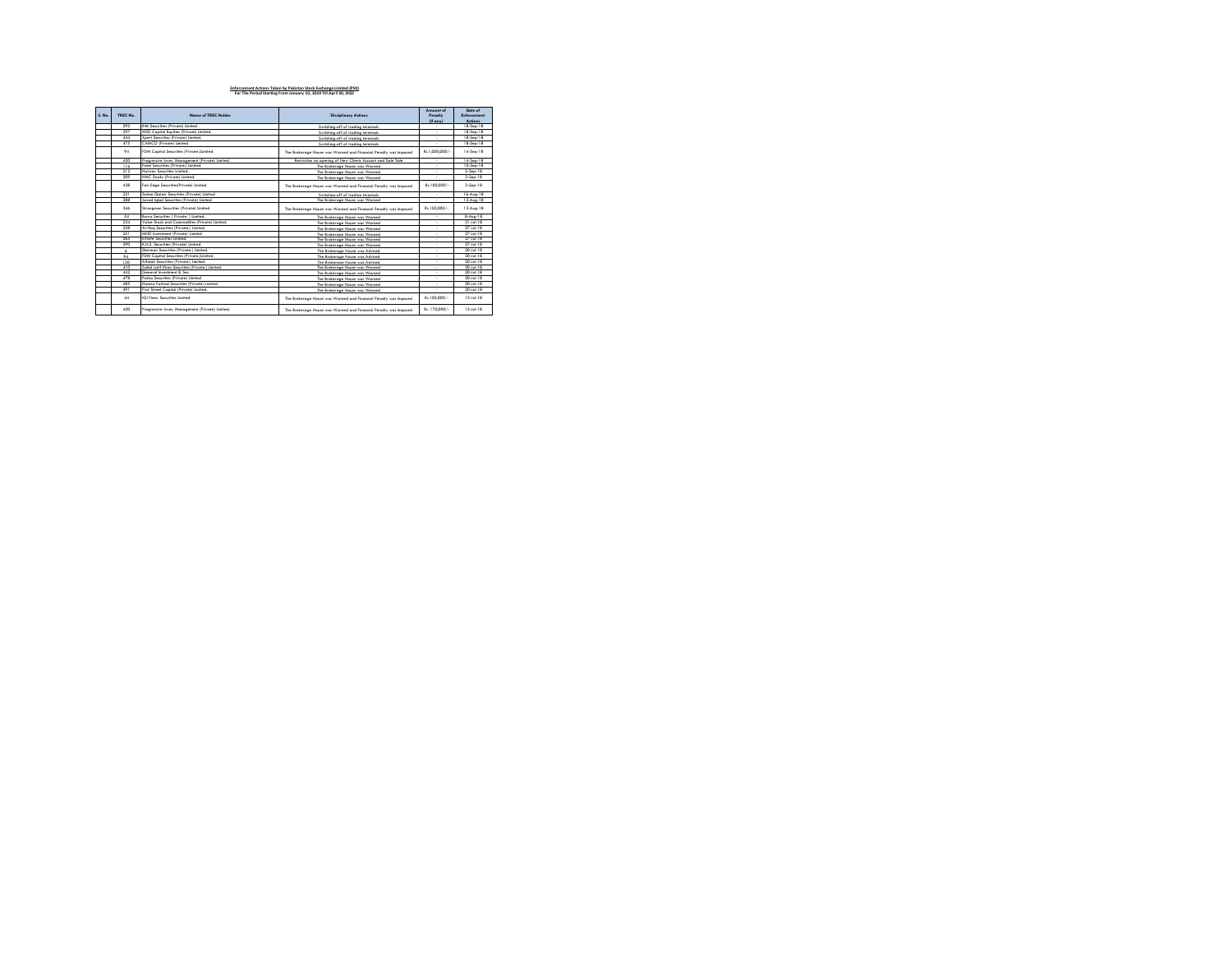| S. No. | TREC No. | Name of TREC Holder                              | <b>Disciplinary Actions</b>                                      | <b>Amount</b> of<br>Pengity<br>$(E \text{ env})$ | Date of<br>Enforcement<br>Artinns |
|--------|----------|--------------------------------------------------|------------------------------------------------------------------|--------------------------------------------------|-----------------------------------|
|        | 292      | INA Securities (Private) Limited                 | Switching off of trading terminals                               |                                                  | 18-Sen-18                         |
|        | 297      | MSD Capital Equities (Private) Limited.          | Switching-off of trading terminals                               |                                                  | 18-Sep-18                         |
|        | 444      | Xpert Securities (Private) Limited.              | Switching-off of trading terminals                               | ٠                                                | 18-Sep-18                         |
|        | 475      | CAMCO (Private) Limited                          | Switching-off of trading terminals                               |                                                  | 18-Sep-18                         |
|        | 94       | FDM Capital Securities (Private Limited          | The Brokerage House was Warned and Financial Penalty was Impased | Rs.1.000.000/-                                   | 14-Sep-18                         |
|        | 420      | Procressive Inves, Management (Private) Limited, | Restriction on opening of New Clients Account and Sole Side.     |                                                  | 14-Sep-18                         |
|        | 116      | Patel Securities (Private.) Limited.             | The Brokerage House was Warned                                   |                                                  | 10-Sep-18                         |
|        | 212      | Horizon Securities Limited                       | The Brokerage House was Warned                                   | $\overline{\phantom{a}}$                         | 3.Sen-18                          |
|        | 309      | HMC Stocks (Private) Limited.                    | The Renkerning House was Womed                                   |                                                  | $3-$ Sep $-18$                    |
|        | 438      | Fair Edge Securities(Private) Limited            | The Brokerage House was Warned and Financial Penalty was Impased | Rs.100.000/-                                     | 3-Sep-18                          |
|        | 231      | Saima Qaiser Securities (Private) Limited        | Switching-off of trading terminals                               | $\sim$                                           | 16-Aug-18                         |
|        | 288      | Javed labal Securities (Private) Limited         | The Renkerning House was Women                                   | ٠                                                | 13-Aug-18                         |
|        | 3.46     | Strongman Securities (Private) Limited           | The Brokerage House was Warned and Financial Penalty was Impased | Rs.150.000/-                                     | 13-Aug-18                         |
|        | 54       | Bawa Securities ( Private, ) Limited.            | The Brokerage House was Warned                                   |                                                  | 8-Aug-18                          |
|        | 234      | Value Stock and Commodities (Private) Limited.   | The Brokerage House was Warned                                   |                                                  | $31 - 14 - 18$                    |
|        | 228      | Al-Haa Securities (Private.) Limited.            | The Brokerage House was Warned                                   |                                                  | $27 - 14 - 18$                    |
|        | 251      | MND Investment (Private) Limited                 | The Brokerage House was Warned                                   | ٠                                                | $27 - 14 - 18$                    |
|        | 265      | Infinite Securities Limited                      | The Brokerage House was Warned                                   |                                                  | 27. lul. 18                       |
|        | 290      | K.H.S. Securities (Private) Limited              | The Brokerage House was Warned                                   | ٠                                                | $27 - 14 - 18$                    |
|        |          | Sherman Securities (Private.) Limited.           | The Rockernon House was Arlywed                                  |                                                  | $20 - 14 - 18$                    |
|        | 94       | FDM Capital Securities (Private Limited          | The Brokerage House was Advised                                  | ٠                                                | 20. lid. 18                       |
|        | 120      | Alfolah Securities (Private.) Limited.           | The Brokerage House was Advised                                  |                                                  | 20. lul. 18                       |
|        | 410      | Zahid Latif Khan Securities (Private.) Limited.  | The Brokerage House was Warned                                   | ٠                                                | $20 - 14 - 18$                    |
|        | 442      | General Investment & Sec.                        | The Brokerage House was Warned                                   |                                                  | 20-Jul-18                         |
|        | 478      | Pasha Securities (Private) Limited               | The Brokerage House was Warned                                   | ٠                                                | 20. lul. 18                       |
|        | 485      | Hamza Farhad Securities (Private) Limited.       | The Brokerage House was Warned                                   |                                                  | 20-Jul-18                         |
|        | 491      | First Street Capital (Private) Limited.          | The Renkerning House was Womed                                   |                                                  | $20 - 14 - 18$                    |
|        | 44       | GI Finey Securities Limited                      | The Brokerage House was Warned and Financial Penalty was Impased | Rs.150.000/-                                     | 13.66.18                          |
|        | 420      | Procressive Inves, Management (Private) Limited, | The Brokerage House was Warned and Financial Penalty was Impased | Rs. 170.000/-                                    | 13-14-18                          |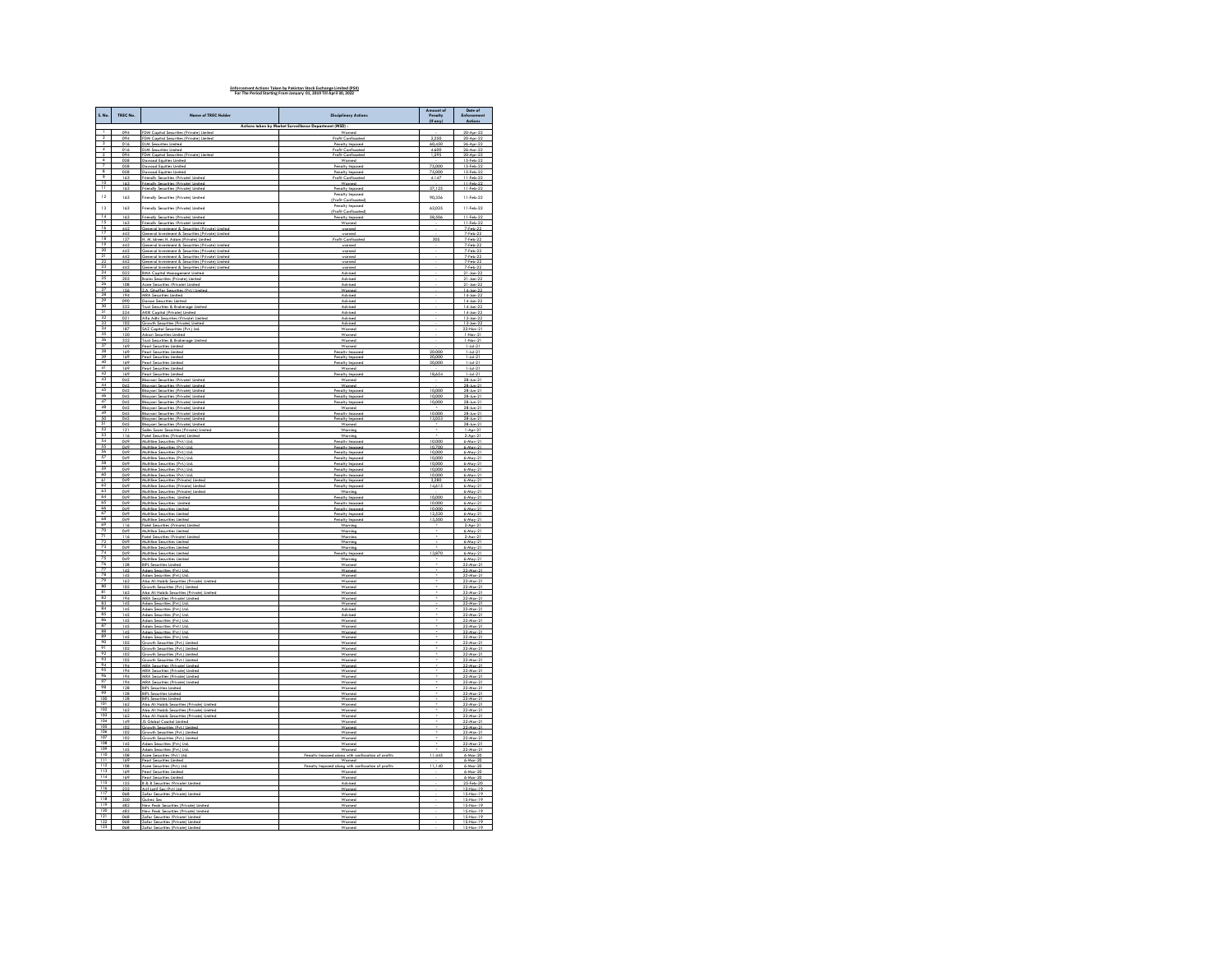| S. No.                          | TREC No.            | Name of TREC Holder                                                                                  | <b>Disciplinary Actions</b>                                  | Amount of<br>Penalty<br>$(E \text{ env})$ | Date of<br>Enforcement<br>Actions     |
|---------------------------------|---------------------|------------------------------------------------------------------------------------------------------|--------------------------------------------------------------|-------------------------------------------|---------------------------------------|
| $\mathbf{1}$                    | 094                 | FDM Capital Securities (Private) Limited                                                             | nt (MSD) :<br>Warned                                         |                                           | 20-Apr-22                             |
| 3                               | 094<br>016          | DM Capital Securities (P<br><b>DJM Securities Limited</b>                                            | <b>Profit Confisco</b><br>Penalty Imposed                    | 60,450                                    | $20 - A \text{ or } -22$<br>26-Apr-22 |
| $\overline{4}$<br>5             | 016                 | <b>DJM Securities Limited</b>                                                                        | <b>Profit Confiscated</b>                                    | 4.600                                     | $26 - A or - 22$                      |
| 6                               | 094<br>058          | FDM Capital Securities (Private) Limited<br>Dawood Equities Limited                                  | <b>Profit Confiscated</b><br>Warned                          | 1.595                                     | $20 - A \text{ or } -22$<br>15-Feb-22 |
|                                 | 058<br>058          | Jawood Eauities Limited<br>Dawood Eauities Limited                                                   | Penalty Imposed<br>Penalty Imposed                           | 75,000<br>75,000                          | 15-Feb-22<br>15-Feb-22                |
| $\frac{8}{9}$<br>10             | 163                 | Friendly Securities (Private) Limited                                                                | Profit Confiscated                                           | 4.147                                     | 11-Feb-22                             |
|                                 | 163<br>163          | Friendly Securities (Private) Limited<br>Friendly Securities (Private) Limited                       | Warned<br>Penalty Imposed                                    | 27,125                                    | 11-Feb-22<br>11-Feb-22                |
| 12                              | 163                 | Friendly Securities (Private) Limited                                                                | Penalty Imposed<br><b>Profit Confiscote</b>                  | 90,356                                    | 11-Feb-22                             |
| 13                              | 163                 | Friendly Securities (Private) Limited                                                                | <b>Penalty Imposed</b>                                       | 62.025                                    | 11-Feb-22                             |
| $\frac{14}{15}$                 | 163                 | Friendly Securities (Private) Limited                                                                | <b>Profit Confiscated</b><br>Penalty Impared                 | 58.506                                    | 11-Feb-22                             |
| 16                              | 163<br>442          | Friendly Securities (Private) Limited<br>General Investment & Securities (Private) Limited           | Worned<br>warned                                             |                                           | 11-Feb-22<br>7-Feb-22                 |
| $\overline{17}$                 | $\frac{442}{127}$   | General Investment & Securities (Privat<br>H. M. Idrees H. Adam (Private) Limited                    |                                                              |                                           | 7.F                                   |
| 18<br>19                        | 442                 | General Investment & Securities (Private) Limited                                                    | <b>Profit Confiscated</b><br>warned                          | 305                                       | 7-Feb-22<br>7-Feb-22                  |
| 20<br>21                        | $\frac{442}{442}$   | Ceneral Investment & Securities (Private) United<br>General Investment & Securities (Private) United |                                                              |                                           | 7-Feb-22                              |
| $\frac{22}{23}$                 | 442                 | General Investment & Securities (Private) Limited                                                    | warned<br>warned                                             |                                           | 7-Feb-22<br>7-Feb-22                  |
|                                 | 447<br>022          | General Investment & Securities (Private) Limited<br><b>BMA Capital Management Limited</b>           | warned<br>Advised                                            |                                           | 7.Feb. 22<br>$21$ -Jan- $22$          |
| $\frac{24}{25}$<br>26           | 203                 | Brains Securities (Private) Limited                                                                  | Advised                                                      |                                           | $21$ -Jan- $22$                       |
|                                 | 108<br>156          | Azee Securities (Private) Limited<br>Z.A. Ghaffar Securities (Prix) Limited                          | Advised<br>Worner                                            |                                           | $21$ -Jan- $22$<br>14-Jan-22          |
| $\frac{27}{28}$ $\frac{29}{30}$ | 194<br>nen          | <b>MRA Securities Limited</b><br>Darson Securities Limited                                           | Advised<br>Advised                                           |                                           | 14-Jan-22<br>14-los                   |
|                                 | 332                 | Fruit Securities & Brokerage Limited                                                                 | Advised                                                      |                                           | 14-Jan-22                             |
| 31                              | 524                 | <b>AKIK Capital (Private) Limited</b><br>Alfa Adhi Securities (Private) Limited                      | Advised<br>Artvisart                                         |                                           | 14-Jan-22<br>13. Inn. 27              |
| 32<br>33                        | $rac{10}{2}$        | th Securities (Private) Limited<br>3ro                                                               | Advised                                                      |                                           | 13-Jan-22                             |
| $\frac{34}{35}$                 | 187<br>1 cm         | SAZ Capital Securities (Pvt.) Ltd.<br>Askeri Sacuritias Limitad                                      | Warned                                                       |                                           | 22-Nov-21<br>Mar.                     |
| $\overline{\mathbf{z}}$<br>37   | 332<br>169          | Trust Securities & Brokerage Limited<br>Pearl Securities Limited                                     | Worned                                                       |                                           | 1-Nov-<br>21<br>$1 - 146 - 21$        |
| 38<br>39                        | 169                 | <b>Penri Securities Limited</b>                                                                      | <b>Pennity Impound</b>                                       | 20,000                                    | 1.64.21                               |
| $\frac{1}{40}$                  | 169<br>169          | earl Securities Limited<br>Pearl Securities Limited                                                  | enalty Impared<br>Penalty Imposed                            | 20,000                                    | $1 - 14 - 2$<br>$1 - 14 - 21$         |
| 41                              | 169                 | Pearl Securities Limited<br>urities Limited                                                          | Worned<br>oltv-le                                            | 18.654                                    | 1-Jul-21                              |
| $\frac{42}{43}$                 | 169<br>045          | <b>Bhavani Securities (Private) Limited</b>                                                          | Worned                                                       |                                           | 28-Jun-21                             |
| 44<br>45                        | 045                 | <b>Bhavani Securities (Private) Limited</b><br>havani Securities (Private) L                         | Worned<br>Penalty Impo                                       | 10,000                                    | 28-Jun-21<br>$28 - km - 21$           |
| 46<br>47                        | $045$<br>045<br>045 | <b>Bhayani Securities (Private) Limited</b><br><b>Bhavani Securities (Private) Limited</b>           | Penalty Imposed<br>Penalty Imposed                           | 10,000<br>10,000                          | 28-Jun-21<br>28-Jun-21                |
| 48                              | 045                 | urities (Private) Lis                                                                                | Worne                                                        |                                           |                                       |
| 49<br>$\overline{50}$           | 045                 | <b>Bhavani Securities (Private) Limited</b><br><b>Bhavani Securities (Private) Limited</b>           | Penalty Imposed<br>Penalty Imposed                           | 10,000<br>13.053                          | 28-Jun-21<br>28-Jun-21                |
| 51                              | 045                 | <b>Bhayani Securities (Private) Limited</b>                                                          | Worned                                                       |                                           | 28-Jun-21                             |
| $rac{5}{52}$                    | 121<br>116          | ialim Sozer Securities (Private) Lin<br>Patel Securities (Private) Limited                           | Warring<br>Worning                                           |                                           | $1-Aor-21$<br>$2-Apr-21$              |
| $rac{54}{55}$                   | 049<br>049          | Multiline Securities (Pvt.) Ltd.<br>tubline Securities (Pvt.) Ltd                                    | Penalty Imposed<br>Penalty Impased                           | 10,000<br>10,700                          | $6-Mav-21$<br>$6-May-2$               |
| 56                              | 049                 | Multiline Securities (Pvt.) Ltd.                                                                     | Penalty Imposed                                              | 10,000                                    | $6-May-21$                            |
| $\frac{57}{58}$                 | 049<br>049          | Multiine Securities (Pvt.) Ltd<br>Multiine Securities (Pvt.) Ltd                                     | Penalty in<br>Penalty Imposed                                | 10,000                                    | $6-Mor-21$<br>6-May-21                |
| 60                              | 049<br>0.49         | Multiline Securities (Pvt.) Ltd.                                                                     | Penalty Imposed                                              | 10.000<br>10 OOC                          | 6-May-21                              |
| 61                              | 049                 | Muhiline Securities (Pvt.) Ltd.<br>Muhiline Securities (Private) Limited                             | Penalty Imposed                                              | 3,280                                     | 6-May-21                              |
| 62<br>63                        | 049<br>049          | Multiline Securities (Private) Limited<br>Multiine Securities (Private) Limited                      | Penalty Imposed<br>Worring                                   | 14,615                                    | $6-Mor-21$<br>$6-Mor-21$              |
| $rac{64}{65}$                   | 049                 | Multiline Securities Limited                                                                         | Penalty Imposed                                              | 10.000                                    | 6-May-21                              |
| 66                              | 049<br>049          | Multiline Securities Limited<br>Multiline Securities Limited                                         | Penalty Imposed<br>Penalty Impared                           | 10,000<br>10,000                          | $6-Mor-21$<br>$6-May-21$              |
| $rac{67}{68}$                   | 049<br>049          | tultiine Securities Limited<br>Mobiline Securities Limited                                           | Penalty Imp<br>Penalty Imposed                               | 12.520<br>13.500                          | $6-Mor-21$<br>$6-May-21$              |
| 69                              | 116                 | Patel Securities (Private) Limited                                                                   | Warning                                                      |                                           | $2-Anr-21$                            |
| $\frac{70}{71}$                 | 049<br>116          | tubline Securities Limited<br>Patel Securities (Private) Limited                                     | Worring<br>Warning                                           |                                           | $6-Mor-21$<br>2-Apr-21                |
| $\frac{72}{73}$                 | 049<br>049          | Multiline Securities Limited<br>Multime Securities Limited                                           | Warning<br>Worring                                           |                                           | 6-May-21<br>$6-Mor-21$                |
|                                 | 049                 | Multiline Securities Limited                                                                         | Penalty Impose                                               | 13,870                                    | 6-May-21                              |
| 75<br>76<br>77<br>78            | 049<br>128          | Multiline Securities Limited<br><b>BIPL Securities Limited</b>                                       | Warning                                                      |                                           | 6-May-21<br>22-Mar-21                 |
|                                 | 145<br>145          | Adom Securities (Pvt.) Ltd.<br>Adom Securities (Pvt.) Ltd.                                           | Worned<br>Worned                                             |                                           | 22-Mor-21<br>22-Mar-21                |
| 79                              | 162                 | Aba Ali Habib Securities (Private) Limited                                                           | Worned                                                       |                                           | 22-Mar-2                              |
| $rac{60}{81}$                   | 102<br>162          | Growth Securities (Pvt.) Limited<br>Aba Ali Habib Securities (Private) Limited                       | Worned<br>Worned                                             |                                           | 22-Mar-21<br>22-Mar-21                |
| $rac{82}{83}$                   | 194                 | MRA Securities (Private) Limite<br>Adam Securities (Pvt.) Ltd.                                       | Worn                                                         |                                           | 22-Mar-21                             |
|                                 | 145<br>145          | Adom Securities (Pvt.) Ltd.                                                                          | Worned<br>Advised                                            |                                           | 22-Mar-21<br>22-Mar-21                |
| 85                              | 145                 | Adom Securities (Pvt.) Ltd.<br>Adom Securities (Pvt.) Ltd.                                           | Worned                                                       |                                           | 2.1 <sub>h</sub><br>22-Mar-21         |
| $\frac{86}{87}$                 | 145                 | Adam Securities (Pvt.) Ltd.                                                                          | Worned                                                       |                                           | 22-Mar-21                             |
| 88<br>89                        | $\frac{145}{145}$   | Adom Securities (Pvt.) Ltd.<br>Adom Securities (Pvt.) Ltd.                                           | Worned<br>Warned                                             |                                           | 22-Mar-21<br>22-Mar-21                |
| $\frac{90}{91}$                 | 102<br>102          | Growth Securities (Pvt.) Limited<br>Growth Securities (Pvt.) Limited                                 | Worned<br>Worned                                             |                                           | 22-Mar-21<br>22-Mar-21                |
|                                 | 102                 | Growth Securities (Pvt.) Limited                                                                     | Worned                                                       |                                           | 22-Mar-21                             |
| $\frac{92}{93}$<br>93           | 102<br>194          | Growth Securities (Pvt.) Limited                                                                     | Worned<br>Warned                                             |                                           | 22-Mar-21<br>22-Mar-21                |
| 95<br>96<br>97                  | 194                 | MRA Securities (Private) Limited<br>MRA Securities (Private) Limited                                 | Worned                                                       |                                           | 22-Mar-21                             |
|                                 | 194<br>194          | <b>MRA Securities (Private) Limited</b><br>MRA Securities (Private) Limited                          | Worned<br>Worner                                             |                                           | 22-Mar-21<br>22-Mor-21                |
| 98<br>99                        | 128<br>128          | <b>BIPL Securities Limited</b><br><b>BIPL Securities Limited</b>                                     | Worned<br>Warned                                             |                                           | 22-Mor-21<br>22-Mar-21                |
| $\frac{100}{101}$               | 128                 | <b>BIPL Securities Limited</b>                                                                       | Wornard                                                      |                                           | 22-Mov-21                             |
| $\frac{102}{103}$               | 167<br>162          | Aba Ali Habib Securities (Private) Limited<br>Aba Ali Habib Securities (Private) Limited             | Worner<br>Warned                                             |                                           | 22-Mar-21<br>22-Mar-21                |
| 104                             | 140<br>149          | Also Ali Hobib Securities (Privote) limited<br><b>IS Global Capital Limiter</b>                      | <b>Magazine</b>                                              |                                           | $22.44 \times 21$<br>22-Mar-21        |
| 105                             | 102                 | Growth Securities (Pvt.) Limited                                                                     | Worned                                                       |                                           | 22-Mar-21                             |
| $\frac{106}{107}$               | 102<br>102          | Growth Securities (Put I Limited<br>Growth Securities (Pvt.) Limited                                 | Wrenad                                                       |                                           | 22-Mov-21<br>22-Mar-21                |
| 108                             | 145                 | Adom Securities (Pvt.) Ltd.                                                                          | Worned                                                       |                                           | 22-Mar-21                             |
| 109<br>110                      | 145<br>108          | Adom Securities (Pvt.) Ltd.<br>rities (Pvt.) Ltd                                                     | Worned<br>Pennity in                                         | 11.445                                    | 22-Mar-21                             |
| ïΪ<br>112                       | 169<br>108          | Pearl Securities Limited<br>Azee Securities (Pvt.) Ltd.                                              | Worned<br>Penalty Impased alona with confiscation of profits | 11.140                                    | $6-Mar-20$<br>6-Mar-20                |
| 113                             | 169                 | Pearl Securities Limited                                                                             |                                                              |                                           |                                       |
| 114<br>115                      | 169<br>155          | Pearl Securities Limited<br><b>B &amp; B Securities (Private) Limited</b>                            | Warned<br>Advised                                            |                                           | 6-Mar-20<br>25-Feb-20                 |
| 116<br>117                      | 232                 | if Latif Sec (Pvt) Ltd                                                                               |                                                              |                                           | $15-N01$                              |
| 118                             | 068<br>350          | Zafar Securities (Private) Limited<br>Guirez Sec                                                     | Worned<br>Worned                                             |                                           | 15-Nov-19<br>15-Nov-19                |
| 119                             | 482                 | New Peak Securities (Private) Limited                                                                | Worned                                                       |                                           | 15-Nov-19<br>15-Nov-19                |
| $\frac{120}{121}$               | 482<br>068          | New Peak Searities (Private) Lim<br>Zafar Securities (Private) Limited                               | Worner<br>Warned                                             |                                           | 15-Nov-19                             |
| $\frac{122}{123}$               | 068<br>068          | Zafar Securities (Private) Limited<br>Teller Sacurities (Priveta) Limitar                            | Worned                                                       |                                           | 15-Nov-19<br>15.New.19                |